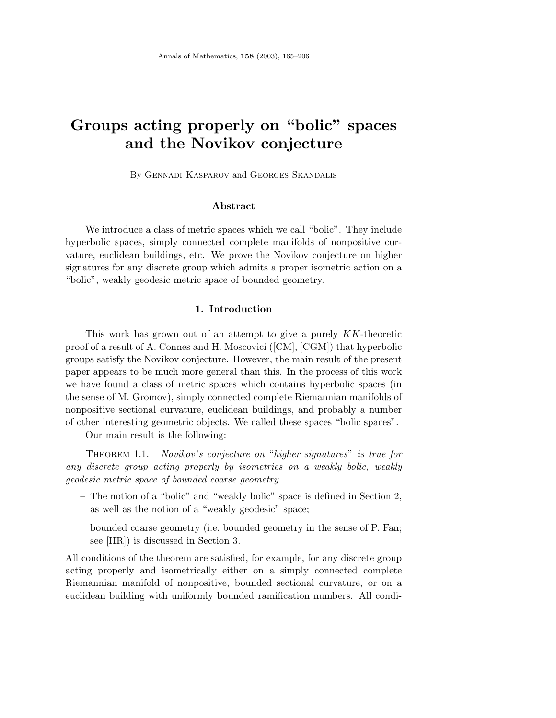# **Groups acting properly on "bolic" spaces and the Novikov conjecture**

By Gennadi Kasparov and Georges Skandalis

# **Abstract**

We introduce a class of metric spaces which we call "bolic". They include hyperbolic spaces, simply connected complete manifolds of nonpositive curvature, euclidean buildings, etc. We prove the Novikov conjecture on higher signatures for any discrete group which admits a proper isometric action on a "bolic", weakly geodesic metric space of bounded geometry.

# **1. Introduction**

This work has grown out of an attempt to give a purely KK-theoretic proof of a result of A. Connes and H. Moscovici ([CM], [CGM]) that hyperbolic groups satisfy the Novikov conjecture. However, the main result of the present paper appears to be much more general than this. In the process of this work we have found a class of metric spaces which contains hyperbolic spaces (in the sense of M. Gromov), simply connected complete Riemannian manifolds of nonpositive sectional curvature, euclidean buildings, and probably a number of other interesting geometric objects. We called these spaces "bolic spaces".

Our main result is the following:

THEOREM 1.1. Novikov's conjecture on "higher signatures" is true for any discrete group acting properly by isometries on a weakly bolic, weakly geodesic metric space of bounded coarse geometry.

- The notion of a "bolic" and "weakly bolic" space is defined in Section 2, as well as the notion of a "weakly geodesic" space;
- bounded coarse geometry (i.e. bounded geometry in the sense of P. Fan; see [HR]) is discussed in Section 3.

All conditions of the theorem are satisfied, for example, for any discrete group acting properly and isometrically either on a simply connected complete Riemannian manifold of nonpositive, bounded sectional curvature, or on a euclidean building with uniformly bounded ramification numbers. All condi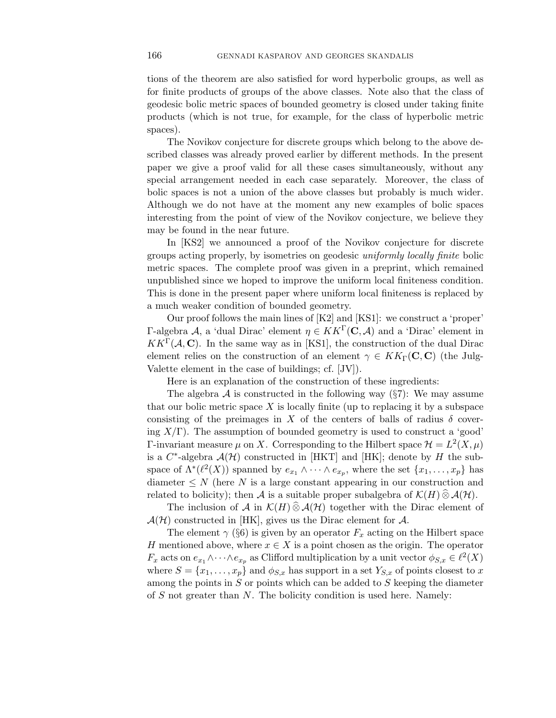tions of the theorem are also satisfied for word hyperbolic groups, as well as for finite products of groups of the above classes. Note also that the class of geodesic bolic metric spaces of bounded geometry is closed under taking finite products (which is not true, for example, for the class of hyperbolic metric spaces).

The Novikov conjecture for discrete groups which belong to the above described classes was already proved earlier by different methods. In the present paper we give a proof valid for all these cases simultaneously, without any special arrangement needed in each case separately. Moreover, the class of bolic spaces is not a union of the above classes but probably is much wider. Although we do not have at the moment any new examples of bolic spaces interesting from the point of view of the Novikov conjecture, we believe they may be found in the near future.

In [KS2] we announced a proof of the Novikov conjecture for discrete groups acting properly, by isometries on geodesic uniformly locally finite bolic metric spaces. The complete proof was given in a preprint, which remained unpublished since we hoped to improve the uniform local finiteness condition. This is done in the present paper where uniform local finiteness is replaced by a much weaker condition of bounded geometry.

Our proof follows the main lines of [K2] and [KS1]: we construct a 'proper' Γ-algebra A, a 'dual Dirac' element η ∈ KKΓ(**C**, A) and a 'Dirac' element in  $KK^{\Gamma}(\mathcal{A}, \mathbf{C})$ . In the same way as in [KS1], the construction of the dual Dirac element relies on the construction of an element  $\gamma \in KK_\Gamma(\mathbb{C}, \mathbb{C})$  (the Julg-Valette element in the case of buildings; cf. [JV]).

Here is an explanation of the construction of these ingredients:

The algebra A is constructed in the following way  $(\S7)$ : We may assume that our bolic metric space  $X$  is locally finite (up to replacing it by a subspace consisting of the preimages in X of the centers of balls of radius  $\delta$  covering  $X/\Gamma$ ). The assumption of bounded geometry is used to construct a 'good' Γ-invariant measure  $\mu$  on X. Corresponding to the Hilbert space  $\mathcal{H} = L^2(X, \mu)$ is a  $C^*$ -algebra  $\mathcal{A}(\mathcal{H})$  constructed in [HKT] and [HK]; denote by H the subspace of  $\Lambda^*(\ell^2(X))$  spanned by  $e_{x_1} \wedge \cdots \wedge e_{x_p}$ , where the set  $\{x_1, \ldots, x_p\}$  has diameter  $\leq N$  (here N is a large constant appearing in our construction and related to bolicity); then A is a suitable proper subalgebra of  $\mathcal{K}(H) \widehat{\otimes} \mathcal{A}(\mathcal{H})$ .

The inclusion of A in  $\mathcal{K}(H) \widehat{\otimes} \mathcal{A}(\mathcal{H})$  together with the Dirac element of  $\mathcal{A}(\mathcal{H})$  constructed in [HK], gives us the Dirac element for  $\mathcal{A}$ .

The element  $\gamma$  (§6) is given by an operator  $F_x$  acting on the Hilbert space H mentioned above, where  $x \in X$  is a point chosen as the origin. The operator  $F_x$  acts on  $e_{x_1} \wedge \cdots \wedge e_{x_p}$  as Clifford multiplication by a unit vector  $\phi_{S,x} \in \ell^2(X)$ where  $S = \{x_1, \ldots, x_p\}$  and  $\phi_{S,x}$  has support in a set  $Y_{S,x}$  of points closest to x among the points in  $S$  or points which can be added to  $S$  keeping the diameter of  $S$  not greater than  $N$ . The bolicity condition is used here. Namely: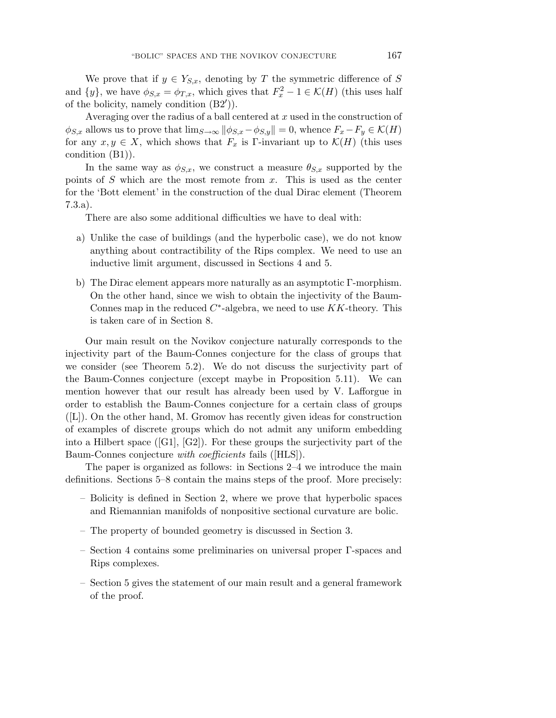We prove that if  $y \in Y_{S,x}$ , denoting by T the symmetric difference of S and  $\{y\}$ , we have  $\phi_{S,x} = \phi_{T,x}$ , which gives that  $F_x^2 - 1 \in \mathcal{K}(H)$  (this uses half of the bolicity, namely condition  $(B2')$ ).

Averaging over the radius of a ball centered at  $x$  used in the construction of  $\phi_{S,x}$  allows us to prove that  $\lim_{S\to\infty} ||\phi_{S,x}-\phi_{S,y}||=0$ , whence  $F_x-F_y\in\mathcal{K}(H)$ for any  $x, y \in X$ , which shows that  $F_x$  is Γ-invariant up to  $\mathcal{K}(H)$  (this uses condition (B1)).

In the same way as  $\phi_{S,x}$ , we construct a measure  $\theta_{S,x}$  supported by the points of S which are the most remote from  $x$ . This is used as the center for the 'Bott element' in the construction of the dual Dirac element (Theorem 7.3.a).

There are also some additional difficulties we have to deal with:

- a) Unlike the case of buildings (and the hyperbolic case), we do not know anything about contractibility of the Rips complex. We need to use an inductive limit argument, discussed in Sections 4 and 5.
- b) The Dirac element appears more naturally as an asymptotic Γ-morphism. On the other hand, since we wish to obtain the injectivity of the Baum-Connes map in the reduced  $C^*$ -algebra, we need to use  $KK$ -theory. This is taken care of in Section 8.

Our main result on the Novikov conjecture naturally corresponds to the injectivity part of the Baum-Connes conjecture for the class of groups that we consider (see Theorem 5.2). We do not discuss the surjectivity part of the Baum-Connes conjecture (except maybe in Proposition 5.11). We can mention however that our result has already been used by V. Lafforgue in order to establish the Baum-Connes conjecture for a certain class of groups  $([L])$ . On the other hand, M. Gromov has recently given ideas for construction of examples of discrete groups which do not admit any uniform embedding into a Hilbert space  $([G1], [G2])$ . For these groups the surjectivity part of the Baum-Connes conjecture with coefficients fails ([HLS]).

The paper is organized as follows: in Sections 2–4 we introduce the main definitions. Sections 5–8 contain the mains steps of the proof. More precisely:

- Bolicity is defined in Section 2, where we prove that hyperbolic spaces and Riemannian manifolds of nonpositive sectional curvature are bolic.
- The property of bounded geometry is discussed in Section 3.
- Section 4 contains some preliminaries on universal proper Γ-spaces and Rips complexes.
- Section 5 gives the statement of our main result and a general framework of the proof.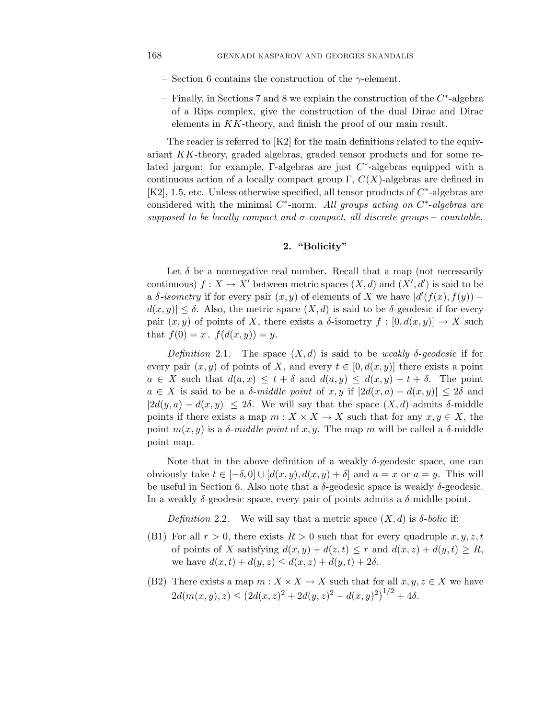- Section 6 contains the construction of the  $\gamma$ -element.
- Finally, in Sections 7 and 8 we explain the construction of the C∗-algebra of a Rips complex, give the construction of the dual Dirac and Dirac elements in KK-theory, and finish the proof of our main result.

The reader is referred to [K2] for the main definitions related to the equivariant KK-theory, graded algebras, graded tensor products and for some related jargon: for example, Γ-algebras are just  $C^*$ -algebras equipped with a continuous action of a locally compact group  $\Gamma$ ,  $C(X)$ -algebras are defined in [K2], 1.5, etc. Unless otherwise specified, all tensor products of C∗-algebras are considered with the minimal  $C^*$ -norm. All groups acting on  $C^*$ -algebras are supposed to be locally compact and  $\sigma$ -compact, all discrete groups – countable.

# **2. "Bolicity"**

Let  $\delta$  be a nonnegative real number. Recall that a map (not necessarily continuous)  $f: X \to X'$  between metric spaces  $(X, d)$  and  $(X', d')$  is said to be a  $\delta$ -isometry if for every pair  $(x, y)$  of elements of X we have  $|d'(f(x), f(y))$  $d(x, y) \leq \delta$ . Also, the metric space  $(X, d)$  is said to be  $\delta$ -geodesic if for every pair  $(x, y)$  of points of X, there exists a  $\delta$ -isometry  $f : [0, d(x, y)] \to X$  such that  $f(0) = x$ ,  $f(d(x, y)) = y$ .

Definition 2.1. The space  $(X, d)$  is said to be weakly  $\delta$ -geodesic if for every pair  $(x, y)$  of points of X, and every  $t \in [0, d(x, y)]$  there exists a point  $a \in X$  such that  $d(a, x) \leq t + \delta$  and  $d(a, y) \leq d(x, y) - t + \delta$ . The point  $a \in X$  is said to be a  $\delta$ -middle point of x, y if  $|2d(x, a) - d(x, y)| \leq 2\delta$  and  $|2d(y, a) - d(x, y)| \leq 2\delta$ . We will say that the space  $(X, d)$  admits  $\delta$ -middle points if there exists a map  $m: X \times X \to X$  such that for any  $x, y \in X$ , the point  $m(x, y)$  is a  $\delta$ -middle point of x, y. The map m will be called a  $\delta$ -middle point map.

Note that in the above definition of a weakly  $\delta$ -geodesic space, one can obviously take  $t \in [-\delta, 0] \cup [d(x, y), d(x, y) + \delta]$  and  $a = x$  or  $a = y$ . This will be useful in Section 6. Also note that a  $\delta$ -geodesic space is weakly  $\delta$ -geodesic. In a weakly  $\delta$ -geodesic space, every pair of points admits a  $\delta$ -middle point.

Definition 2.2. We will say that a metric space  $(X, d)$  is  $\delta$ -bolic if:

- (B1) For all  $r > 0$ , there exists  $R > 0$  such that for every quadruple  $x, y, z, t$ of points of X satisfying  $d(x, y) + d(z, t) \leq r$  and  $d(x, z) + d(y, t) \geq R$ , we have  $d(x, t) + d(y, z) \leq d(x, z) + d(y, t) + 2\delta$ .
- (B2) There exists a map  $m: X \times X \to X$  such that for all  $x, y, z \in X$  we have  $2d(m(x, y), z) \leq (2d(x, z)^{2} + 2d(y, z)^{2} - d(x, y)^{2})^{1/2} + 4\delta.$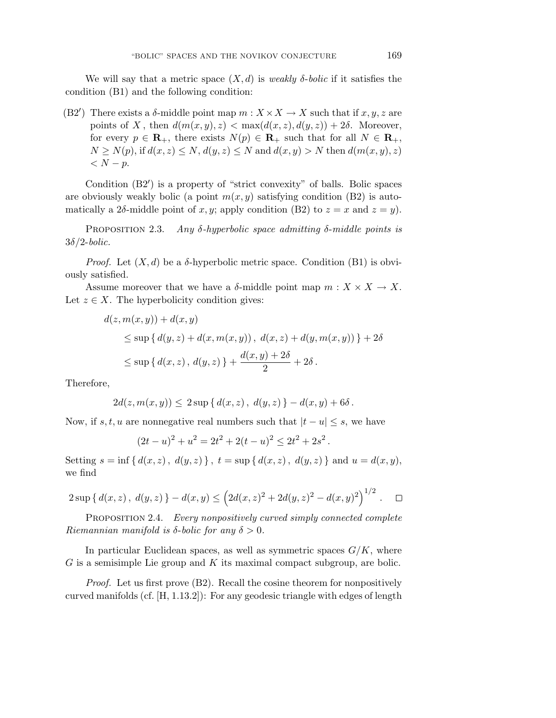We will say that a metric space  $(X, d)$  is weakly  $\delta$ -bolic if it satisfies the condition (B1) and the following condition:

(B2') There exists a  $\delta$ -middle point map  $m : X \times X \to X$  such that if  $x, y, z$  are points of X, then  $d(m(x, y), z) < \max(d(x, z), d(y, z)) + 2\delta$ . Moreover, for every  $p \in \mathbf{R}_+$ , there exists  $N(p) \in \mathbf{R}_+$  such that for all  $N \in \mathbf{R}_+$ ,  $N \ge N(p)$ , if  $d(x, z) \le N$ ,  $d(y, z) \le N$  and  $d(x, y) > N$  then  $d(m(x, y), z)$  $\langle N-p.$ 

Condition (B2') is a property of "strict convexity" of balls. Bolic spaces are obviously weakly bolic (a point  $m(x, y)$  satisfying condition (B2) is automatically a 2 $\delta$ -middle point of x, y; apply condition (B2) to  $z = x$  and  $z = y$ ).

PROPOSITION 2.3. Any  $\delta$ -hyperbolic space admitting  $\delta$ -middle points is  $3\delta/2$ -bolic.

*Proof.* Let  $(X, d)$  be a  $\delta$ -hyperbolic metric space. Condition (B1) is obviously satisfied.

Assume moreover that we have a  $\delta$ -middle point map  $m : X \times X \to X$ . Let  $z \in X$ . The hyperbolicity condition gives:

$$
d(z, m(x, y)) + d(x, y)
$$
  
\$\leq\$ sup { $d(y, z) + d(x, m(x, y))$ ,  $d(x, z) + d(y, m(x, y))$ } + 2 $\delta$   
\$\leq\$ sup { $d(x, z)$ ,  $d(y, z)$ } +  $\frac{d(x, y) + 2\delta}{2}$  + 2 $\delta$ .

Therefore,

$$
2d(z, m(x, y)) \leq 2 \sup \{ d(x, z), d(y, z) \} - d(x, y) + 6\delta.
$$

Now, if s, t, u are nonnegative real numbers such that  $|t - u| \leq s$ , we have

$$
(2t - u)^{2} + u^{2} = 2t^{2} + 2(t - u)^{2} \le 2t^{2} + 2s^{2}.
$$

Setting  $s = \inf \{ d(x, z), d(y, z) \}, t = \sup \{ d(x, z), d(y, z) \}$  and  $u = d(x, y)$ , we find

$$
2 \sup \{ d(x, z), d(y, z) \} - d(x, y) \le \left( 2d(x, z)^2 + 2d(y, z)^2 - d(x, y)^2 \right)^{1/2} . \quad \Box
$$

PROPOSITION 2.4. Every nonpositively curved simply connected complete Riemannian manifold is  $\delta$ -bolic for any  $\delta > 0$ .

In particular Euclidean spaces, as well as symmetric spaces  $G/K$ , where  $G$  is a semisimple Lie group and  $K$  its maximal compact subgroup, are bolic.

Proof. Let us first prove (B2). Recall the cosine theorem for nonpositively curved manifolds (cf. [H, 1.13.2]): For any geodesic triangle with edges of length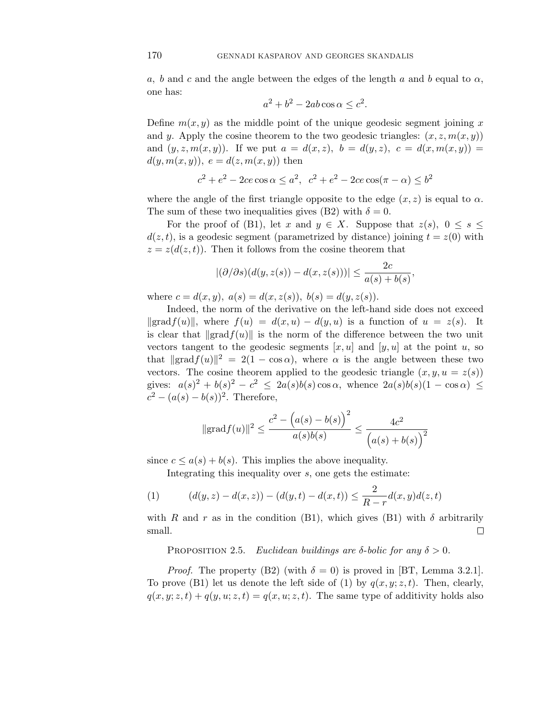a, b and c and the angle between the edges of the length a and b equal to  $\alpha$ , one has:

$$
a^2 + b^2 - 2ab\cos\alpha \le c^2.
$$

Define  $m(x, y)$  as the middle point of the unique geodesic segment joining x and y. Apply the cosine theorem to the two geodesic triangles:  $(x, z, m(x, y))$ and  $(y, z, m(x, y))$ . If we put  $a = d(x, z)$ ,  $b = d(y, z)$ ,  $c = d(x, m(x, y))$  $d(y, m(x, y)), e = d(z, m(x, y))$  then

 $c^2 + e^2 - 2ce \cos \alpha \leq a^2$ ,  $c^2 + e^2 - 2ce \cos(\pi - \alpha) \leq b^2$ 

where the angle of the first triangle opposite to the edge  $(x, z)$  is equal to  $\alpha$ . The sum of these two inequalities gives (B2) with  $\delta = 0$ .

For the proof of (B1), let x and  $y \in X$ . Suppose that  $z(s)$ ,  $0 \le s \le$  $d(z, t)$ , is a geodesic segment (parametrized by distance) joining  $t = z(0)$  with  $z = z(d(z, t))$ . Then it follows from the cosine theorem that

$$
|(\partial/\partial s)(d(y, z(s)) - d(x, z(s)))| \le \frac{2c}{a(s) + b(s)},
$$

where  $c = d(x, y)$ ,  $a(s) = d(x, z(s))$ ,  $b(s) = d(y, z(s))$ .

Indeed, the norm of the derivative on the left-hand side does not exceed  $\| \text{grad } f(u) \|$ , where  $f(u) = d(x, u) - d(y, u)$  is a function of  $u = z(s)$ . It is clear that  $\|\text{grad } f(u)\|$  is the norm of the difference between the two unit vectors tangent to the geodesic segments  $[x, u]$  and  $[y, u]$  at the point u, so that  $\|\text{grad}f(u)\|^2 = 2(1 - \cos \alpha)$ , where  $\alpha$  is the angle between these two vectors. The cosine theorem applied to the geodesic triangle  $(x, y, u = z(s))$ gives:  $a(s)^2 + b(s)^2 - c^2 \leq 2a(s)b(s)\cos\alpha$ , whence  $2a(s)b(s)(1 - \cos\alpha) \leq$  $c^{2} - (a(s) - b(s))^{2}$ . Therefore,

$$
\|\text{grad} f(u)\|^2 \le \frac{c^2 - (a(s) - b(s))^2}{a(s)b(s)} \le \frac{4c^2}{(a(s) + b(s))^2}
$$

since  $c \leq a(s) + b(s)$ . This implies the above inequality.

Integrating this inequality over s, one gets the estimate:

(1) 
$$
(d(y, z) - d(x, z)) - (d(y, t) - d(x, t)) \le \frac{2}{R - r} d(x, y) d(z, t)
$$

with R and r as in the condition (B1), which gives (B1) with  $\delta$  arbitrarily small.  $\Box$ 

PROPOSITION 2.5. Euclidean buildings are  $\delta$ -bolic for any  $\delta > 0$ .

*Proof.* The property (B2) (with  $\delta = 0$ ) is proved in [BT, Lemma 3.2.1]. To prove (B1) let us denote the left side of (1) by  $q(x, y; z, t)$ . Then, clearly,  $q(x, y; z, t) + q(y, u; z, t) = q(x, u; z, t)$ . The same type of additivity holds also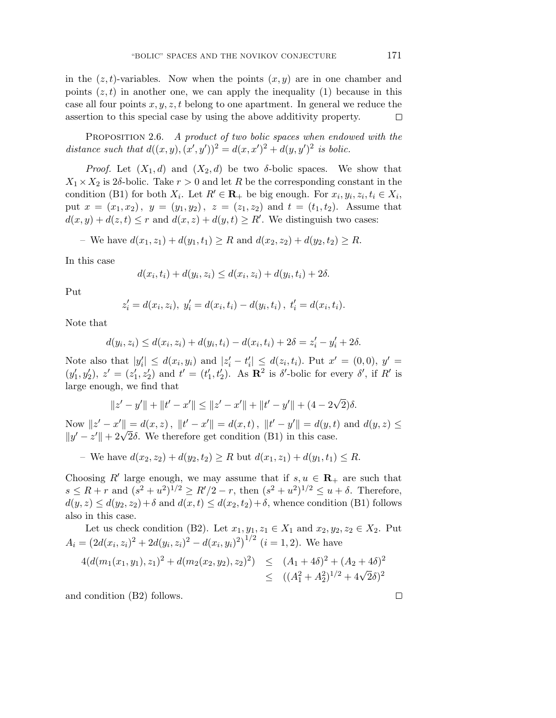in the  $(z, t)$ -variables. Now when the points  $(x, y)$  are in one chamber and points  $(z, t)$  in another one, we can apply the inequality (1) because in this case all four points  $x, y, z, t$  belong to one apartment. In general we reduce the assertion to this special case by using the above additivity property.  $\Box$ 

PROPOSITION 2.6. A product of two bolic spaces when endowed with the distance such that  $d((x, y), (x', y'))^2 = d(x, x')^2 + d(y, y')^2$  is bolic.

*Proof.* Let  $(X_1, d)$  and  $(X_2, d)$  be two  $\delta$ -bolic spaces. We show that  $X_1 \times X_2$  is 2 $\delta$ -bolic. Take  $r > 0$  and let R be the corresponding constant in the condition (B1) for both  $X_i$ . Let  $R' \in \mathbf{R}_+$  be big enough. For  $x_i, y_i, z_i, t_i \in X_i$ , put  $x = (x_1, x_2), y = (y_1, y_2), z = (z_1, z_2)$  and  $t = (t_1, t_2)$ . Assume that  $d(x, y) + d(z, t) \leq r$  and  $d(x, z) + d(y, t) \geq R'$ . We distinguish two cases:

- We have 
$$
d(x_1, z_1) + d(y_1, t_1) \ge R
$$
 and  $d(x_2, z_2) + d(y_2, t_2) \ge R$ .

In this case

$$
d(x_i, t_i) + d(y_i, z_i) \le d(x_i, z_i) + d(y_i, t_i) + 2\delta.
$$

Put

$$
z'_{i} = d(x_{i}, z_{i}), y'_{i} = d(x_{i}, t_{i}) - d(y_{i}, t_{i}), t'_{i} = d(x_{i}, t_{i}).
$$

Note that

$$
d(y_i, z_i) \le d(x_i, z_i) + d(y_i, t_i) - d(x_i, t_i) + 2\delta = z_i' - y_i' + 2\delta.
$$

Note also that  $|y'_i| \leq d(x_i, y_i)$  and  $|z'_i - t'_i| \leq d(z_i, t_i)$ . Put  $x' = (0, 0), y' =$  $(y'_1, y'_2), z' = (z'_1, z'_2)$  and  $t' = (t'_1, t'_2)$ . As  $\mathbb{R}^2$  is  $\delta'$ -bolic for every  $\delta'$ , if  $R'$  is large enough, we find that

$$
||z'-y'|| + ||t'-x'|| \le ||z'-x'|| + ||t'-y'|| + (4-2\sqrt{2})\delta.
$$

Now  $||z' - x'|| = d(x, z)$ ,  $||t' - x'|| = d(x, t)$ ,  $||t' - y'|| = d(y, t)$  and  $d(y, z) \le$ Now  $||z - x|| = a(x, z)$ ,  $||t - x|| = a(x, t)$ ,  $||t - y|| = a(y, t)$ <br> $||y' - z'|| + 2\sqrt{2}\delta$ . We therefore get condition (B1) in this case.

– We have  $d(x_2, z_2) + d(y_2, t_2) \ge R$  but  $d(x_1, z_1) + d(y_1, t_1) \le R$ .

Choosing R' large enough, we may assume that if  $s, u \in \mathbf{R}_+$  are such that  $s \leq R + r$  and  $(s^2 + u^2)^{1/2} \geq R'/2 - r$ , then  $(s^2 + u^2)^{1/2} \leq u + \delta$ . Therefore,  $d(y, z) \leq d(y_2, z_2) + \delta$  and  $d(x, t) \leq d(x_2, t_2) + \delta$ , whence condition (B1) follows also in this case.

Let us check condition (B2). Let 
$$
x_1, y_1, z_1 \in X_1
$$
 and  $x_2, y_2, z_2 \in X_2$ . Put  
\n
$$
A_i = (2d(x_i, z_i)^2 + 2d(y_i, z_i)^2 - d(x_i, y_i)^2)^{1/2} \ (i = 1, 2).
$$
 We have  
\n
$$
4(d(m_1(x_1, y_1), z_1)^2 + d(m_2(x_2, y_2), z_2)^2) \le (A_1 + 4\delta)^2 + (A_2 + 4\delta)^2
$$

$$
4(d(m_1(x_1, y_1), z_1)^2 + d(m_2(x_2, y_2), z_2)^2) \le (A_1 + 4\delta)^2 + (A_2 + 4\delta)^2
$$
  
 
$$
\le (A_1^2 + A_2^2)^{1/2} + 4\sqrt{2}\delta)^2
$$

and condition (B2) follows.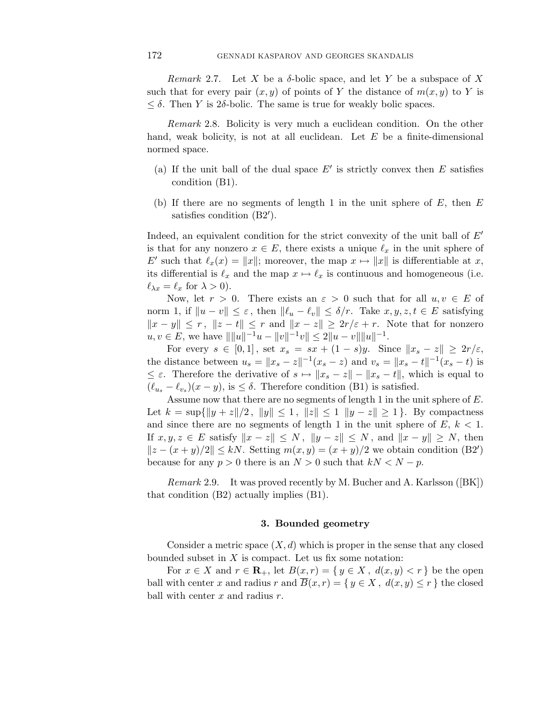Remark 2.7. Let X be a  $\delta$ -bolic space, and let Y be a subspace of X such that for every pair  $(x, y)$  of points of Y the distance of  $m(x, y)$  to Y is  $\leq \delta$ . Then Y is 2 $\delta$ -bolic. The same is true for weakly bolic spaces.

Remark 2.8. Bolicity is very much a euclidean condition. On the other hand, weak bolicity, is not at all euclidean. Let  $E$  be a finite-dimensional normed space.

- (a) If the unit ball of the dual space  $E'$  is strictly convex then  $E$  satisfies condition (B1).
- (b) If there are no segments of length 1 in the unit sphere of  $E$ , then  $E$ satisfies condition  $(B2')$ .

Indeed, an equivalent condition for the strict convexity of the unit ball of  $E'$ is that for any nonzero  $x \in E$ , there exists a unique  $\ell_x$  in the unit sphere of E' such that  $\ell_x(x) = ||x||$ ; moreover, the map  $x \mapsto ||x||$  is differentiable at x, its differential is  $\ell_x$  and the map  $x \mapsto \ell_x$  is continuous and homogeneous (i.e.  $\ell_{\lambda x} = \ell_x$  for  $\lambda > 0$ ).

Now, let  $r > 0$ . There exists an  $\varepsilon > 0$  such that for all  $u, v \in E$  of norm 1, if  $||u - v|| \leq \varepsilon$ , then  $||\ell_u - \ell_v|| \leq \delta/r$ . Take  $x, y, z, t \in E$  satisfying  $||x - y|| \le r$ ,  $||z - t|| \le r$  and  $||x - z|| \ge 2r/\varepsilon + r$ . Note that for nonzero  $u, v \in E$ , we have  $|| ||u||^{-1}u - ||v||^{-1}v|| \le 2||u - v|| ||u||^{-1}$ .

For every  $s \in [0,1]$ , set  $x_s = sx + (1-s)y$ . Since  $||x_s - z|| \geq 2r/\varepsilon$ , the distance between  $u_s = ||x_s - z||^{-1}(x_s - z)$  and  $v_s = ||x_s - t||^{-1}(x_s - t)$  is  $\leq \varepsilon$ . Therefore the derivative of  $s \mapsto ||x_s - z|| - ||x_s - t||$ , which is equal to  $(\ell_{u_s} - \ell_{v_s})(x - y)$ , is  $\leq \delta$ . Therefore condition (B1) is satisfied.

Assume now that there are no segments of length 1 in the unit sphere of E. Let  $k = \sup\{\|y + z\|/2, \|y\| \le 1, \|z\| \le 1 \|y - z\| \ge 1\}$ . By compactness and since there are no segments of length 1 in the unit sphere of  $E, k < 1$ . If  $x, y, z \in E$  satisfy  $||x - z|| \leq N$ ,  $||y - z|| \leq N$ , and  $||x - y|| \geq N$ , then  $||z - (x + y)/2|| \le kN$ . Setting  $m(x, y) = (x + y)/2$  we obtain condition (B2') because for any  $p > 0$  there is an  $N > 0$  such that  $kN < N - p$ .

Remark 2.9. It was proved recently by M. Bucher and A. Karlsson ([BK]) that condition (B2) actually implies (B1).

#### **3. Bounded geometry**

Consider a metric space  $(X, d)$  which is proper in the sense that any closed bounded subset in  $X$  is compact. Let us fix some notation:

For  $x \in X$  and  $r \in \mathbf{R}_+$ , let  $B(x,r) = \{y \in X, d(x,y) < r\}$  be the open ball with center x and radius r and  $\overline{B}(x, r) = \{ y \in X, d(x, y) \leq r \}$  the closed ball with center  $x$  and radius  $r$ .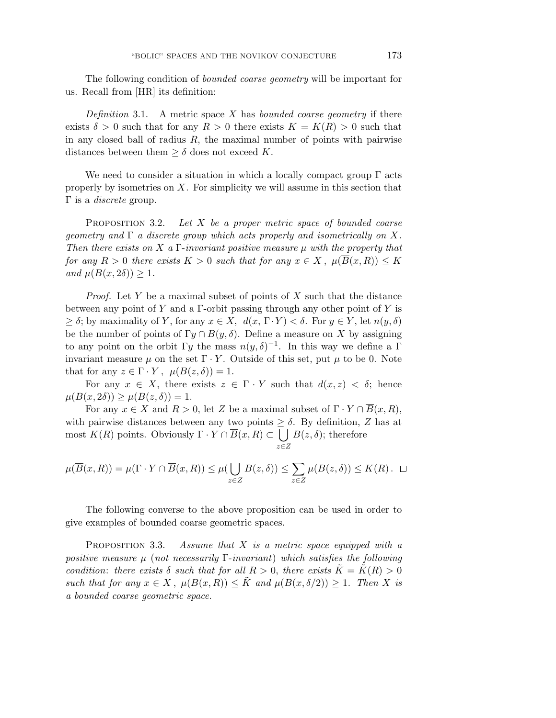The following condition of bounded coarse geometry will be important for us. Recall from [HR] its definition:

Definition 3.1. A metric space X has bounded coarse geometry if there exists  $\delta > 0$  such that for any  $R > 0$  there exists  $K = K(R) > 0$  such that in any closed ball of radius  $R$ , the maximal number of points with pairwise distances between them  $\geq \delta$  does not exceed K.

We need to consider a situation in which a locally compact group  $\Gamma$  acts properly by isometries on  $X$ . For simplicity we will assume in this section that  $Γ$  is a *discrete* group.

PROPOSITION 3.2. Let  $X$  be a proper metric space of bounded coarse geometry and  $\Gamma$  a discrete group which acts properly and isometrically on X. Then there exists on X a  $\Gamma$ -invariant positive measure  $\mu$  with the property that for any  $R > 0$  there exists  $K > 0$  such that for any  $x \in X$ ,  $\mu(\overline{B}(x,R)) \leq K$ and  $\mu(B(x, 2\delta)) \geq 1$ .

*Proof.* Let Y be a maximal subset of points of X such that the distance between any point of Y and a  $\Gamma$ -orbit passing through any other point of Y is  $\geq \delta$ ; by maximality of Y, for any  $x \in X$ ,  $d(x, \Gamma \cdot Y) < \delta$ . For  $y \in Y$ , let  $n(y, \delta)$ be the number of points of  $\Gamma y \cap B(y, \delta)$ . Define a measure on X by assigning to any point on the orbit  $\Gamma y$  the mass  $n(y,\delta)^{-1}$ . In this way we define a  $\Gamma$ invariant measure  $\mu$  on the set  $\Gamma \cdot Y$ . Outside of this set, put  $\mu$  to be 0. Note that for any  $z \in \Gamma \cdot Y$ ,  $\mu(B(z, \delta)) = 1$ .

For any  $x \in X$ , there exists  $z \in \Gamma \cdot Y$  such that  $d(x, z) < \delta$ ; hence  $\mu(B(x, 2\delta)) \geq \mu(B(z, \delta)) = 1.$ 

For any  $x \in X$  and  $R > 0$ , let Z be a maximal subset of  $\Gamma \cdot Y \cap \overline{B}(x, R)$ , with pairwise distances between any two points  $\geq \delta$ . By definition, Z has at most  $K(R)$  points. Obviously  $\Gamma \cdot Y \cap \overline{B}(x,R) \subset \bigcup B(z,\delta)$ ; therefore z∈Z

$$
\mu(\overline{B}(x,R)) = \mu(\Gamma \cdot Y \cap \overline{B}(x,R)) \le \mu(\bigcup_{z \in Z} B(z,\delta)) \le \sum_{z \in Z} \mu(B(z,\delta)) \le K(R). \quad \Box
$$

The following converse to the above proposition can be used in order to give examples of bounded coarse geometric spaces.

PROPOSITION 3.3. Assume that  $X$  is a metric space equipped with a positive measure  $\mu$  (not necessarily  $\Gamma$ -invariant) which satisfies the following condition: there exists  $\delta$  such that for all  $R > 0$ , there exists  $K = K(R) > 0$ such that for any  $x \in X$ ,  $\mu(B(x,R)) \leq \tilde{K}$  and  $\mu(B(x,\delta/2)) \geq 1$ . Then X is a bounded coarse geometric space.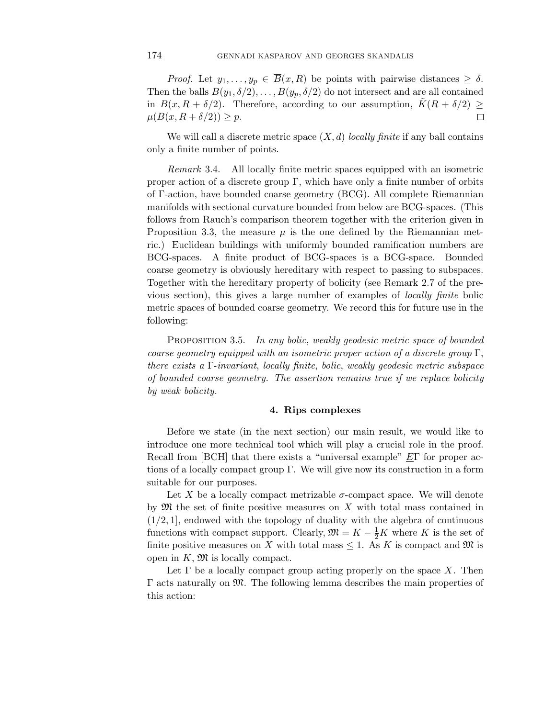*Proof.* Let  $y_1, \ldots, y_p \in \overline{B}(x,R)$  be points with pairwise distances  $\geq \delta$ . Then the balls  $B(y_1, \delta/2), \ldots, B(y_p, \delta/2)$  do not intersect and are all contained in  $B(x, R + \delta/2)$ . Therefore, according to our assumption,  $\tilde{K}(R + \delta/2) \geq$  $\mu(B(x, R + \delta/2)) \geq p.$  $\Box$ 

We will call a discrete metric space  $(X, d)$  locally finite if any ball contains only a finite number of points.

Remark 3.4. All locally finite metric spaces equipped with an isometric proper action of a discrete group  $\Gamma$ , which have only a finite number of orbits of Γ-action, have bounded coarse geometry (BCG). All complete Riemannian manifolds with sectional curvature bounded from below are BCG-spaces. (This follows from Rauch's comparison theorem together with the criterion given in Proposition 3.3, the measure  $\mu$  is the one defined by the Riemannian metric.) Euclidean buildings with uniformly bounded ramification numbers are BCG-spaces. A finite product of BCG-spaces is a BCG-space. Bounded coarse geometry is obviously hereditary with respect to passing to subspaces. Together with the hereditary property of bolicity (see Remark 2.7 of the previous section), this gives a large number of examples of locally finite bolic metric spaces of bounded coarse geometry. We record this for future use in the following:

PROPOSITION 3.5. In any bolic, weakly geodesic metric space of bounded coarse geometry equipped with an isometric proper action of a discrete group  $\Gamma$ , there exists a Γ-invariant, locally finite, bolic, weakly geodesic metric subspace of bounded coarse geometry. The assertion remains true if we replace bolicity by weak bolicity.

# **4. Rips complexes**

Before we state (in the next section) our main result, we would like to introduce one more technical tool which will play a crucial role in the proof. Recall from [BCH] that there exists a "universal example"  $E\Gamma$  for proper actions of a locally compact group Γ. We will give now its construction in a form suitable for our purposes.

Let X be a locally compact metrizable  $\sigma$ -compact space. We will denote by  $\mathfrak M$  the set of finite positive measures on X with total mass contained in  $(1/2, 1]$ , endowed with the topology of duality with the algebra of continuous functions with compact support. Clearly,  $\mathfrak{M} = K - \frac{1}{2}K$  where K is the set of finite positive measures on X with total mass  $\leq 1$ . As K is compact and M is open in  $K$ ,  $\mathfrak{M}$  is locally compact.

Let  $\Gamma$  be a locally compact group acting properly on the space X. Then  $\Gamma$  acts naturally on  $\mathfrak{M}$ . The following lemma describes the main properties of this action: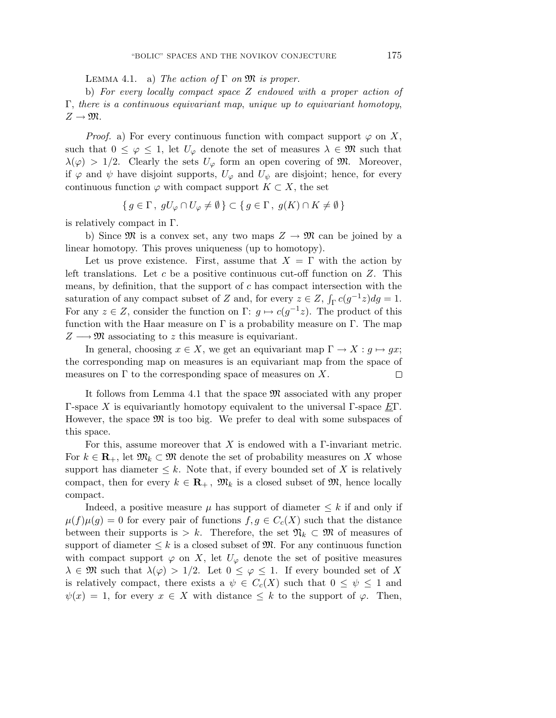LEMMA 4.1. a) The action of  $\Gamma$  on  $\mathfrak{M}$  is proper.

b) For every locally compact space Z endowed with a proper action of Γ, there is a continuous equivariant map, unique up to equivariant homotopy,  $Z \to \mathfrak{M}.$ 

*Proof.* a) For every continuous function with compact support  $\varphi$  on X, such that  $0 \leq \varphi \leq 1$ , let  $U_{\varphi}$  denote the set of measures  $\lambda \in \mathfrak{M}$  such that  $\lambda(\varphi) > 1/2$ . Clearly the sets  $U_{\varphi}$  form an open covering of M. Moreover, if  $\varphi$  and  $\psi$  have disjoint supports,  $U_{\varphi}$  and  $U_{\psi}$  are disjoint; hence, for every continuous function  $\varphi$  with compact support  $K \subset X$ , the set

$$
\{ g \in \Gamma, gU_{\varphi} \cap U_{\varphi} \neq \emptyset \} \subset \{ g \in \Gamma, g(K) \cap K \neq \emptyset \}
$$

is relatively compact in Γ.

b) Since  $\mathfrak{M}$  is a convex set, any two maps  $Z \to \mathfrak{M}$  can be joined by a linear homotopy. This proves uniqueness (up to homotopy).

Let us prove existence. First, assume that  $X = \Gamma$  with the action by left translations. Let  $c$  be a positive continuous cut-off function on  $Z$ . This means, by definition, that the support of  $c$  has compact intersection with the saturation of any compact subset of Z and, for every  $z \in Z$ ,  $\int_{\Gamma} c(g^{-1}z) dg = 1$ . For any  $z \in Z$ , consider the function on  $\Gamma: g \mapsto c(g^{-1}z)$ . The product of this function with the Haar measure on  $\Gamma$  is a probability measure on  $\Gamma$ . The map  $Z \longrightarrow \mathfrak{M}$  associating to z this measure is equivariant.

In general, choosing  $x \in X$ , we get an equivariant map  $\Gamma \to X : g \mapsto gx$ ; the corresponding map on measures is an equivariant map from the space of measures on  $\Gamma$  to the corresponding space of measures on X.  $\Box$ 

It follows from Lemma 4.1 that the space  $\mathfrak{M}$  associated with any proper Γ-space X is equivariantly homotopy equivalent to the universal Γ-space  $E\Gamma$ . However, the space  $\mathfrak{M}$  is too big. We prefer to deal with some subspaces of this space.

For this, assume moreover that X is endowed with a  $\Gamma$ -invariant metric. For  $k \in \mathbf{R}_+$ , let  $\mathfrak{M}_k \subset \mathfrak{M}$  denote the set of probability measures on X whose support has diameter  $\leq k$ . Note that, if every bounded set of X is relatively compact, then for every  $k \in \mathbb{R}_+$ ,  $\mathfrak{M}_k$  is a closed subset of  $\mathfrak{M}$ , hence locally compact.

Indeed, a positive measure  $\mu$  has support of diameter  $\leq k$  if and only if  $\mu(f)\mu(g)=0$  for every pair of functions  $f,g\in C_c(X)$  such that the distance between their supports is > k. Therefore, the set  $\mathfrak{N}_k \subset \mathfrak{M}$  of measures of support of diameter  $\leq k$  is a closed subset of  $\mathfrak{M}$ . For any continuous function with compact support  $\varphi$  on X, let  $U_{\varphi}$  denote the set of positive measures  $\lambda \in \mathfrak{M}$  such that  $\lambda(\varphi) > 1/2$ . Let  $0 \leq \varphi \leq 1$ . If every bounded set of X is relatively compact, there exists a  $\psi \in C_c(X)$  such that  $0 \leq \psi \leq 1$  and  $\psi(x) = 1$ , for every  $x \in X$  with distance  $\leq k$  to the support of  $\varphi$ . Then,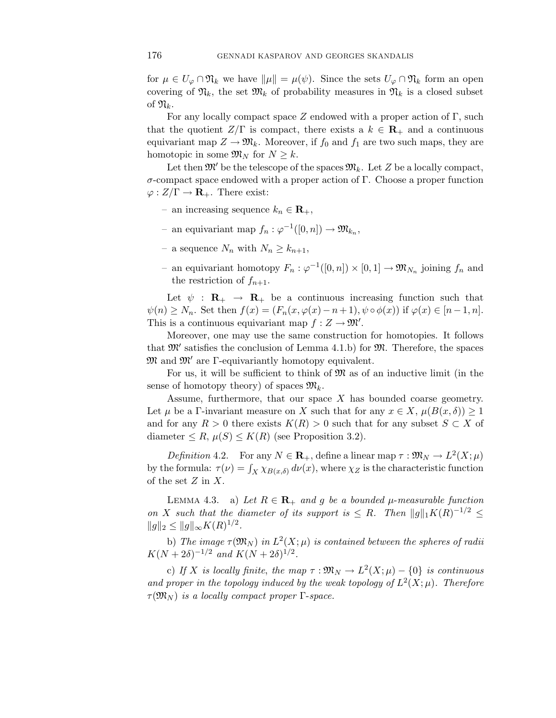for  $\mu \in U_{\varphi} \cap \mathfrak{N}_k$  we have  $\|\mu\| = \mu(\psi)$ . Since the sets  $U_{\varphi} \cap \mathfrak{N}_k$  form an open covering of  $\mathfrak{N}_k$ , the set  $\mathfrak{M}_k$  of probability measures in  $\mathfrak{N}_k$  is a closed subset of  $\mathfrak{N}_k$ .

For any locally compact space Z endowed with a proper action of Γ, such that the quotient  $Z/\Gamma$  is compact, there exists a  $k \in \mathbf{R}_+$  and a continuous equivariant map  $Z \to \mathfrak{M}_k$ . Moreover, if  $f_0$  and  $f_1$  are two such maps, they are homotopic in some  $\mathfrak{M}_N$  for  $N \geq k$ .

Let then  $\mathfrak{M}'$  be the telescope of the spaces  $\mathfrak{M}_k$ . Let Z be a locally compact, σ-compact space endowed with a proper action of Γ. Choose a proper function  $\varphi: Z/\Gamma \to \mathbf{R}_+$ . There exist:

- an increasing sequence  $k_n$  ∈ **R**<sub>+</sub>,
- an equivariant map  $f_n: \varphi^{-1}([0,n]) \to \mathfrak{M}_{k_n}$ ,
- a sequence  $N_n$  with  $N_n \geq k_{n+1}$ ,
- an equivariant homotopy  $F_n$ :  $\varphi^{-1}([0, n]) \times [0, 1] \to \mathfrak{M}_{N_n}$  joining  $f_n$  and the restriction of  $f_{n+1}$ .

Let  $\psi$  :  $\mathbf{R}_{+} \rightarrow \mathbf{R}_{+}$  be a continuous increasing function such that  $\psi(n) \geq N_n$ . Set then  $f(x)=(F_n(x,\varphi(x)-n+1), \psi \circ \phi(x))$  if  $\varphi(x) \in [n-1,n]$ . This is a continuous equivariant map  $f: Z \to \mathfrak{M}'$ .

Moreover, one may use the same construction for homotopies. It follows that  $\mathfrak{M}'$  satisfies the conclusion of Lemma 4.1.b) for  $\mathfrak{M}$ . Therefore, the spaces  $\mathfrak{M}$  and  $\mathfrak{M}'$  are  $\Gamma$ -equivariantly homotopy equivalent.

For us, it will be sufficient to think of  $\mathfrak{M}$  as of an inductive limit (in the sense of homotopy theory) of spaces  $\mathfrak{M}_k$ .

Assume, furthermore, that our space  $X$  has bounded coarse geometry. Let  $\mu$  be a Γ-invariant measure on X such that for any  $x \in X$ ,  $\mu(B(x, \delta)) \geq 1$ and for any  $R > 0$  there exists  $K(R) > 0$  such that for any subset  $S \subset X$  of diameter  $\leq R$ ,  $\mu(S) \leq K(R)$  (see Proposition 3.2).

Definition 4.2. For any  $N \in \mathbf{R}_+$ , define a linear map  $\tau : \mathfrak{M}_N \to L^2(X;\mu)$ by the formula:  $\tau(\nu) = \int_X \chi_{B(x,\delta)} d\nu(x)$ , where  $\chi_Z$  is the characteristic function of the set  $Z$  in  $X$ .

LEMMA 4.3. a) Let  $R \in \mathbb{R}_+$  and g be a bounded  $\mu$ -measurable function on X such that the diameter of its support is  $\leq R$ . Then  $||g||_1K(R)^{-1/2} \leq$  $||g||_2 \leq ||g||_{\infty} K(R)^{1/2}.$ 

b) The image  $\tau(\mathfrak{M}_N)$  in  $L^2(X;\mu)$  is contained between the spheres of radii  $K(N+2\delta)^{-1/2}$  and  $K(N+2\delta)^{1/2}$ .

c) If X is locally finite, the map  $\tau : \mathfrak{M}_N \to L^2(X;\mu) - \{0\}$  is continuous and proper in the topology induced by the weak topology of  $L^2(X;\mu)$ . Therefore  $\tau(\mathfrak{M}_N)$  is a locally compact proper  $\Gamma$ -space.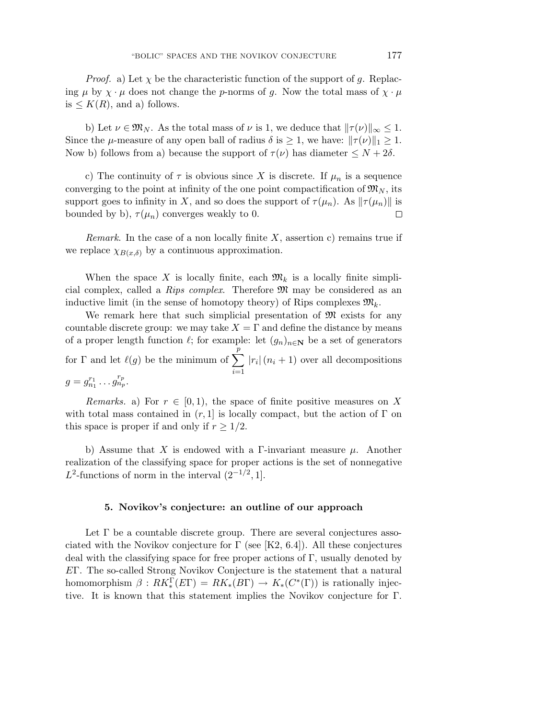*Proof.* a) Let  $\chi$  be the characteristic function of the support of g. Replacing  $\mu$  by  $\chi \cdot \mu$  does not change the p-norms of g. Now the total mass of  $\chi \cdot \mu$ is  $\leq K(R)$ , and a) follows.

b) Let  $\nu \in \mathfrak{M}_N$ . As the total mass of  $\nu$  is 1, we deduce that  $||\tau(\nu)||_{\infty} \leq 1$ . Since the  $\mu$ -measure of any open ball of radius  $\delta$  is  $\geq 1$ , we have:  $||\tau(\nu)||_1 \geq 1$ . Now b) follows from a) because the support of  $\tau(\nu)$  has diameter  $\leq N+2\delta$ .

c) The continuity of  $\tau$  is obvious since X is discrete. If  $\mu_n$  is a sequence converging to the point at infinity of the one point compactification of  $\mathfrak{M}_N$ , its support goes to infinity in X, and so does the support of  $\tau(\mu_n)$ . As  $\|\tau(\mu_n)\|$  is bounded by b),  $\tau(\mu_n)$  converges weakly to 0.  $\Box$ 

*Remark.* In the case of a non locally finite  $X$ , assertion c) remains true if we replace  $\chi_{B(x,\delta)}$  by a continuous approximation.

When the space X is locally finite, each  $\mathfrak{M}_k$  is a locally finite simplicial complex, called a Rips complex. Therefore M may be considered as an inductive limit (in the sense of homotopy theory) of Rips complexes  $\mathfrak{M}_k$ .

We remark here that such simplicial presentation of  $\mathfrak{M}$  exists for any countable discrete group: we may take  $X = \Gamma$  and define the distance by means of a proper length function  $\ell$ ; for example: let  $(g_n)_{n\in\mathbb{N}}$  be a set of generators for  $\Gamma$  and let  $\ell(g)$  be the minimum of  $\sum_{n=1}^{\infty}$  $i=1$  $|r_i|(n_i + 1)$  over all decompositions  $g = g_{n_1}^{r_1} \dots g_{n_p}^{r_p}.$ 

Remarks. a) For  $r \in [0, 1)$ , the space of finite positive measures on X with total mass contained in  $(r, 1]$  is locally compact, but the action of  $\Gamma$  on this space is proper if and only if  $r \geq 1/2$ .

b) Assume that X is endowed with a Γ-invariant measure  $\mu$ . Another realization of the classifying space for proper actions is the set of nonnegative L<sup>2</sup>-functions of norm in the interval  $(2^{-1/2}, 1]$ .

# **5. Novikov's conjecture: an outline of our approach**

Let  $\Gamma$  be a countable discrete group. There are several conjectures associated with the Novikov conjecture for  $\Gamma$  (see [K2, 6.4]). All these conjectures deal with the classifying space for free proper actions of Γ, usually denoted by EΓ. The so-called Strong Novikov Conjecture is the statement that a natural homomorphism  $\beta: RK_*^{\Gamma}(E\Gamma) = RK_*(B\Gamma) \to K_*(C^*(\Gamma))$  is rationally injective. It is known that this statement implies the Novikov conjecture for Γ.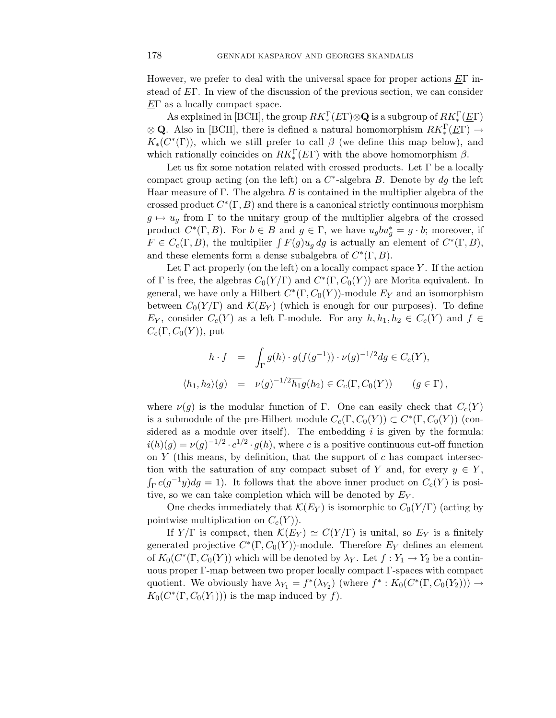However, we prefer to deal with the universal space for proper actions  $E\Gamma$  instead of EΓ. In view of the discussion of the previous section, we can consider  $E\Gamma$  as a locally compact space.

As explained in [BCH], the group  $RK_*^{\Gamma}(E\Gamma)\otimes \mathbf{Q}$  is a subgroup of  $RK_*^{\Gamma}(\underline{E}\Gamma)$  $\otimes$  **Q**. Also in [BCH], there is defined a natural homomorphism  $RK_*^{\Gamma}(\underline{E}\Gamma) \rightarrow$  $K_*(C^*(\Gamma))$ , which we still prefer to call  $\beta$  (we define this map below), and which rationally coincides on  $RK_*^{\Gamma}(E\Gamma)$  with the above homomorphism  $\beta$ .

Let us fix some notation related with crossed products. Let  $\Gamma$  be a locally compact group acting (on the left) on a  $C^*$ -algebra B. Denote by dg the left Haar measure of Γ. The algebra B is contained in the multiplier algebra of the crossed product  $C^*(\Gamma, B)$  and there is a canonical strictly continuous morphism  $g \mapsto u_g$  from  $\Gamma$  to the unitary group of the multiplier algebra of the crossed product  $C^*(\Gamma, B)$ . For  $b \in B$  and  $g \in \Gamma$ , we have  $u_g b u_g^* = g \cdot b$ ; moreover, if  $F \in C_c(\Gamma, B)$ , the multiplier  $\int F(g)u_q dg$  is actually an element of  $C^*(\Gamma, B)$ , and these elements form a dense subalgebra of  $C^*(\Gamma, B)$ .

Let  $\Gamma$  act properly (on the left) on a locally compact space Y. If the action of Γ is free, the algebras  $C_0(Y/\Gamma)$  and  $C^*(\Gamma, C_0(Y))$  are Morita equivalent. In general, we have only a Hilbert  $C^*(\Gamma, C_0(Y))$ -module  $E_Y$  and an isomorphism between  $C_0(Y/\Gamma)$  and  $\mathcal{K}(E_Y)$  (which is enough for our purposes). To define  $E_Y$ , consider  $C_c(Y)$  as a left Γ-module. For any  $h, h_1, h_2 \in C_c(Y)$  and  $f \in$  $C_c(\Gamma, C_0(Y))$ , put

$$
h \cdot f = \int_{\Gamma} g(h) \cdot g(f(g^{-1})) \cdot \nu(g)^{-1/2} dg \in C_c(Y),
$$
  

$$
\langle h_1, h_2 \rangle(g) = \nu(g)^{-1/2} \overline{h_1} g(h_2) \in C_c(\Gamma, C_0(Y)) \qquad (g \in \Gamma),
$$

where  $\nu(g)$  is the modular function of Γ. One can easily check that  $C_c(Y)$ is a submodule of the pre-Hilbert module  $C_c(\Gamma, C_0(Y)) \subset C^*(\Gamma, C_0(Y))$  (considered as a module over itself). The embedding  $i$  is given by the formula:  $i(h)(q) = \nu(q)^{-1/2} \cdot c^{1/2} \cdot q(h)$ , where c is a positive continuous cut-off function on  $Y$  (this means, by definition, that the support of  $c$  has compact intersection with the saturation of any compact subset of Y and, for every  $y \in Y$ ,  $\int_{\Gamma} c(g^{-1}y) dg = 1$ ). It follows that the above inner product on  $C_c(Y)$  is positive, so we can take completion which will be denoted by  $E_Y$ .

One checks immediately that  $\mathcal{K}(E_Y)$  is isomorphic to  $C_0(Y/\Gamma)$  (acting by pointwise multiplication on  $C_c(Y)$ ).

If  $Y/\Gamma$  is compact, then  $\mathcal{K}(E_Y) \simeq C(Y/\Gamma)$  is unital, so  $E_Y$  is a finitely generated projective  $C^*(\Gamma, C_0(Y))$ -module. Therefore  $E_Y$  defines an element of  $K_0(C^*(\Gamma, C_0(Y))$  which will be denoted by  $\lambda_Y$ . Let  $f: Y_1 \to Y_2$  be a continuous proper Γ-map between two proper locally compact Γ-spaces with compact quotient. We obviously have  $\lambda_{Y_1} = f^*(\lambda_{Y_2})$  (where  $f^*: K_0(C^*(\Gamma, C_0(Y_2))) \to$  $K_0(C^*(\Gamma, C_0(Y_1)))$  is the map induced by f).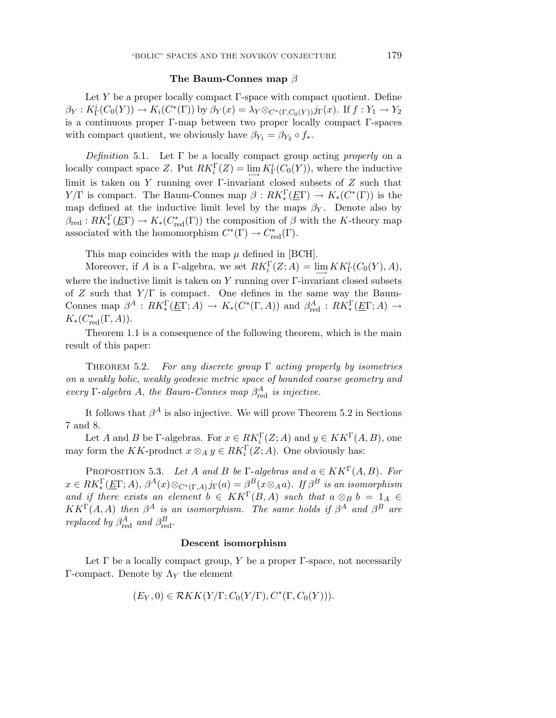#### **The Baum-Connes map** β

Let  $Y$  be a proper locally compact  $\Gamma$ -space with compact quotient. Define  $\beta_Y: K^i_\Gamma(C_0(Y)) \to K_i(C^*(\Gamma))$  by  $\beta_Y(x) = \lambda_Y \otimes_{C^*(\Gamma, C_0(Y))} j_\Gamma(x)$ . If  $f: Y_1 \to Y_2$ is a continuous proper Γ-map between two proper locally compact Γ-spaces with compact quotient, we obviously have  $\beta_{Y_1} = \beta_{Y_2} \circ f_*$ .

Definition 5.1. Let  $\Gamma$  be a locally compact group acting properly on a locally compact space Z. Put  $RK_i^{\Gamma}(Z) = \lim_{N \to \infty} K_{\Gamma}(C_0(Y))$ , where the inductive limit is taken on Y running over  $\Gamma$ -invariant closed subsets of Z such that  $Y/\Gamma$  is compact. The Baum-Connes map  $\beta: RK_*^{\Gamma}(\underline{E}\Gamma) \to K_*(C^*(\Gamma))$  is the map defined at the inductive limit level by the maps  $\beta_Y$ . Denote also by  $\beta_{\text{red}} : RK_*^{\Gamma}(\underline{E}\Gamma) \to K_*(C_{\text{red}}^*(\Gamma))$  the composition of  $\beta$  with the K-theory map associated with the homomorphism  $C^*(\Gamma) \to C^*_{red}(\Gamma)$ .

This map coincides with the map  $\mu$  defined in [BCH].

Moreover, if A is a  $\Gamma$ -algebra, we set  $RK_i^{\Gamma}(Z; A) = \lim_{\longrightarrow} KK_{\Gamma}^i(C_0(Y), A),$ where the inductive limit is taken on  $Y$  running over  $\Gamma$ -invariant closed subsets of Z such that  $Y/\Gamma$  is compact. One defines in the same way the Baum-Connes map  $\beta^A : RK_*^{\Gamma}(\underline{E}\Gamma; A) \to K_*(C^*(\Gamma, A))$  and  $\beta^A_{red} : RK_*^{\Gamma}(\underline{E}\Gamma; A) \to$  $K_*(C^*_{\text{red}}(\Gamma, A)).$ 

Theorem 1.1 is a consequence of the following theorem, which is the main result of this paper:

THEOREM 5.2. For any discrete group  $\Gamma$  acting properly by isometries on a weakly bolic, weakly geodesic metric space of bounded coarse geometry and every  $\Gamma$ -algebra A, the Baum-Connes map  $\beta_{\text{red}}^A$  is injective.

It follows that  $\beta^A$  is also injective. We will prove Theorem 5.2 in Sections 7 and 8.

Let A and B be  $\Gamma$ -algebras. For  $x \in RK_i^{\Gamma}(Z; A)$  and  $y \in KK^{\Gamma}(A, B)$ , one may form the KK-product  $x \otimes_A y \in RK_i^{\Gamma}(Z; A)$ . One obviously has:

PROPOSITION 5.3. Let A and B be Γ-algebras and  $a \in KK^{\Gamma}(A, B)$ . For  $x \in RK_*^{\Gamma}(\underline{E}\Gamma;A), \beta^A(x) \otimes_{C^*(\Gamma,A)} j_{\Gamma}(a) = \beta^B(x \otimes_A a).$  If  $\beta^B$  is an isomorphism and if there exists an element  $b \in KK^{\Gamma}(B,A)$  such that  $a \otimes_B b = 1_A \in$  $KK^{\Gamma}(A, A)$  then  $\beta^{A}$  is an isomorphism. The same holds if  $\beta^{A}$  and  $\beta^{B}$  are *replaced by*  $\beta_{\text{red}}^A$  *and*  $\beta_{\text{red}}^B$ .

#### **Descent isomorphism**

Let  $\Gamma$  be a locally compact group, Y be a proper  $\Gamma$ -space, not necessarily Γ-compact. Denote by  $Λ_Y$  the element

$$
(E_Y, 0) \in \mathcal{R}KK(Y/\Gamma; C_0(Y/\Gamma), C^*(\Gamma, C_0(Y))).
$$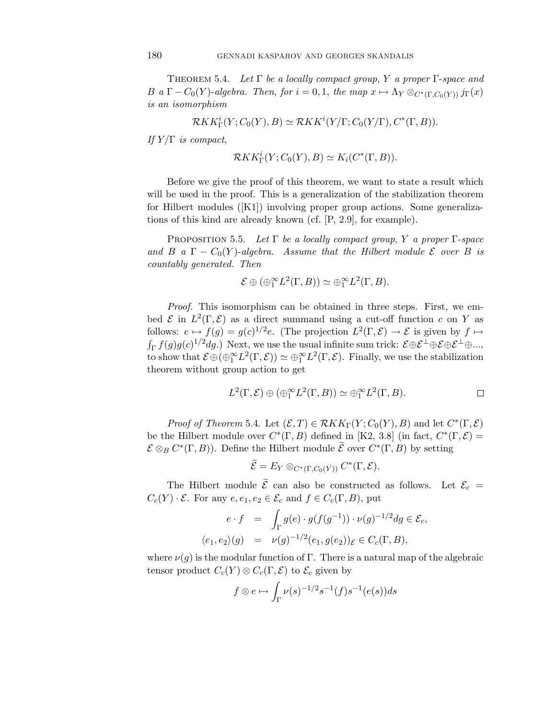THEOREM 5.4. Let  $\Gamma$  be a locally compact group, Y a proper  $\Gamma$ -space and B a  $\Gamma - C_0(Y)$ -algebra. Then, for  $i = 0, 1$ , the map  $x \mapsto \Lambda_Y \otimes_{C^*(\Gamma, C_0(Y))} j_{\Gamma}(x)$ is an isomorphism

$$
\mathcal{R}KK_{\Gamma}^i(Y; C_0(Y), B) \simeq \mathcal{R}KK^i(Y/\Gamma; C_0(Y/\Gamma), C^*(\Gamma, B)).
$$

If  $Y/\Gamma$  is compact,

$$
\mathcal{R}KK_{\Gamma}^i(Y; C_0(Y), B) \simeq K_i(C^*(\Gamma, B)).
$$

Before we give the proof of this theorem, we want to state a result which will be used in the proof. This is a generalization of the stabilization theorem for Hilbert modules ([K1]) involving proper group actions. Some generalizations of this kind are already known (cf. [P, 2.9], for example).

PROPOSITION 5.5. Let  $\Gamma$  be a locally compact group, Y a proper  $\Gamma$ -space and B a  $\Gamma - C_0(Y)$ -algebra. Assume that the Hilbert module  $\mathcal E$  over B is countably generated. Then

$$
\mathcal{E} \oplus (\oplus_1^{\infty} L^2(\Gamma, B)) \simeq \oplus_1^{\infty} L^2(\Gamma, B).
$$

Proof. This isomorphism can be obtained in three steps. First, we embed  $\mathcal E$  in  $L^2(\Gamma,\mathcal E)$  as a direct summand using a cut-off function c on Y as follows:  $e \mapsto f(g) = g(c)^{1/2}e$ . (The projection  $L^2(\Gamma, \mathcal{E}) \to \mathcal{E}$  is given by  $f \mapsto$  $\int_{\Gamma} f(g)g(c)^{1/2}dg.$ ) Next, we use the usual infinite sum trick:  $\mathcal{E} \oplus \mathcal{E}^{\perp} \oplus \mathcal{E} \oplus \mathcal{E}^{\perp} \oplus ...$ to show that  $\mathcal{E} \oplus (\oplus_1^{\infty} L^2(\Gamma, \mathcal{E})) \simeq \oplus_1^{\infty} L^2(\Gamma, \mathcal{E})$ . Finally, we use the stabilization theorem without group action to get

$$
L^{2}(\Gamma, \mathcal{E}) \oplus (\oplus_{1}^{\infty} L^{2}(\Gamma, B)) \simeq \oplus_{1}^{\infty} L^{2}(\Gamma, B).
$$

*Proof of Theorem* 5.4. Let  $(\mathcal{E}, T) \in \mathcal{R}KK_\Gamma(Y; C_0(Y), B)$  and let  $C^*(\Gamma, \mathcal{E})$ be the Hilbert module over  $C^*(\Gamma, B)$  defined in [K2, 3.8] (in fact,  $C^*(\Gamma, \mathcal{E}) =$  $\mathcal{E} \otimes_B C^*(\Gamma, B)$ ). Define the Hilbert module  $\widetilde{\mathcal{E}}$  over  $C^*(\Gamma, B)$  by setting

$$
\widetilde{\mathcal{E}}=E_Y\otimes_{C^*(\Gamma, C_0(Y))}C^*(\Gamma,\mathcal{E}).
$$

The Hilbert module  $\mathcal E$  can also be constructed as follows. Let  $\mathcal E_c =$  $C_c(Y) \cdot \mathcal{E}$ . For any  $e, e_1, e_2 \in \mathcal{E}_c$  and  $f \in C_c(\Gamma, B)$ , put

$$
e \cdot f = \int_{\Gamma} g(e) \cdot g(f(g^{-1})) \cdot \nu(g)^{-1/2} dg \in \mathcal{E}_c,
$$
  

$$
\langle e_1, e_2 \rangle(g) = \nu(g)^{-1/2} (e_1, g(e_2)) \varepsilon \in C_c(\Gamma, B),
$$

where  $\nu(g)$  is the modular function of Γ. There is a natural map of the algebraic tensor product  $C_c(Y) \otimes C_c(\Gamma, \mathcal{E})$  to  $\mathcal{E}_c$  given by

$$
f \otimes e \mapsto \int_{\Gamma} \nu(s)^{-1/2} s^{-1}(f) s^{-1}(e(s)) ds
$$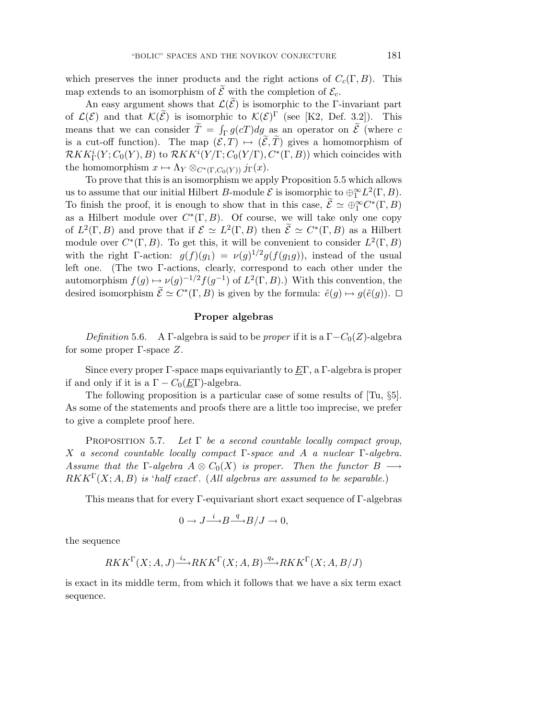which preserves the inner products and the right actions of  $C_c(\Gamma, B)$ . This map extends to an isomorphism of  $\mathcal E$  with the completion of  $\mathcal E_c$ .

An easy argument shows that  $\mathcal{L}(\mathcal{E})$  is isomorphic to the Γ-invariant part of  $\mathcal{L}(\mathcal{E})$  and that  $\mathcal{K}(\widetilde{\mathcal{E}})$  is isomorphic to  $\mathcal{K}(\mathcal{E})^{\Gamma}$  (see [K2, Def. 3.2]). This means that we can consider  $\tilde{T} = \int_{\Gamma} g(cT) dg$  as an operator on  $\tilde{\mathcal{E}}$  (where c is a cut-off function). The map  $(\mathcal{E}, T) \mapsto (\mathcal{E}, T)$  gives a homomorphism of  $\mathcal{R}KK_{\Gamma}^i(Y; C_0(Y), B)$  to  $\mathcal{R}KK^i(Y/\Gamma; C_0(Y/\Gamma), C^*(\Gamma, B))$  which coincides with the homomorphism  $x \mapsto \Lambda_Y \otimes_{C^*(\Gamma, C_0(Y))} j_{\Gamma}(x)$ .

To prove that this is an isomorphism we apply Proposition 5.5 which allows us to assume that our initial Hilbert B-module  $\mathcal E$  is isomorphic to  $\bigoplus_{1}^{\infty} L^2(\Gamma, B)$ . To finish the proof, it is enough to show that in this case,  $\tilde{E} \simeq \bigoplus_{1}^{\infty} C^*(\Gamma, B)$ as a Hilbert module over  $C^*(\Gamma, B)$ . Of course, we will take only one copy of  $L^2(\Gamma, B)$  and prove that if  $\mathcal{E} \simeq L^2(\Gamma, B)$  then  $\widetilde{\mathcal{E}} \simeq C^*(\Gamma, B)$  as a Hilbert module over  $C^*(\Gamma, B)$ . To get this, it will be convenient to consider  $L^2(\Gamma, B)$ with the right Γ-action:  $g(f)(g_1) = \nu(g)^{1/2}g(f(g_1g))$ , instead of the usual left one. (The two Γ-actions, clearly, correspond to each other under the automorphism  $f(g) \mapsto \nu(g)^{-1/2} f(g^{-1})$  of  $L^2(\Gamma, B)$ .) With this convention, the desired isomorphism  $\tilde{\mathcal{E}} \simeq C^*(\Gamma, B)$  is given by the formula:  $\tilde{e}(g) \mapsto g(\tilde{e}(g))$ .

#### **Proper algebras**

Definition 5.6. A Γ-algebra is said to be proper if it is a  $\Gamma - C_0(Z)$ -algebra for some proper Γ-space Z.

Since every proper  $\Gamma$ -space maps equivariantly to  $E\Gamma$ , a  $\Gamma$ -algebra is proper if and only if it is a  $\Gamma - C_0(\underline{E}\Gamma)$ -algebra.

The following proposition is a particular case of some results of [Tu, §5]. As some of the statements and proofs there are a little too imprecise, we prefer to give a complete proof here.

PROPOSITION 5.7. Let  $\Gamma$  be a second countable locally compact group, X a second countable locally compact Γ-space and A a nuclear Γ-algebra. Assume that the  $\Gamma$ -algebra  $A \otimes C_0(X)$  is proper. Then the functor  $B \longrightarrow$  $RKK^{\Gamma}(X; A, B)$  is 'half exact'. (All algebras are assumed to be separable.)

This means that for every Γ-equivariant short exact sequence of Γ-algebras

$$
0 \to J \xrightarrow{i} B \xrightarrow{q} B/J \to 0,
$$

the sequence

$$
RKK^{\Gamma}(X; A, J) \xrightarrow{i_{*}} RKK^{\Gamma}(X; A, B) \xrightarrow{q_{*}} RKK^{\Gamma}(X; A, B/J)
$$

is exact in its middle term, from which it follows that we have a six term exact sequence.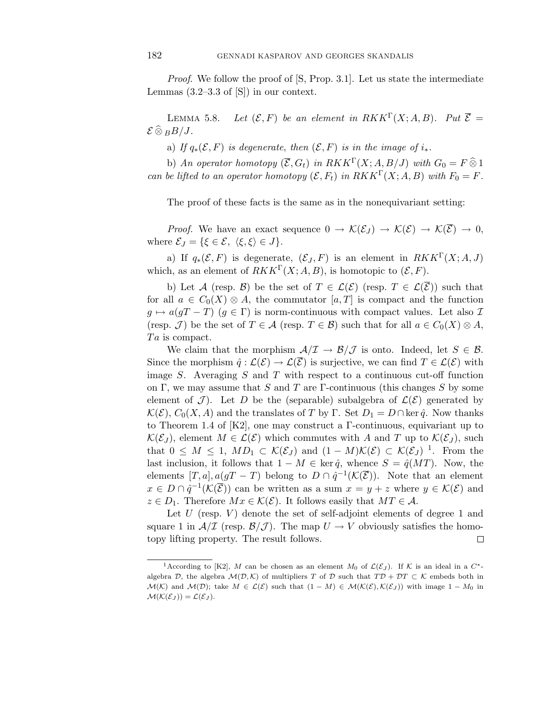Proof. We follow the proof of [S, Prop. 3.1]. Let us state the intermediate Lemmas  $(3.2-3.3 \text{ of } [S])$  in our context.

LEMMA 5.8. Let  $(\mathcal{E}, F)$  be an element in  $RKK^{\Gamma}(X; A, B)$ . Put  $\overline{\mathcal{E}} =$  $\mathcal{E} \,\widehat{\otimes}\, {}_B B/J.$ 

a) If  $q_*(\mathcal{E}, F)$  is degenerate, then  $(\mathcal{E}, F)$  is in the image of  $i_*$ .

b) An operator homotopy  $(\overline{\mathcal{E}}, G_t)$  in  $RKK^{\Gamma}(X; A, B/J)$  with  $G_0 = F \widehat{\otimes} 1$ can be lifted to an operator homotopy  $(\mathcal{E}, F_t)$  in  $RKK^{\Gamma}(X; A, B)$  with  $F_0 = F$ .

The proof of these facts is the same as in the nonequivariant setting:

*Proof.* We have an exact sequence  $0 \to \mathcal{K}(\mathcal{E}_J) \to \mathcal{K}(\mathcal{E}) \to \mathcal{K}(\overline{\mathcal{E}}) \to 0$ , where  $\mathcal{E}_J = \{\xi \in \mathcal{E}, \langle \xi, \xi \rangle \in J\}.$ 

a) If  $q_*(\mathcal{E}, F)$  is degenerate,  $(\mathcal{E}_J, F)$  is an element in  $RKK^{\Gamma}(X; A, J)$ which, as an element of  $RKK^{\Gamma}(X;A, B)$ , is homotopic to  $(\mathcal{E}, F)$ .

b) Let A (resp. B) be the set of  $T \in \mathcal{L}(\mathcal{E})$  (resp.  $T \in \mathcal{L}(\overline{\mathcal{E}})$ ) such that for all  $a \in C_0(X) \otimes A$ , the commutator  $[a, T]$  is compact and the function  $g \mapsto a(gT - T)$   $(g \in \Gamma)$  is norm-continuous with compact values. Let also  $\mathcal{I}$ (resp. J) be the set of  $T \in \mathcal{A}$  (resp.  $T \in \mathcal{B}$ ) such that for all  $a \in C_0(X) \otimes A$ ,  $Ta$  is compact.

We claim that the morphism  $\mathcal{A}/\mathcal{I} \to \mathcal{B}/\mathcal{J}$  is onto. Indeed, let  $S \in \mathcal{B}$ . Since the morphism  $\hat{q} : \mathcal{L}(\mathcal{E}) \to \mathcal{L}(\overline{\mathcal{E}})$  is surjective, we can find  $T \in \mathcal{L}(\mathcal{E})$  with image S. Averaging  $S$  and  $T$  with respect to a continuous cut-off function on Γ, we may assume that S and T are Γ-continuous (this changes S by some element of  $\mathcal{J}$ ). Let D be the (separable) subalgebra of  $\mathcal{L}(\mathcal{E})$  generated by  $\mathcal{K}(\mathcal{E}), C_0(X, A)$  and the translates of T by  $\Gamma$ . Set  $D_1 = D \cap \ker \hat{q}$ . Now thanks to Theorem 1.4 of  $[K2]$ , one may construct a Γ-continuous, equivariant up to  $\mathcal{K}(\mathcal{E}_J)$ , element  $M \in \mathcal{L}(\mathcal{E})$  which commutes with A and T up to  $\mathcal{K}(\mathcal{E}_J)$ , such that  $0 \leq M \leq 1$ ,  $MD_1 \subset \mathcal{K}(\mathcal{E}_J)$  and  $(1 - M)\mathcal{K}(\mathcal{E}) \subset \mathcal{K}(\mathcal{E}_J)^{-1}$ . From the last inclusion, it follows that  $1 - M \in \text{ker } \hat{q}$ , whence  $S = \hat{q}(MT)$ . Now, the elements  $[T, a], a(gT - T)$  belong to  $D \cap \hat{q}^{-1}(\mathcal{K}(\overline{\mathcal{E}}))$ . Note that an element  $x \in D \cap \hat{q}^{-1}(\mathcal{K}(\overline{\mathcal{E}}))$  can be written as a sum  $x = y + z$  where  $y \in \mathcal{K}(\mathcal{E})$  and  $z \in D_1$ . Therefore  $Mx \in \mathcal{K}(\mathcal{E})$ . It follows easily that  $MT \in \mathcal{A}$ .

Let  $U$  (resp.  $V$ ) denote the set of self-adjoint elements of degree 1 and square 1 in  $A/\mathcal{I}$  (resp.  $B/\mathcal{J}$ ). The map  $U \to V$  obviously satisfies the homotopy lifting property. The result follows.  $\Box$ 

<sup>&</sup>lt;sup>1</sup> According to [K2], M can be chosen as an element M<sub>0</sub> of  $\mathcal{L}(\mathcal{E}_J)$ . If K is an ideal in a C<sup>\*</sup>algebra D, the algebra  $\mathcal{M}(\mathcal{D},\mathcal{K})$  of multipliers T of D such that  $T\mathcal{D} + \mathcal{D}T \subset \mathcal{K}$  embeds both in  $\mathcal{M}(\mathcal{K})$  and  $\mathcal{M}(\mathcal{D})$ ; take  $M \in \mathcal{L}(\mathcal{E})$  such that  $(1 - M) \in \mathcal{M}(\mathcal{K}(\mathcal{E}), \mathcal{K}(\mathcal{E}_J))$  with image  $1 - M_0$  in  $\mathcal{M}(\mathcal{K}(\mathcal{E}_J)) = \mathcal{L}(\mathcal{E}_J).$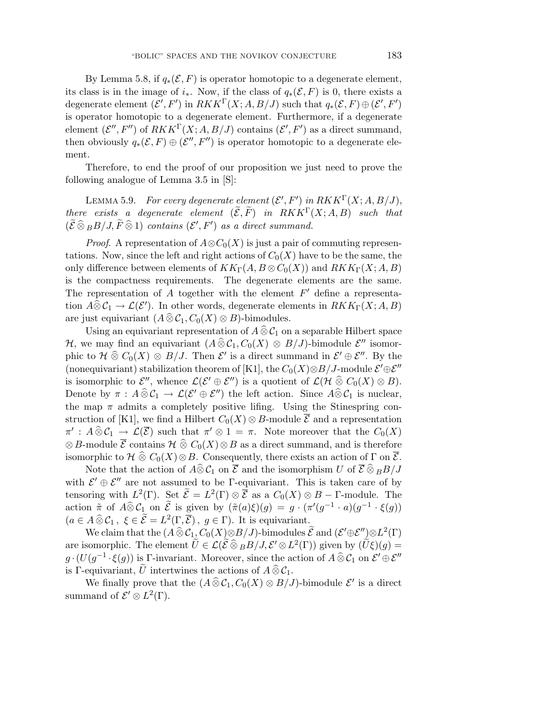By Lemma 5.8, if  $q_*(\mathcal{E}, F)$  is operator homotopic to a degenerate element, its class is in the image of  $i_{*}$ . Now, if the class of  $q_{*}(\mathcal{E}, F)$  is 0, there exists a degenerate element  $(\mathcal{E}', F')$  in  $RKK^{\Gamma}(X; A, B/J)$  such that  $q_*(\mathcal{E}, F) \oplus (\mathcal{E}', F')$ is operator homotopic to a degenerate element. Furthermore, if a degenerate element  $(\mathcal{E}'', F'')$  of  $RKK^{\Gamma}(X; A, B/J)$  contains  $(\mathcal{E}', F')$  as a direct summand, then obviously  $q_*(\mathcal{E}, F) \oplus (\mathcal{E}'', F'')$  is operator homotopic to a degenerate element.

Therefore, to end the proof of our proposition we just need to prove the following analogue of Lemma 3.5 in [S]:

LEMMA 5.9. For every degenerate element  $(\mathcal{E}', F')$  in  $RKK^{\Gamma}(X; A, B/J)$ , there exists a degenerate element  $(\widetilde{\mathcal{E}}, \widetilde{F})$  in  $RKK^\Gamma(X;A,B)$  such that  $(\widetilde{\mathcal{E}} \widehat{\otimes}_B B/J, \widetilde{F} \widehat{\otimes} 1)$  contains  $(\mathcal{E}', F')$  as a direct summand.

*Proof.* A representation of  $A \otimes C_0(X)$  is just a pair of commuting representations. Now, since the left and right actions of  $C_0(X)$  have to be the same, the only difference between elements of  $KK_\Gamma(A, B \otimes C_0(X))$  and  $RKK_\Gamma(X; A, B)$ is the compactness requirements. The degenerate elements are the same. The representation of A together with the element  $F'$  define a representation  $A\widehat{\otimes} C_1 \to \mathcal{L}(\mathcal{E}')$ . In other words, degenerate elements in  $RKK_\Gamma(X;A,B)$ are just equivariant  $(A \widehat{\otimes} C_1, C_0(X) \otimes B)$ -bimodules.

Using an equivariant representation of  $A \widehat{\otimes} C_1$  on a separable Hilbert space H, we may find an equivariant  $(A \,\widehat{\otimes}\, \mathcal{C}_1, C_0(X) \,\otimes\, B/J)$ -bimodule  $\mathcal{E}''$  isomorphic to  $\mathcal{H} \hat{\otimes} C_0(X) \otimes B/J$ . Then  $\mathcal{E}'$  is a direct summand in  $\mathcal{E}' \oplus \mathcal{E}''$ . By the (nonequivariant) stabilization theorem of [K1], the  $C_0(X)\otimes B/J$ -module  $\mathcal{E}'\oplus \mathcal{E}''$ is isomorphic to  $\mathcal{E}''$ , whence  $\mathcal{L}(\mathcal{E}' \oplus \mathcal{E}'')$  is a quotient of  $\mathcal{L}(\mathcal{H} \widehat{\otimes} C_0(X) \otimes B)$ . Denote by  $\pi : A \widehat{\otimes} C_1 \to \mathcal{L}(\mathcal{E}' \oplus \mathcal{E}'')$  the left action. Since  $A \widehat{\otimes} C_1$  is nuclear, the map  $\pi$  admits a completely positive lifing. Using the Stinespring construction of [K1], we find a Hilbert  $C_0(X) \otimes B$ -module  $\overline{\mathcal{E}}$  and a representation  $\pi' : A \widehat{\otimes} C_1 \longrightarrow \mathcal{L}(\overline{\mathcal{E}})$  such that  $\pi' \otimes 1 = \pi$ . Note moreover that the  $C_0(X)$ ⊗B-module  $\overline{\mathcal{E}}$  contains  $\mathcal{H} \widehat{\otimes} C_0(X) \otimes B$  as a direct summand, and is therefore isomorphic to  $\mathcal{H} \widehat{\otimes} C_0(X) \otimes B$ . Consequently, there exists an action of  $\Gamma$  on  $\overline{\mathcal{E}}$ .

Note that the action of  $\widehat{A} \widehat{\otimes} \mathcal{C}_1$  on  $\overline{\mathcal{E}}$  and the isomorphism U of  $\overline{\mathcal{E}} \widehat{\otimes}_B B/J$ with  $\mathcal{E}' \oplus \mathcal{E}''$  are not assumed to be  $\Gamma$ -equivariant. This is taken care of by tensoring with  $L^2(\Gamma)$ . Set  $\widetilde{\mathcal{E}} = L^2(\Gamma) \otimes \overline{\mathcal{E}}$  as a  $C_0(X) \otimes B - \Gamma$ -module. The action  $\tilde{\pi}$  of  $A \widehat{\otimes} C_1$  on  $\tilde{\mathcal{E}}$  is given by  $(\tilde{\pi}(a)\xi)(g) = g \cdot (\pi'(g^{-1} \cdot a)(g^{-1} \cdot \xi(g))$  $(a \in A \,\widehat{\otimes}\, \mathcal{C}_1\,,\,\,\xi \in \widetilde{\mathcal{E}} = L^2(\Gamma,\overline{\mathcal{E}})\,,\,\,g \in \Gamma)$ . It is equivariant.

We claim that the  $(A\,\widehat{\otimes}\,\mathcal{C}_1\llcorner C_0(X)\otimes B/J)$ -bimodules  $\widetilde{\mathcal{E}}$  and  $(\mathcal{E}'\oplus \mathcal{E}''\llcorner)\otimes L^2(\Gamma)$ are isomorphic. The element  $\widetilde{U} \in \mathcal{L}(\widetilde{\mathcal{E}} \otimes_B B/J, \mathcal{E}' \otimes L^2(\Gamma))$  given by  $(\widetilde{U}\xi)(g) =$  $g \cdot (U(g^{-1} \cdot \xi(g))$  is Γ-invariant. Moreover, since the action of  $A \,\widehat{\otimes}\, \mathcal{C}_1$  on  $\mathcal{E}' \oplus \mathcal{E}''$ is Γ-equivariant, U intertwines the actions of  $A \,\widehat{\otimes}\, C_1$ .

We finally prove that the  $(A \widehat{\otimes} C_1, C_0(X) \otimes B/J)$ -bimodule  $\mathcal{E}'$  is a direct summand of  $\mathcal{E}' \otimes L^2(\Gamma)$ .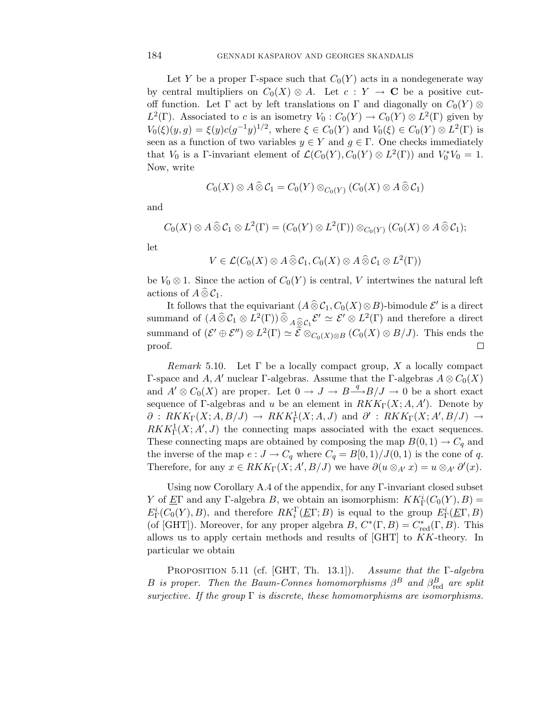Let Y be a proper Γ-space such that  $C_0(Y)$  acts in a nondegenerate way by central multipliers on  $C_0(X) \otimes A$ . Let  $c: Y \to \mathbf{C}$  be a positive cutoff function. Let  $\Gamma$  act by left translations on  $\Gamma$  and diagonally on  $C_0(Y) \otimes$  $L^2(\Gamma)$ . Associated to c is an isometry  $V_0: C_0(Y) \to C_0(Y) \otimes L^2(\Gamma)$  given by  $V_0(\xi)(y, g) = \xi(y)c(g^{-1}y)^{1/2}$ , where  $\xi \in C_0(Y)$  and  $V_0(\xi) \in C_0(Y) \otimes L^2(\Gamma)$  is seen as a function of two variables  $y \in Y$  and  $g \in \Gamma$ . One checks immediately that  $V_0$  is a Γ-invariant element of  $\mathcal{L}(C_0(Y), C_0(Y) \otimes L^2(\Gamma))$  and  $V_0^*V_0 = 1$ . Now, write

$$
C_0(X)\otimes A\widehat{\otimes} C_1=C_0(Y)\otimes_{C_0(Y)}(C_0(X)\otimes A\widehat{\otimes} C_1)
$$

and

$$
C_0(X)\otimes A\widehat{\otimes} C_1\otimes L^2(\Gamma)=(C_0(Y)\otimes L^2(\Gamma))\otimes_{C_0(Y)}(C_0(X)\otimes A\widehat{\otimes} C_1);
$$

let

$$
V\in \mathcal{L}(C_0(X)\otimes A\widehat{\otimes}\mathcal{C}_1,C_0(X)\otimes A\widehat{\otimes}\mathcal{C}_1\otimes L^2(\Gamma))
$$

be  $V_0 \otimes 1$ . Since the action of  $C_0(Y)$  is central, V intertwines the natural left actions of  $A \widehat{\otimes} C_1$ .

It follows that the equivariant  $(A\widehat{\otimes} C_1, C_0(X)\otimes B)$ -bimodule  $\mathcal{E}'$  is a direct summand of  $(A \widehat{\otimes} C_1 \otimes L^2(\Gamma)) \widehat{\otimes}_{A \widehat{\otimes} C_1} \mathcal{E}' \simeq \mathcal{E}' \otimes L^2(\Gamma)$  and therefore a direct summand of  $({\mathcal{E}}' \oplus {\mathcal{E}}'') \otimes L^2(\Gamma) \simeq \widetilde{{\mathcal{E}}} \otimes_{C_0(X) \otimes B} (C_0(X) \otimes B/J)$ . This ends the proof.  $\Box$ 

Remark 5.10. Let  $\Gamma$  be a locally compact group, X a locally compact Γ-space and A, A' nuclear Γ-algebras. Assume that the Γ-algebras  $A \otimes C_0(X)$ and  $A' \otimes C_0(X)$  are proper. Let  $0 \to J \to B \longrightarrow B/J \to 0$  be a short exact sequence of  $\Gamma$ -algebras and u be an element in  $RKK_{\Gamma}(X;A,A')$ . Denote by  $\partial$  :  $RKK_{\Gamma}(X; A, B/J) \rightarrow RKK_{\Gamma}^1(X; A, J)$  and  $\partial'$  :  $RKK_{\Gamma}(X; A', B/J) \rightarrow$  $RKK_{\Gamma}^1(X;A',J)$  the connecting maps associated with the exact sequences. These connecting maps are obtained by composing the map  $B(0,1) \to C_q$  and the inverse of the map  $e: J \to C_q$  where  $C_q = B[0,1)/J(0,1)$  is the cone of q. Therefore, for any  $x \in RKK_{\Gamma}(X; A', B/J)$  we have  $\partial(u \otimes_{A'} x) = u \otimes_{A'} \partial'(x)$ .

Using now Corollary A.4 of the appendix, for any Γ-invariant closed subset Y of  $\underline{E}\Gamma$  and any  $\Gamma$ -algebra B, we obtain an isomorphism:  $KK^i_{\Gamma}(C_0(Y), B) =$  $E^i_\Gamma(C_0(Y), B)$ , and therefore  $RK_i^{\Gamma}(\underline{E}\Gamma; B)$  is equal to the group  $E^i_\Gamma(\underline{E}\Gamma, B)$ (of [GHT]). Moreover, for any proper algebra  $B, C^*(\Gamma, B) = C^*_{red}(\Gamma, B)$ . This allows us to apply certain methods and results of [GHT] to KK-theory. In particular we obtain

PROPOSITION 5.11 (cf. [GHT, Th. 13.1]). Assume that the Γ-algebra B is proper. Then the Baum-Connes homomorphisms  $\beta^B$  and  $\beta^B_{\text{red}}$  are split surjective. If the group  $\Gamma$  is discrete, these homomorphisms are isomorphisms.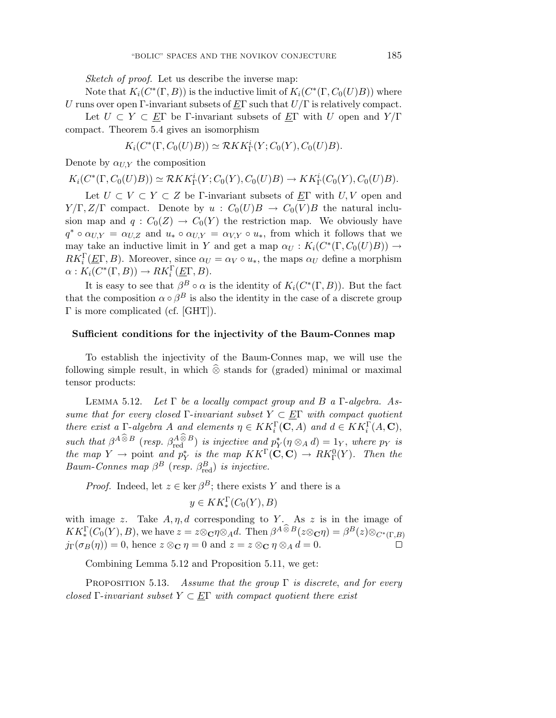Sketch of proof. Let us describe the inverse map:

Note that  $K_i(C^*(\Gamma, B))$  is the inductive limit of  $K_i(C^*(\Gamma, C_0(U)B))$  where U runs over open Γ-invariant subsets of  $E\Gamma$  such that  $U/\Gamma$  is relatively compact.

Let  $U \subset Y \subset E\Gamma$  be Γ-invariant subsets of  $E\Gamma$  with U open and  $Y/\Gamma$ compact. Theorem 5.4 gives an isomorphism

$$
K_i(C^*(\Gamma, C_0(U)B)) \simeq \mathcal{R}KK^i_{\Gamma}(Y; C_0(Y), C_0(U)B).
$$

Denote by  $\alpha_{UX}$  the composition

$$
K_i(C^*(\Gamma, C_0(U)B)) \simeq \mathcal{R}KK^i_{\Gamma}(Y; C_0(Y), C_0(U)B) \to KK^i_{\Gamma}(C_0(Y), C_0(U)B).
$$

Let  $U \subset V \subset Y \subset Z$  be Γ-invariant subsets of EΓ with U, V open and  $Y/\Gamma$ ,  $Z/\Gamma$  compact. Denote by  $u : C_0(U)B \to C_0(V)B$  the natural inclusion map and  $q: C_0(Z) \to C_0(Y)$  the restriction map. We obviously have  $q^* \circ \alpha_{U,Y} = \alpha_{U,Z}$  and  $u_* \circ \alpha_{U,Y} = \alpha_{V,Y} \circ u_*$ , from which it follows that we may take an inductive limit in Y and get a map  $\alpha_U : K_i(C^*(\Gamma, C_0(U)B)) \to$  $RK_i^{\Gamma}(\underline{E}\Gamma, B)$ . Moreover, since  $\alpha_U = \alpha_V \circ u_*$ , the maps  $\alpha_U$  define a morphism  $\alpha: K_i(C^*(\Gamma, B)) \to RK_i^{\Gamma}(\underline{E}\Gamma, B).$ 

It is easy to see that  $\beta^B \circ \alpha$  is the identity of  $K_i(C^*(\Gamma,B))$ . But the fact that the composition  $\alpha \circ \beta^B$  is also the identity in the case of a discrete group Γ is more complicated (cf. [GHT]).

#### **Sufficient conditions for the injectivity of the Baum-Connes map**

To establish the injectivity of the Baum-Connes map, we will use the following simple result, in which  $\hat{\otimes}$  stands for (graded) minimal or maximal tensor products:

LEMMA 5.12. Let  $\Gamma$  be a locally compact group and  $B$  a  $\Gamma$ -algebra. Assume that for every closed Γ-invariant subset  $Y \subset \underline{E\Gamma}$  with compact quotient there exist a  $\Gamma$ -algebra A and elements  $\eta \in KK_i^{\Gamma}(\mathbf{C}, A)$  and  $d \in KK_i^{\Gamma}(A, \mathbf{C}),$ such that  $\beta^{A\otimes B}$  (resp.  $\beta^{A\otimes B}_{red}$ ) is injective and  $p_Y^*(\eta \otimes_A d) = 1_Y$ , where  $p_Y$  is the map  $Y \to$  point and  $p_Y^*$  is the map  $KK^{\Gamma}(\mathbf{C}, \mathbf{C}) \to RK^0_{\Gamma}(Y)$ . Then the Baum-Connes map  $\beta^B$  (resp.  $\beta_{\text{red}}^B$ ) is injective.

*Proof.* Indeed, let  $z \in \text{ker } \beta^B$ ; there exists Y and there is a

$$
y \in KK_*^{\Gamma}(C_0(Y), B)
$$

with image z. Take  $A, \eta, d$  corresponding to Y. As z is in the image of  $KK^{\Gamma}_*(C_0(Y), B)$ , we have  $z = z \otimes \mathbf{C}\eta \otimes_A d$ . Then  $\beta^{A \otimes B}(z \otimes \mathbf{C}\eta) = \beta^{B}(z) \otimes_{C^*(\Gamma, B)} d$  $j_{\Gamma}(\sigma_B(\eta)) = 0$ , hence  $z \otimes_{\mathbb{C}} \eta = 0$  and  $z = z \otimes_{\mathbb{C}} \eta \otimes_A d = 0$ .  $\Box$ 

Combining Lemma 5.12 and Proposition 5.11, we get:

PROPOSITION 5.13. Assume that the group  $\Gamma$  is discrete, and for every closed Γ-invariant subset  $Y \subset \underline{E\Gamma}$  with compact quotient there exist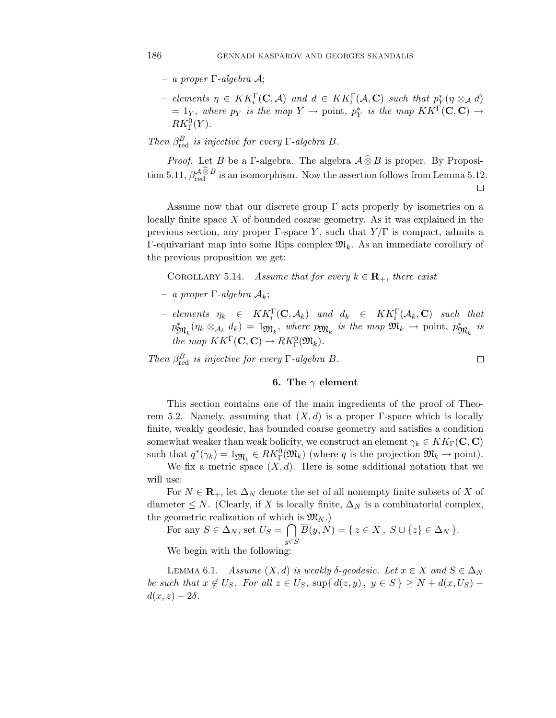- a proper Γ-algebra A;
- $-$  elements  $\eta \in KK_i^{\Gamma}(\mathbf{C}, \mathcal{A})$  and  $d \in KK_i^{\Gamma}(\mathcal{A}, \mathbf{C})$  such that  $p_Y^*(\eta \otimes_{\mathcal{A}} d)$  $= 1_Y$ , where  $p_Y$  is the map  $Y \to$  point,  $p_Y^*$  is the map  $KK^{\Gamma}(\mathbf{C}, \mathbf{C}) \to$  $RK_{\Gamma}^{0}(Y).$
- Then  $\beta_{\text{red}}^B$  is injective for every  $\Gamma$ -algebra  $B$ .

*Proof.* Let B be a Γ-algebra. The algebra  $\mathcal{A} \widehat{\otimes} B$  is proper. By Proposition 5.11,  $\beta_{\text{red}}^{\mathcal{A}\otimes\mathcal{B}}$  is an isomorphism. Now the assertion follows from Lemma 5.12. 口

Assume now that our discrete group  $\Gamma$  acts properly by isometries on a locally finite space  $X$  of bounded coarse geometry. As it was explained in the previous section, any proper Γ-space Y, such that  $Y/\Gamma$  is compact, admits a Γ-equivariant map into some Rips complex  $\mathfrak{M}_k$ . As an immediate corollary of the previous proposition we get:

COROLLARY 5.14. Assume that for every  $k \in \mathbf{R}_+$ , there exist

- a proper Γ-algebra Ak;
- $-$  elements  $\eta_k$   $\in$   $KK_i^{\Gamma}(\mathbf{C}, \mathcal{A}_k)$  and  $d_k$   $\in$   $KK_i^{\Gamma}(\mathcal{A}_k, \mathbf{C})$  such that  $p_{\mathfrak{M}_k}^*(\eta_k \otimes_{\mathcal{A}_k} d_k) = 1_{\mathfrak{M}_k}$ , where  $p_{\mathfrak{M}_k}$  is the map  $\mathfrak{M}_k \to \text{point}, p_{\mathfrak{M}_k}^*$  is the map  $KK^{\Gamma}(\mathbf{C}, \mathbf{C}) \to RK^0_{\Gamma}(\mathfrak{M}_k)$ .

 $\Box$ 

Then  $\beta_{\text{red}}^B$  is injective for every  $\Gamma$ -algebra  $B$ .

### **6. The** γ **element**

This section contains one of the main ingredients of the proof of Theorem 5.2. Namely, assuming that  $(X, d)$  is a proper Γ-space which is locally finite, weakly geodesic, has bounded coarse geometry and satisfies a condition somewhat weaker than weak bolicity, we construct an element  $\gamma_k \in KK_\Gamma(\mathbf{C}, \mathbf{C})$ such that  $q^*(\gamma_k) = 1_{\mathfrak{M}_k} \in RK^0_{\Gamma}(\mathfrak{M}_k)$  (where q is the projection  $\mathfrak{M}_k \to \text{point}$ ).

We fix a metric space  $(X, d)$ . Here is some additional notation that we will use:

For  $N \in \mathbf{R}_+$ , let  $\Delta_N$  denote the set of all nonempty finite subsets of X of diameter  $\leq N$ . (Clearly, if X is locally finite,  $\Delta_N$  is a combinatorial complex, the geometric realization of which is  $\mathfrak{M}_{N}$ .)

For any  $S \in \Delta_N$ , set  $U_S = \bigcap$  $y \in S$  $\overline{B}(y,N) = \{ z \in X, S \cup \{z\} \in \Delta_N \}.$ 

We begin with the following:

LEMMA 6.1. Assume  $(X, d)$  is weakly  $\delta$ -geodesic. Let  $x \in X$  and  $S \in \Delta_N$ be such that  $x \notin U_S$ . For all  $z \in U_S$ ,  $\sup\{d(z, y), y \in S\} \geq N + d(x, U_S)$  $d(x, z) - 2\delta$ .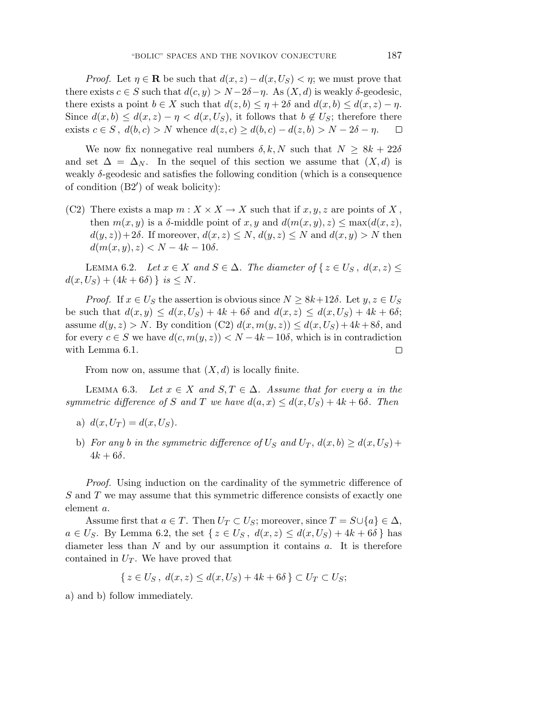*Proof.* Let  $\eta \in \mathbb{R}$  be such that  $d(x, z) - d(x, U_s) < \eta$ ; we must prove that there exists  $c \in S$  such that  $d(c, y) > N - 2\delta - \eta$ . As  $(X, d)$  is weakly  $\delta$ -geodesic, there exists a point  $b \in X$  such that  $d(z, b) \leq \eta + 2\delta$  and  $d(x, b) \leq d(x, z) - \eta$ . Since  $d(x, b) \leq d(x, z) - \eta < d(x, U_S)$ , it follows that  $b \notin U_S$ ; therefore there exists  $c \in S$ ,  $d(b, c) > N$  whence  $d(z, c) \geq d(b, c) - d(z, b) > N - 2\delta - \eta$ .  $\Box$ 

We now fix nonnegative real numbers  $\delta, k, N$  such that  $N \geq 8k + 22\delta$ and set  $\Delta = \Delta_N$ . In the sequel of this section we assume that  $(X, d)$  is weakly  $\delta$ -geodesic and satisfies the following condition (which is a consequence of condition (B2') of weak bolicity):

(C2) There exists a map  $m: X \times X \to X$  such that if  $x, y, z$  are points of X, then  $m(x, y)$  is a  $\delta$ -middle point of x, y and  $d(m(x, y), z) \leq \max(d(x, z),$  $d(y, z)+2\delta$ . If moreover,  $d(x, z) \leq N$ ,  $d(y, z) \leq N$  and  $d(x, y) > N$  then  $d(m(x, y), z) < N - 4k - 10\delta.$ 

LEMMA 6.2. Let  $x \in X$  and  $S \in \Delta$ . The diameter of  $\{z \in U_S, d(x, z) \leq \Delta\}$  $d(x, U_S) + (4k + 6\delta)$  } is  $\leq N$ .

*Proof.* If  $x \in U_S$  the assertion is obvious since  $N \geq 8k+12\delta$ . Let  $y, z \in U_S$ be such that  $d(x, y) \leq d(x, U_S) + 4k + 6\delta$  and  $d(x, z) \leq d(x, U_S) + 4k + 6\delta$ ; assume  $d(y, z) > N$ . By condition  $(C2) d(x, m(y, z)) \leq d(x, U<sub>S</sub>) + 4k + 8\delta$ , and for every  $c \in S$  we have  $d(c, m(y, z)) < N - 4k - 10\delta$ , which is in contradiction with Lemma 6.1.  $\Box$ 

From now on, assume that  $(X, d)$  is locally finite.

LEMMA 6.3. Let  $x \in X$  and  $S, T \in \Delta$ . Assume that for every a in the symmetric difference of S and T we have  $d(a, x) \leq d(x, U<sub>S</sub>) + 4k + 6\delta$ . Then

- a)  $d(x, U_T) = d(x, U_S)$ .
- b) For any b in the symmetric difference of  $U_S$  and  $U_T$ ,  $d(x, b) \geq d(x, U_S) + d(x, U_S)$  $4k + 6\delta$ .

Proof. Using induction on the cardinality of the symmetric difference of S and T we may assume that this symmetric difference consists of exactly one element a.

Assume first that  $a \in T$ . Then  $U_T \subset U_S$ ; moreover, since  $T = S \cup \{a\} \in \Delta$ ,  $a \in U_S$ . By Lemma 6.2, the set  $\{z \in U_S, d(x, z) \leq d(x, U_S) + 4k + 6\delta\}$  has diameter less than  $N$  and by our assumption it contains  $a$ . It is therefore contained in  $U_T$ . We have proved that

$$
\{z \in U_S, d(x, z) \leq d(x, U_S) + 4k + 6\delta\} \subset U_T \subset U_S;
$$

a) and b) follow immediately.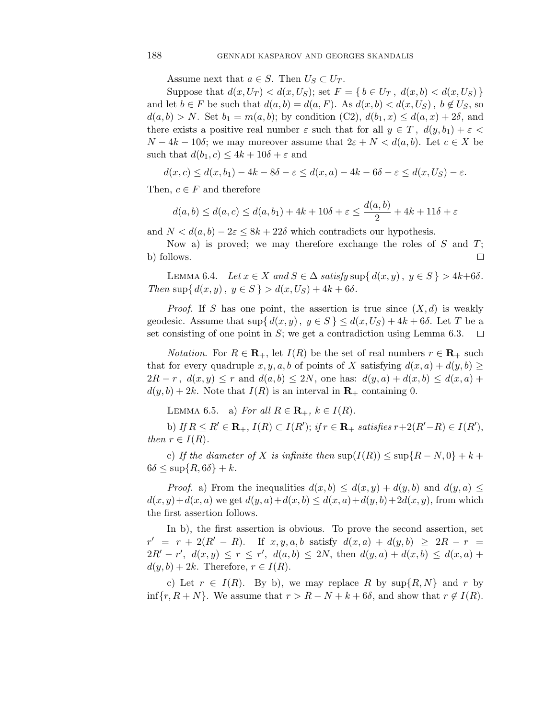Assume next that  $a \in S$ . Then  $U_S \subset U_T$ .

Suppose that  $d(x, U_T) < d(x, U_S)$ ; set  $F = \{b \in U_T, d(x, b) < d(x, U_S)\}\$ and let  $b \in F$  be such that  $d(a, b) = d(a, F)$ . As  $d(x, b) < d(x, U_S)$ ,  $b \notin U_S$ , so  $d(a, b) > N$ . Set  $b_1 = m(a, b)$ ; by condition  $(C2)$ ,  $d(b_1, x) \leq d(a, x) + 2\delta$ , and there exists a positive real number  $\varepsilon$  such that for all  $y \in T$ ,  $d(y, b_1) + \varepsilon$  $N - 4k - 10\delta$ ; we may moreover assume that  $2\varepsilon + N < d(a, b)$ . Let  $c \in X$  be such that  $d(b_1, c) \leq 4k + 10\delta + \varepsilon$  and

$$
d(x, c) \le d(x, b_1) - 4k - 8\delta - \varepsilon \le d(x, a) - 4k - 6\delta - \varepsilon \le d(x, U_S) - \varepsilon.
$$

Then,  $c \in F$  and therefore

$$
d(a,b) \le d(a,c) \le d(a,b_1) + 4k + 10\delta + \varepsilon \le \frac{d(a,b)}{2} + 4k + 11\delta + \varepsilon
$$

and  $N < d(a, b) - 2\varepsilon \leq 8k + 22\delta$  which contradicts our hypothesis.

Now a) is proved; we may therefore exchange the roles of  $S$  and  $T$ ; b) follows.  $\Box$ 

LEMMA 6.4. Let  $x \in X$  and  $S \in \Delta$  satisfy  $\sup\{d(x, y), y \in S\} > 4k+6\delta$ . Then sup $\{ d(x, y), y \in S \} > d(x, U_S) + 4k + 6\delta$ .

*Proof.* If S has one point, the assertion is true since  $(X, d)$  is weakly geodesic. Assume that  $\sup\{d(x,y), y \in S\} \leq d(x,U_S)+4k+6\delta$ . Let T be a set consisting of one point in  $S$ ; we get a contradiction using Lemma 6.3.  $\Box$ 

*Notation.* For  $R \in \mathbf{R}_+$ , let  $I(R)$  be the set of real numbers  $r \in \mathbf{R}_+$  such that for every quadruple x, y, a, b of points of X satisfying  $d(x, a) + d(y, b) \ge$  $2R - r$ ,  $d(x, y) \leq r$  and  $d(a, b) \leq 2N$ , one has:  $d(y, a) + d(x, b) \leq d(x, a) +$  $d(y, b) + 2k$ . Note that  $I(R)$  is an interval in  $\mathbf{R}_+$  containing 0.

LEMMA 6.5. a) For all  $R \in \mathbf{R}_+$ ,  $k \in I(R)$ .

b) If  $R \le R' \in \mathbf{R}_+$ ,  $I(R) \subset I(R')$ ; if  $r \in \mathbf{R}_+$  satisfies  $r+2(R'-R) \in I(R')$ , then  $r \in I(R)$ .

c) If the diameter of X is infinite then  $\sup(I(R)) \leq \sup\{R-N,0\}+k+1$  $6\delta \leq \sup\{R, 6\delta\} + k.$ 

*Proof.* a) From the inequalities  $d(x, b) \leq d(x, y) + d(y, b)$  and  $d(y, a) \leq$  $d(x, y) + d(x, a)$  we get  $d(y, a) + d(x, b) \leq d(x, a) + d(y, b) + 2d(x, y)$ , from which the first assertion follows.

In b), the first assertion is obvious. To prove the second assertion, set  $r' = r + 2(R' - R)$ . If  $x, y, a, b$  satisfy  $d(x, a) + d(y, b) \ge 2R - r$  $2R' - r'$ ,  $d(x,y) \le r \le r'$ ,  $d(a,b) \le 2N$ , then  $d(y,a) + d(x,b) \le d(x,a) +$  $d(y, b) + 2k$ . Therefore,  $r \in I(R)$ .

c) Let  $r \in I(R)$ . By b), we may replace R by  $\sup\{R, N\}$  and r by  $\inf\{r, R+N\}.$  We assume that  $r > R - N + k + 6\delta$ , and show that  $r \notin I(R)$ .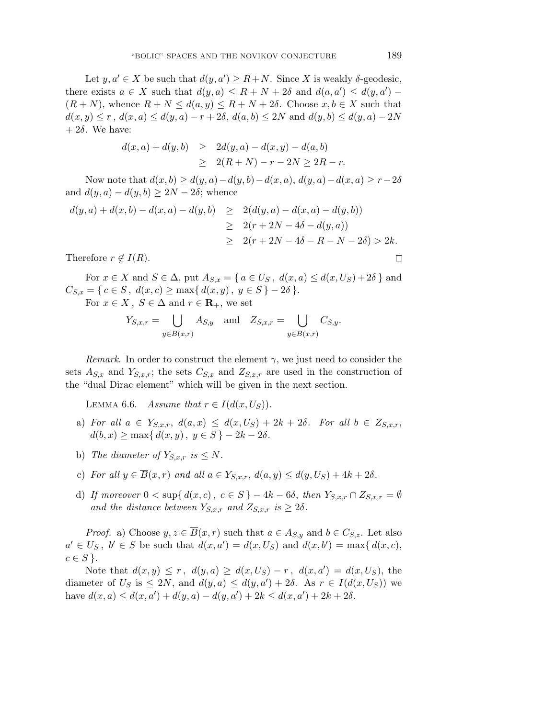Let  $y, a' \in X$  be such that  $d(y, a') \ge R + N$ . Since X is weakly  $\delta$ -geodesic, there exists  $a \in X$  such that  $d(y, a) \leq R + N + 2\delta$  and  $d(a, a') \leq d(y, a') (R+N)$ , whence  $R+N \leq d(a,y) \leq R+N+2\delta$ . Choose  $x, b \in X$  such that  $d(x, y) \leq r$ ,  $d(x, a) \leq d(y, a) - r + 2\delta$ ,  $d(a, b) \leq 2N$  and  $d(y, b) \leq d(y, a) - 2N$  $+ 2\delta$ . We have:

$$
d(x, a) + d(y, b) \ge 2d(y, a) - d(x, y) - d(a, b)
$$
  
 
$$
\ge 2(R + N) - r - 2N \ge 2R - r.
$$

Now note that  $d(x, b) \geq d(y, a) - d(y, b) - d(x, a), d(y, a) - d(x, a) \geq r - 2\delta$ and  $d(y, a) - d(y, b) \geq 2N - 2\delta$ ; whence

$$
d(y, a) + d(x, b) - d(x, a) - d(y, b) \ge 2(d(y, a) - d(x, a) - d(y, b))
$$
  
\n
$$
\ge 2(r + 2N - 4\delta - d(y, a))
$$
  
\n
$$
\ge 2(r + 2N - 4\delta - R - N - 2\delta) > 2k.
$$
  
\nTherefore  $r \notin I(R)$ .

Therefore  $r \notin I(R)$ .

For  $x \in X$  and  $S \in \Delta$ , put  $A_{S,x} = \{ a \in U_S, d(x,a) \leq d(x,U_S)+2\delta \}$  and  $C_{S,x} = \{ c \in S, d(x, c) \ge \max\{ d(x, y), y \in S \} - 2\delta \}.$ 

For  $x \in X$ ,  $S \in \Delta$  and  $r \in \mathbf{R}_+$ , we set

$$
Y_{S,x,r} = \bigcup_{y \in \overline{B}(x,r)} A_{S,y} \quad \text{and} \quad Z_{S,x,r} = \bigcup_{y \in \overline{B}(x,r)} C_{S,y}.
$$

Remark. In order to construct the element  $\gamma$ , we just need to consider the sets  $A_{S,x}$  and  $Y_{S,x,r}$ ; the sets  $C_{S,x}$  and  $Z_{S,x,r}$  are used in the construction of the "dual Dirac element" which will be given in the next section.

LEMMA 6.6. Assume that  $r \in I(d(x, U_S))$ .

- a) For all  $a \in Y_{S,x,r}$ ,  $d(a,x) \leq d(x, U_S) + 2k + 2\delta$ . For all  $b \in Z_{S,x,r}$ ,  $d(b, x) \ge \max\{d(x, y), y \in S\} - 2k - 2\delta.$
- b) The diameter of  $Y_{S,x,r}$  is  $\leq N$ .
- c) For all  $y \in \overline{B}(x,r)$  and all  $a \in Y_{S,x,r}$ ,  $d(a,y) \leq d(y,U_S)+4k+2\delta$ .
- d) If moreover  $0 < \sup\{d(x, c), c \in S\} 4k 6\delta$ , then  $Y_{S,x,r} \cap Z_{S,x,r} = \emptyset$ and the distance between  $Y_{S,x,r}$  and  $Z_{S,x,r}$  is  $\geq 2\delta$ .

*Proof.* a) Choose  $y, z \in \overline{B}(x,r)$  such that  $a \in A_{S,y}$  and  $b \in C_{S,z}$ . Let also  $a' \in U_S$ ,  $b' \in S$  be such that  $d(x, a') = d(x, U_S)$  and  $d(x, b') = \max\{d(x, c), d(x, d')\}$  $c \in S$ .

Note that  $d(x, y) \le r$ ,  $d(y, a) \ge d(x, U_s) - r$ ,  $d(x, a') = d(x, U_s)$ , the diameter of  $U_S$  is  $\leq 2N$ , and  $d(y, a) \leq d(y, a') + 2\delta$ . As  $r \in I(d(x, U_S))$  we have  $d(x, a) \leq d(x, a') + d(y, a) - d(y, a') + 2k \leq d(x, a') + 2k + 2\delta$ .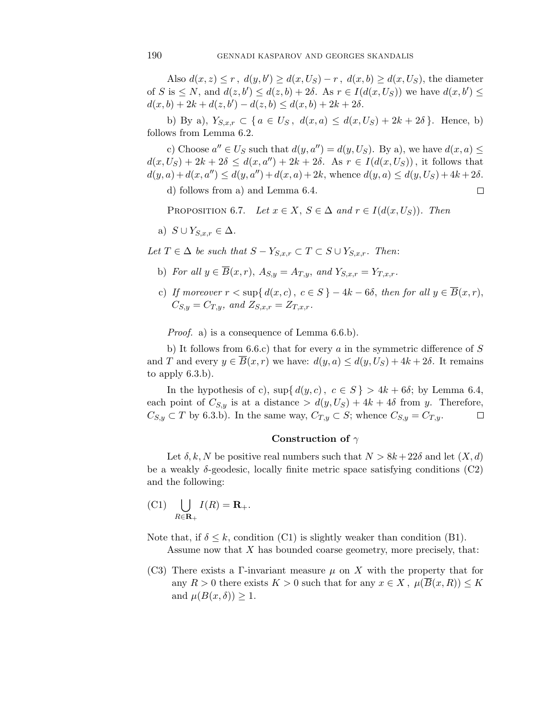Also  $d(x, z) \leq r$ ,  $d(y, b') \geq d(x, U_S) - r$ ,  $d(x, b) \geq d(x, U_S)$ , the diameter of S is  $\leq N$ , and  $d(z, b') \leq d(z, b) + 2\delta$ . As  $r \in I(d(x, U_s))$  we have  $d(x, b') \leq$  $d(x, b) + 2k + d(z, b') - d(z, b) \leq d(x, b) + 2k + 2\delta.$ 

b) By a),  $Y_{S,x,r} \subset \{ a \in U_S, d(x,a) \leq d(x,U_S)+2k+2\delta \}.$  Hence, b) follows from Lemma 6.2.

c) Choose  $a'' \in U_S$  such that  $d(y, a'') = d(y, U_S)$ . By a), we have  $d(x, a) \leq$  $d(x, U_S) + 2k + 2\delta \leq d(x, a'') + 2k + 2\delta$ . As  $r \in I(d(x, U_S))$ , it follows that  $d(y, a) + d(x, a'') \leq d(y, a'') + d(x, a) + 2k$ , whence  $d(y, a) \leq d(y, U<sub>S</sub>) + 4k + 2\delta$ .

 $\Box$ 

d) follows from a) and Lemma 6.4.

PROPOSITION 6.7. Let  $x \in X$ ,  $S \in \Delta$  and  $r \in I(d(x, U_S))$ . Then

a) 
$$
S \cup Y_{S,x,r} \in \Delta
$$
.

Let  $T \in \Delta$  be such that  $S - Y_{S,x,r} \subset T \subset S \cup Y_{S,x,r}$ . Then:

- b) For all  $y \in \overline{B}(x,r)$ ,  $A_{S,y} = A_{T,y}$ , and  $Y_{S,x,r} = Y_{T,x,r}$ .
- c) If moreover  $r < \sup\{d(x, c), c \in S\} 4k 6\delta$ , then for all  $y \in \overline{B}(x, r)$ ,  $C_{S,y} = C_{T,y}$ , and  $Z_{S,x,r} = Z_{T,x,r}$ .

Proof. a) is a consequence of Lemma 6.6.b).

b) It follows from 6.6.c) that for every  $a$  in the symmetric difference of  $S$ and T and every  $y \in \overline{B}(x,r)$  we have:  $d(y,a) \leq d(y,U_S)+4k+2\delta$ . It remains to apply 6.3.b).

In the hypothesis of c),  $\sup\{d(y, c), c \in S\} > 4k + 6\delta$ ; by Lemma 6.4, each point of  $C_{S,y}$  is at a distance  $> d(y, U_S) + 4k + 4\delta$  from y. Therefore,  $C_{S,y} \subset T$  by 6.3.b). In the same way,  $C_{T,y} \subset S$ ; whence  $C_{S,y} = C_{T,y}$ .  $\Box$ 

# **Construction of** γ

Let  $\delta, k, N$  be positive real numbers such that  $N > 8k + 22\delta$  and let  $(X, d)$ be a weakly  $\delta$ -geodesic, locally finite metric space satisfying conditions (C2) and the following:

$$
(C1)\quad \bigcup_{R\in\mathbf{R}_+}I(R)=\mathbf{R}_+.
$$

Note that, if  $\delta \leq k$ , condition (C1) is slightly weaker than condition (B1). Assume now that X has bounded coarse geometry, more precisely, that:

(C3) There exists a Γ-invariant measure  $\mu$  on X with the property that for any  $R > 0$  there exists  $K > 0$  such that for any  $x \in X$ ,  $\mu(\overline{B}(x,R)) \leq K$ and  $\mu(B(x,\delta)) \geq 1$ .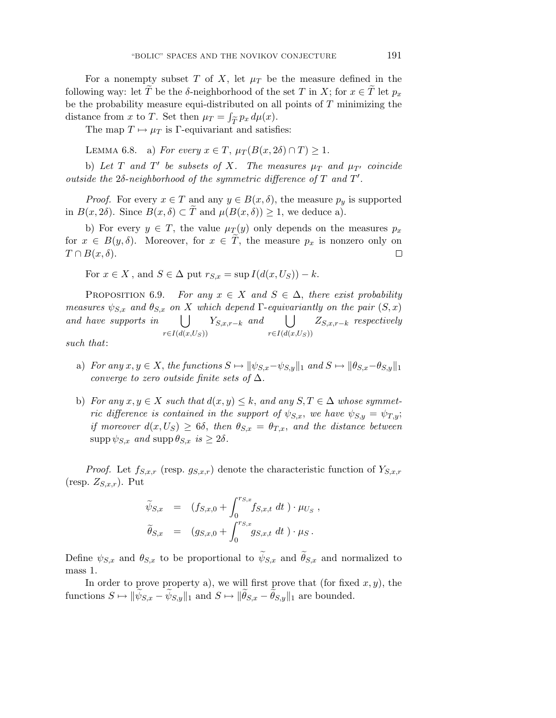For a nonempty subset T of X, let  $\mu$  be the measure defined in the following way: let T be the  $\delta$ -neighborhood of the set T in X; for  $x \in T$  let  $p_x$ be the probability measure equi-distributed on all points of  $T$  minimizing the distance from x to T. Set then  $\mu_T = \int_{\widetilde{T}} p_x d\mu(x)$ .

The map  $T \mapsto \mu_T$  is  $\Gamma$ -equivariant and satisfies:

LEMMA 6.8. a) For every  $x \in T$ ,  $\mu_T(B(x, 2\delta) \cap T) \geq 1$ .

b) Let T and T' be subsets of X. The measures  $\mu_T$  and  $\mu_{T'}$  coincide outside the  $2\delta$ -neighborhood of the symmetric difference of  $T$  and  $T'$ .

*Proof.* For every  $x \in T$  and any  $y \in B(x, \delta)$ , the measure  $p_y$  is supported in  $B(x, 2\delta)$ . Since  $B(x, \delta) \subset T$  and  $\mu(B(x, \delta)) \geq 1$ , we deduce a).

b) For every  $y \in T$ , the value  $\mu_T(y)$  only depends on the measures  $p_x$ for  $x \in B(y,\delta)$ . Moreover, for  $x \in T$ , the measure  $p_x$  is nonzero only on  $T \cap B(x,\delta).$  $\Box$ 

For  $x \in X$ , and  $S \in \Delta$  put  $r_{S,x} = \sup I(d(x, U_S)) - k$ .

PROPOSITION 6.9. For any  $x \in X$  and  $S \in \Delta$ , there exist probability measures  $\psi_{S,x}$  and  $\theta_{S,x}$  on X which depend  $\Gamma$ -equivariantly on the pair  $(S, x)$ and have supports in  $r \in I(d(x, U_S))$  $Y_{S,x,r-k}$  and  $\bigcup$  $r \in I(d(x, U_S))$  $Z_{S,x,r-k}$  respectively

such that:

- a) For any  $x, y \in X$ , the functions  $S \mapsto ||\psi_{S,x} \psi_{S,y}||_1$  and  $S \mapsto ||\theta_{S,x} \theta_{S,y}||_1$ converge to zero outside finite sets of  $\Delta$ .
- b) For any  $x, y \in X$  such that  $d(x, y) \leq k$ , and any  $S, T \in \Delta$  whose symmetric difference is contained in the support of  $\psi_{S,x}$ , we have  $\psi_{S,y} = \psi_{T,y}$ ; if moreover  $d(x, U_S) \ge 6\delta$ , then  $\theta_{S,x} = \theta_{T,x}$ , and the distance between  $\text{supp}\,\psi_{S,x}$  and  $\text{supp}\,\theta_{S,x}$  is  $\geq 2\delta$ .

*Proof.* Let  $f_{S,x,r}$  (resp.  $g_{S,x,r}$ ) denote the characteristic function of  $Y_{S,x,r}$ (resp.  $Z_{S,x,r}$ ). Put

$$
\widetilde{\psi}_{S,x} = (f_{S,x,0} + \int_0^{r_{S,x}} f_{S,x,t} dt) \cdot \mu_{U_S} ,
$$
  

$$
\widetilde{\theta}_{S,x} = (g_{S,x,0} + \int_0^{r_{S,x}} g_{S,x,t} dt) \cdot \mu_S .
$$

Define  $\psi_{S,x}$  and  $\theta_{S,x}$  to be proportional to  $\psi_{S,x}$  and  $\theta_{S,x}$  and normalized to mass 1.

In order to prove property a), we will first prove that (for fixed  $x, y$ ), the functions  $S \mapsto ||\psi_{S,x} - \psi_{S,y}||_1$  and  $S \mapsto ||\theta_{S,x} - \theta_{S,y}||_1$  are bounded.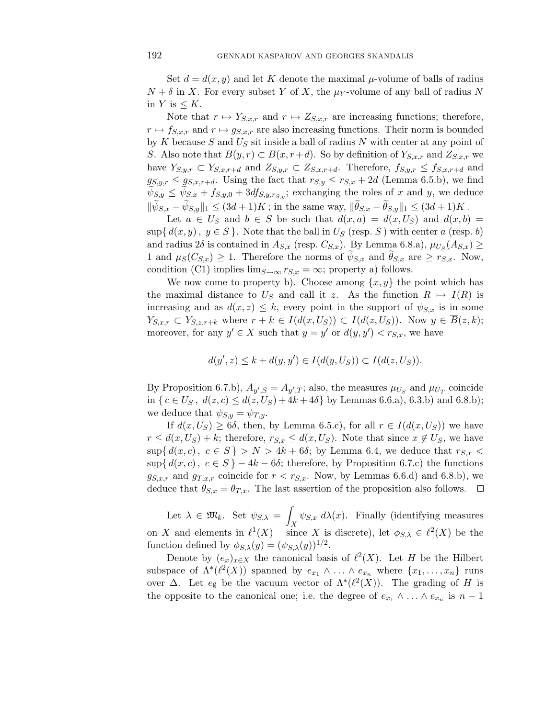Set  $d = d(x, y)$  and let K denote the maximal  $\mu$ -volume of balls of radius  $N + \delta$  in X. For every subset Y of X, the  $\mu_Y$ -volume of any ball of radius N in  $Y$  is  $\leq K$ .

Note that  $r \mapsto Y_{S,x,r}$  and  $r \mapsto Z_{S,x,r}$  are increasing functions; therefore,  $r \mapsto f_{S,x,r}$  and  $r \mapsto g_{S,x,r}$  are also increasing functions. Their norm is bounded by K because S and  $U<sub>S</sub>$  sit inside a ball of radius N with center at any point of S. Also note that  $\overline{B}(y, r) \subset \overline{B}(x, r+d)$ . So by definition of  $Y_{S,x,r}$  and  $Z_{S,x,r}$  we have  $Y_{S,y,r} \subset Y_{S,x,r+d}$  and  $Z_{S,y,r} \subset Z_{S,x,r+d}$ . Therefore,  $f_{S,y,r} \leq f_{S,x,r+d}$  and  $g_{S,y,r} \leq g_{S,x,r+d}$ . Using the fact that  $r_{S,y} \leq r_{S,x} + 2d$  (Lemma 6.5.b), we find  $\psi_{S,y} \leq \psi_{S,x} + f_{S,y,0} + 3df_{S,y,r_{S,y}}$ ; exchanging the roles of x and y, we deduce  $\|\psi_{S,x} - \psi_{S,y}\|_1 \leq (3d+1)K$ ; in the same way,  $\|\theta_{S,x} - \theta_{S,y}\|_1 \leq (3d+1)K$ .

Let  $a \in U_S$  and  $b \in S$  be such that  $d(x, a) = d(x, U_S)$  and  $d(x, b) =$  $\sup\{d(x,y), y \in S\}$ . Note that the ball in  $U_S$  (resp. S) with center a (resp. b) and radius 2 $\delta$  is contained in  $A_{S,x}$  (resp.  $C_{S,x}$ ). By Lemma 6.8.a),  $\mu_{U_S}(A_{S,x}) \geq$ 1 and  $\mu_S(C_{S,x}) \geq 1$ . Therefore the norms of  $\psi_{S,x}$  and  $\theta_{S,x}$  are  $\geq r_{S,x}$ . Now, condition (C1) implies  $\lim_{S\to\infty} r_{S,x} = \infty$ ; property a) follows.

We now come to property b). Choose among  $\{x, y\}$  the point which has the maximal distance to  $U_S$  and call it z. As the function  $R \mapsto I(R)$  is increasing and as  $d(x, z) \leq k$ , every point in the support of  $\psi_{S,x}$  is in some  $Y_{S,x,r} \subset Y_{S,z,r+k}$  where  $r+k \in I(d(x,U_S)) \subset I(d(z,U_S))$ . Now  $y \in \overline{B}(z,k);$ moreover, for any  $y' \in X$  such that  $y = y'$  or  $d(y, y') < r_{S,x}$ , we have

 $d(y', z) \leq k + d(y, y') \in I(d(y, U_S)) \subset I(d(z, U_S)).$ 

By Proposition 6.7.b),  $A_{y',S} = A_{y',T}$ ; also, the measures  $\mu_{U_S}$  and  $\mu_{U_T}$  coincide in  $\{c \in U_S, d(z, c) \leq d(z, U_S) + 4k + 4\delta\}$  by Lemmas 6.6.a), 6.3.b) and 6.8.b); we deduce that  $\psi_{S,y} = \psi_{T,y}$ .

If  $d(x, U_S) \ge 6\delta$ , then, by Lemma 6.5.c), for all  $r \in I(d(x, U_S))$  we have  $r \leq d(x, U_S) + k$ ; therefore,  $r_{S,x} \leq d(x, U_S)$ . Note that since  $x \notin U_S$ , we have  $\sup\{d(x, c), c \in S\} > N > 4k + 6\delta$ ; by Lemma 6.4, we deduce that  $r_{S,x}$  $\sup\{d(x, c), c \in S\} - 4k - 6\delta$ ; therefore, by Proposition 6.7.c) the functions  $g_{S,x,r}$  and  $g_{T,x,r}$  coincide for  $r < r_{S,x}$ . Now, by Lemmas 6.6.d) and 6.8.b), we deduce that  $\theta_{S,x} = \theta_{T,x}$ . The last assertion of the proposition also follows.  $\Box$ 

Let  $\lambda \in \mathfrak{M}_k$ . Set  $\psi_{S,\lambda} = \emptyset$  $\int_X \psi_{S,x} d\lambda(x)$ . Finally (identifying measures on X and elements in  $\ell^1(X)$  – since X is discrete), let  $\phi_{S,\lambda} \in \ell^2(X)$  be the function defined by  $\phi_{S,\lambda}(y)=(\psi_{S,\lambda}(y))^{1/2}$ .

Denote by  $(e_x)_{x\in X}$  the canonical basis of  $\ell^2(X)$ . Let H be the Hilbert subspace of  $\Lambda^*(\ell^2(X))$  spanned by  $e_{x_1} \wedge \ldots \wedge e_{x_n}$  where  $\{x_1, \ldots, x_n\}$  runs over  $\Delta$ . Let  $e_{\emptyset}$  be the vacuum vector of  $\Lambda^*(\ell^2(X))$ . The grading of H is the opposite to the canonical one; i.e. the degree of  $e_{x_1} \wedge \ldots \wedge e_{x_n}$  is  $n-1$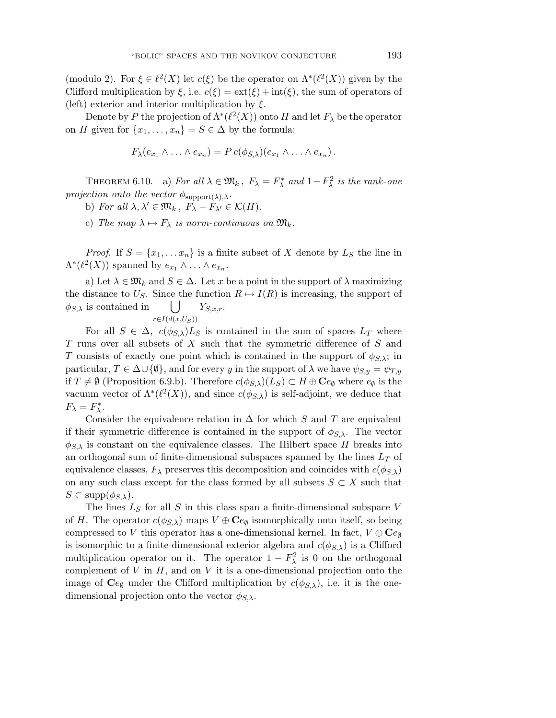(modulo 2). For  $\xi \in \ell^2(X)$  let  $c(\xi)$  be the operator on  $\Lambda^*(\ell^2(X))$  given by the Clifford multiplication by  $\xi$ , i.e.  $c(\xi) = \text{ext}(\xi) + \text{int}(\xi)$ , the sum of operators of (left) exterior and interior multiplication by  $\xi$ .

Denote by P the projection of  $\Lambda^*(\ell^2(X))$  onto H and let  $F_\lambda$  be the operator on H given for  $\{x_1,\ldots,x_n\} = S \in \Delta$  by the formula:

$$
F_{\lambda}(e_{x_1} \wedge \ldots \wedge e_{x_n}) = P c(\phi_{S,\lambda})(e_{x_1} \wedge \ldots \wedge e_{x_n}).
$$

THEOREM 6.10. a) For all  $\lambda \in \mathfrak{M}_k$ ,  $F_{\lambda} = F_{\lambda}^*$  and  $1 - F_{\lambda}^2$  is the rank-one projection onto the vector  $\phi_{\text{support}(\lambda),\lambda}$ .

b) For all  $\lambda, \lambda' \in \mathfrak{M}_k$ ,  $F_{\lambda} - F_{\lambda'} \in \mathcal{K}(H)$ .

c) The map  $\lambda \mapsto F_{\lambda}$  is norm-continuous on  $\mathfrak{M}_k$ .

*Proof.* If  $S = \{x_1, \ldots x_n\}$  is a finite subset of X denote by  $L_S$  the line in  $\Lambda^*(\ell^2(X))$  spanned by  $e_{x_1} \wedge \ldots \wedge e_{x_n}$ .

a) Let  $\lambda \in \mathfrak{M}_k$  and  $S \in \Delta$ . Let x be a point in the support of  $\lambda$  maximizing the distance to  $U_S$ . Since the function  $R \mapsto I(R)$  is increasing, the support of  $\phi_{S,\lambda}$  is contained in  $\bigcup$  $r \in I(d(x, U_S))$  $Y_{S,x,r}$ .

For all  $S \in \Delta$ ,  $c(\phi_{S,\lambda})L_S$  is contained in the sum of spaces  $L_T$  where T runs over all subsets of X such that the symmetric difference of S and T consists of exactly one point which is contained in the support of  $\phi_{S,\lambda}$ ; in particular,  $T \in \Delta \cup \{\emptyset\}$ , and for every y in the support of  $\lambda$  we have  $\psi_{S,y} = \psi_{T,y}$ if  $T \neq \emptyset$  (Proposition 6.9.b). Therefore  $c(\phi_{S,\lambda})(L_S) \subset H \oplus \mathbf{C}e_{\emptyset}$  where  $e_{\emptyset}$  is the vacuum vector of  $\Lambda^*(\ell^2(X))$ , and since  $c(\phi_{S,\lambda})$  is self-adjoint, we deduce that  $F_{\lambda} = F_{\lambda}^*$ .

Consider the equivalence relation in  $\Delta$  for which S and T are equivalent if their symmetric difference is contained in the support of  $\phi_{S,\lambda}$ . The vector  $\phi_{S,\lambda}$  is constant on the equivalence classes. The Hilbert space H breaks into an orthogonal sum of finite-dimensional subspaces spanned by the lines  $L_T$  of equivalence classes,  $F_{\lambda}$  preserves this decomposition and coincides with  $c(\phi_{S,\lambda})$ on any such class except for the class formed by all subsets  $S \subset X$  such that  $S \subset \text{supp}(\phi_{S,\lambda}).$ 

The lines  $L<sub>S</sub>$  for all S in this class span a finite-dimensional subspace V of H. The operator  $c(\phi_{S,\lambda})$  maps  $V \oplus \mathbf{C}e_{\emptyset}$  isomorphically onto itself, so being compressed to V this operator has a one-dimensional kernel. In fact,  $V \oplus \mathbf{C}e_{\emptyset}$ is isomorphic to a finite-dimensional exterior algebra and  $c(\phi_{S,\lambda})$  is a Clifford multiplication operator on it. The operator  $1-F_{\lambda}^2$  is 0 on the orthogonal complement of  $V$  in  $H$ , and on  $V$  it is a one-dimensional projection onto the image of  $Ce_{\emptyset}$  under the Clifford multiplication by  $c(\phi_{S,\lambda})$ , i.e. it is the onedimensional projection onto the vector  $\phi_{S,\lambda}$ .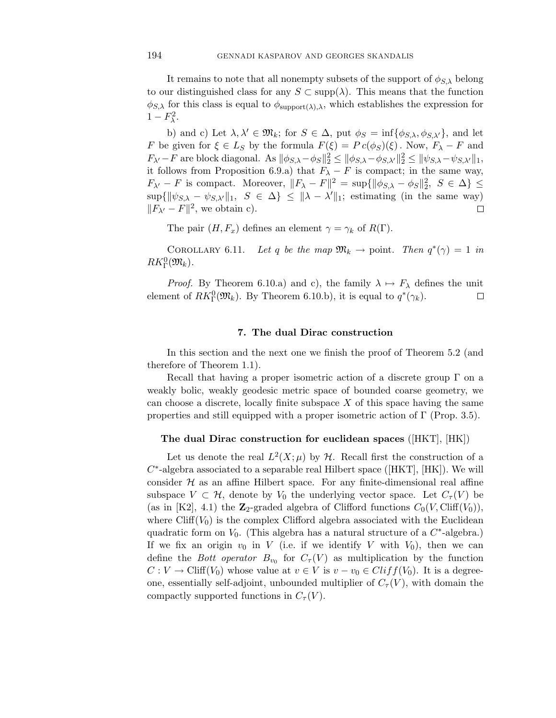It remains to note that all nonempty subsets of the support of  $\phi_{S,\lambda}$  belong to our distinguished class for any  $S \subset \text{supp}(\lambda)$ . This means that the function  $\phi_{S,\lambda}$  for this class is equal to  $\phi_{\text{support}(\lambda),\lambda}$ , which establishes the expression for  $1-F_{\lambda}^2$ .

b) and c) Let  $\lambda, \lambda' \in \mathfrak{M}_k$ ; for  $S \in \Delta$ , put  $\phi_S = \inf{\phi_{S,\lambda}, \phi_{S,\lambda'}}$ , and let F be given for  $\xi \in L_S$  by the formula  $F(\xi) = P c(\phi_S)(\xi)$ . Now,  $F_\lambda - F$  and  $F_{\lambda'}-F$  are block diagonal. As  $\|\phi_{S,\lambda}-\phi_S\|_2^2 \leq \|\phi_{S,\lambda}-\phi_{S,\lambda'}\|_2^2 \leq \|\psi_{S,\lambda}-\psi_{S,\lambda'}\|_1$ , it follows from Proposition 6.9.a) that  $F_{\lambda} - F$  is compact; in the same way,  $F_{\lambda'} - F$  is compact. Moreover,  $||F_{\lambda} - F||^2 = \sup{ {\|\phi_{S,\lambda} - \phi_S\|_2^2, S \in \Delta } }$  $\sup\{\|\psi_{S,\lambda} - \psi_{S,\lambda'}\|_1, S \in \Delta\} \leq \|\lambda - \lambda'\|_1$ ; estimating (in the same way)  $||F_{\lambda'} - F||^2$ , we obtain c).  $\Box$ 

The pair  $(H, F_x)$  defines an element  $\gamma = \gamma_k$  of  $R(\Gamma)$ .

COROLLARY 6.11. Let q be the map  $\mathfrak{M}_k \to \text{point}$ . Then  $q^*(\gamma)=1$  in  $RK_{\Gamma}^0(\mathfrak{M}_k)$ .

*Proof.* By Theorem 6.10.a) and c), the family  $\lambda \mapsto F_{\lambda}$  defines the unit element of  $RK_{\Gamma}^{0}(\mathfrak{M}_{k})$ . By Theorem 6.10.b), it is equal to  $q^*(\gamma_k)$ . □

#### **7. The dual Dirac construction**

In this section and the next one we finish the proof of Theorem 5.2 (and therefore of Theorem 1.1).

Recall that having a proper isometric action of a discrete group  $\Gamma$  on a weakly bolic, weakly geodesic metric space of bounded coarse geometry, we can choose a discrete, locally finite subspace  $X$  of this space having the same properties and still equipped with a proper isometric action of  $\Gamma$  (Prop. 3.5).

# **The dual Dirac construction for euclidean spaces** ([HKT], [HK])

Let us denote the real  $L^2(X;\mu)$  by H. Recall first the construction of a  $C^*$ -algebra associated to a separable real Hilbert space ([HKT], [HK]). We will consider  $H$  as an affine Hilbert space. For any finite-dimensional real affine subspace  $V \subset \mathcal{H}$ , denote by  $V_0$  the underlying vector space. Let  $C_{\tau}(V)$  be (as in [K2], 4.1) the  $\mathbb{Z}_2$ -graded algebra of Clifford functions  $C_0(V, \text{Cliff}(V_0)),$ where  $Cliff(V_0)$  is the complex Clifford algebra associated with the Euclidean quadratic form on  $V_0$ . (This algebra has a natural structure of a  $C^*$ -algebra.) If we fix an origin  $v_0$  in V (i.e. if we identify V with  $V_0$ ), then we can define the *Bott operator*  $B_{v_0}$  for  $C_{\tau}(V)$  as multiplication by the function  $C: V \to \text{Cliff}(V_0)$  whose value at  $v \in V$  is  $v - v_0 \in \text{Cliff}(V_0)$ . It is a degreeone, essentially self-adjoint, unbounded multiplier of  $C_{\tau}(V)$ , with domain the compactly supported functions in  $C_{\tau}(V)$ .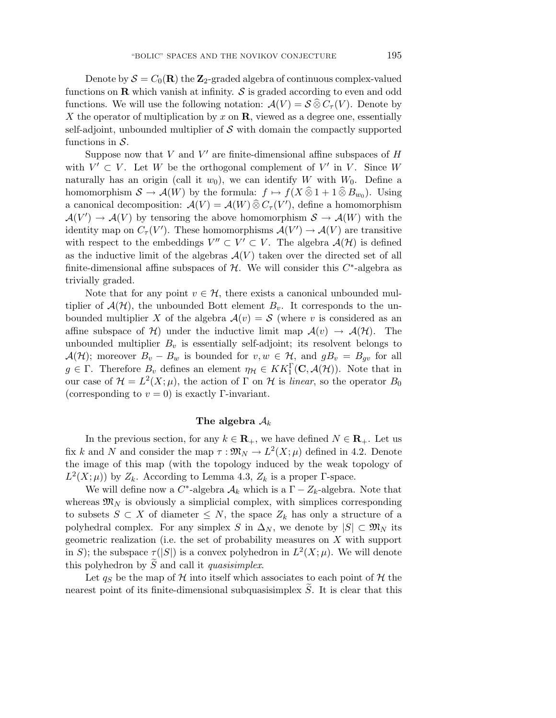Denote by  $S = C_0(\mathbf{R})$  the  $\mathbf{Z}_2$ -graded algebra of continuous complex-valued functions on  $\bf{R}$  which vanish at infinity.  $\cal{S}$  is graded according to even and odd functions. We will use the following notation:  $\mathcal{A}(V) = \mathcal{S} \widehat{\otimes} C_{\tau}(V)$ . Denote by X the operator of multiplication by x on **R**, viewed as a degree one, essentially self-adjoint, unbounded multiplier of  $S$  with domain the compactly supported functions in  $S$ .

Suppose now that  $V$  and  $V'$  are finite-dimensional affine subspaces of  $H$ with  $V' \subset V$ . Let W be the orthogonal complement of V' in V. Since W naturally has an origin (call it  $w_0$ ), we can identify W with  $W_0$ . Define a homomorphism  $S \to \mathcal{A}(W)$  by the formula:  $f \mapsto f(X \widehat{\otimes} 1 + 1 \widehat{\otimes} B_{w_0})$ . Using a canonical decomposition:  $\mathcal{A}(V) = \mathcal{A}(W) \widehat{\otimes} C_{\tau}(V')$ , define a homomorphism  $\mathcal{A}(V') \to \mathcal{A}(V)$  by tensoring the above homomorphism  $\mathcal{S} \to \mathcal{A}(W)$  with the identity map on  $C_{\tau}(V')$ . These homomorphisms  $\mathcal{A}(V') \to \mathcal{A}(V)$  are transitive with respect to the embeddings  $V'' \subset V' \subset V$ . The algebra  $\mathcal{A}(\mathcal{H})$  is defined as the inductive limit of the algebras  $\mathcal{A}(V)$  taken over the directed set of all finite-dimensional affine subspaces of  $H$ . We will consider this  $C^*$ -algebra as trivially graded.

Note that for any point  $v \in \mathcal{H}$ , there exists a canonical unbounded multiplier of  $\mathcal{A}(\mathcal{H})$ , the unbounded Bott element  $B_v$ . It corresponds to the unbounded multiplier X of the algebra  $A(v) = S$  (where v is considered as an affine subspace of H) under the inductive limit map  $\mathcal{A}(v) \to \mathcal{A}(\mathcal{H})$ . The unbounded multiplier  $B_v$  is essentially self-adjoint; its resolvent belongs to  $\mathcal{A}(\mathcal{H})$ ; moreover  $B_v - B_w$  is bounded for  $v, w \in \mathcal{H}$ , and  $gB_v = B_{qv}$  for all  $g \in \Gamma$ . Therefore  $B_v$  defines an element  $\eta_{\mathcal{H}} \in KK_1^{\Gamma}(\mathbf{C}, \mathcal{A}(\mathcal{H}))$ . Note that in our case of  $\mathcal{H} = L^2(X;\mu)$ , the action of  $\Gamma$  on  $\mathcal{H}$  is linear, so the operator  $B_0$ (corresponding to  $v = 0$ ) is exactly Γ-invariant.

#### The algebra  $A_k$

In the previous section, for any  $k \in \mathbb{R}_+$ , we have defined  $N \in \mathbb{R}_+$ . Let us fix k and N and consider the map  $\tau : \mathfrak{M}_N \to L^2(X;\mu)$  defined in 4.2. Denote the image of this map (with the topology induced by the weak topology of  $L^2(X;\mu)$  by  $Z_k$ . According to Lemma 4.3,  $Z_k$  is a proper Γ-space.

We will define now a C<sup>\*</sup>-algebra  $\mathcal{A}_k$  which is a  $\Gamma - Z_k$ -algebra. Note that whereas  $\mathfrak{M}_N$  is obviously a simplicial complex, with simplices corresponding to subsets  $S \subset X$  of diameter  $\leq N$ , the space  $Z_k$  has only a structure of a polyhedral complex. For any simplex S in  $\Delta_N$ , we denote by  $|S| \subset \mathfrak{M}_N$  its geometric realization (i.e. the set of probability measures on X with support in S); the subspace  $\tau(|S|)$  is a convex polyhedron in  $L^2(X;\mu)$ . We will denote this polyhedron by  $S$  and call it *quasisimplex*.

Let  $q_S$  be the map of  $H$  into itself which associates to each point of  $H$  the nearest point of its finite-dimensional subquasisimplex S . It is clear that this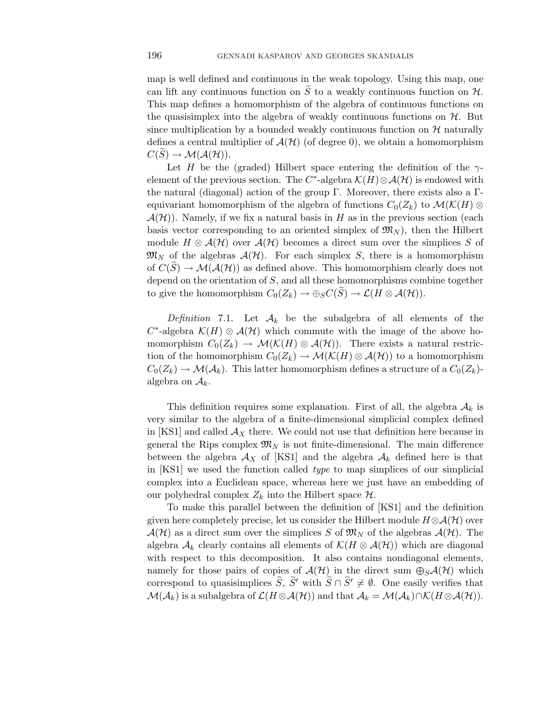map is well defined and continuous in the weak topology. Using this map, one can lift any continuous function on  $S$  to a weakly continuous function on  $H$ . This map defines a homomorphism of the algebra of continuous functions on the quasisimplex into the algebra of weakly continuous functions on  $H$ . But since multiplication by a bounded weakly continuous function on  $H$  naturally defines a central multiplier of  $\mathcal{A}(\mathcal{H})$  (of degree 0), we obtain a homomorphism  $C(S) \to \mathcal{M}(\mathcal{A}(\mathcal{H}))$ .

Let H be the (graded) Hilbert space entering the definition of the  $\gamma$ element of the previous section. The C<sup>∗</sup>-algebra  $\mathcal{K}(H)\otimes\mathcal{A}(\mathcal{H})$  is endowed with the natural (diagonal) action of the group Γ. Moreover, there exists also a Γequivariant homomorphism of the algebra of functions  $C_0(Z_k)$  to  $\mathcal{M}(\mathcal{K}(H) \otimes$  $\mathcal{A}(\mathcal{H})$ ). Namely, if we fix a natural basis in H as in the previous section (each basis vector corresponding to an oriented simplex of  $\mathfrak{M}_{N}$ , then the Hilbert module  $H \otimes \mathcal{A}(\mathcal{H})$  over  $\mathcal{A}(\mathcal{H})$  becomes a direct sum over the simplices S of  $\mathfrak{M}_{N}$  of the algebras  $\mathcal{A}(\mathcal{H})$ . For each simplex S, there is a homomorphism of  $C(S) \to \mathcal{M}(\mathcal{A}(\mathcal{H}))$  as defined above. This homomorphism clearly does not depend on the orientation of S, and all these homomorphisms combine together to give the homomorphism  $C_0(Z_k) \to \bigoplus_S C(S) \to \mathcal{L}(H \otimes \mathcal{A}(\mathcal{H}))$ .

Definition 7.1. Let  $A_k$  be the subalgebra of all elements of the  $C^*$ -algebra  $\mathcal{K}(H) \otimes \mathcal{A}(\mathcal{H})$  which commute with the image of the above homomorphism  $C_0(Z_k) \to \mathcal{M}(\mathcal{K}(H) \otimes \mathcal{A}(\mathcal{H}))$ . There exists a natural restriction of the homomorphism  $C_0(Z_k) \to \mathcal{M}(\mathcal{K}(H) \otimes \mathcal{A}(\mathcal{H}))$  to a homomorphism  $C_0(Z_k) \to \mathcal{M}(\mathcal{A}_k)$ . This latter homomorphism defines a structure of a  $C_0(Z_k)$ algebra on  $A_k$ .

This definition requires some explanation. First of all, the algebra  $A_k$  is very similar to the algebra of a finite-dimensional simplicial complex defined in [KS1] and called  $A_X$  there. We could not use that definition here because in general the Rips complex  $\mathfrak{M}_N$  is not finite-dimensional. The main difference between the algebra  $\mathcal{A}_X$  of [KS1] and the algebra  $\mathcal{A}_k$  defined here is that in [KS1] we used the function called type to map simplices of our simplicial complex into a Euclidean space, whereas here we just have an embedding of our polyhedral complex  $Z_k$  into the Hilbert space  $\mathcal{H}$ .

To make this parallel between the definition of [KS1] and the definition given here completely precise, let us consider the Hilbert module  $H \otimes \mathcal{A}(\mathcal{H})$  over  $\mathcal{A}(\mathcal{H})$  as a direct sum over the simplices S of  $\mathfrak{M}_N$  of the algebras  $\mathcal{A}(\mathcal{H})$ . The algebra  $\mathcal{A}_k$  clearly contains all elements of  $\mathcal{K}(H \otimes \mathcal{A}(\mathcal{H}))$  which are diagonal with respect to this decomposition. It also contains nondiagonal elements, namely for those pairs of copies of  $\mathcal{A}(\mathcal{H})$  in the direct sum  $\bigoplus_{S}\mathcal{A}(\mathcal{H})$  which correspond to quasisimplices  $\tilde{S}$ ,  $\tilde{S}'$  with  $\tilde{S} \cap \tilde{S}' \neq \emptyset$ . One easily verifies that  $\mathcal{M}(\mathcal{A}_k)$  is a subalgebra of  $\mathcal{L}(H \otimes \mathcal{A}(\mathcal{H}))$  and that  $\mathcal{A}_k = \mathcal{M}(\mathcal{A}_k) \cap \mathcal{K}(H \otimes \mathcal{A}(\mathcal{H}))$ .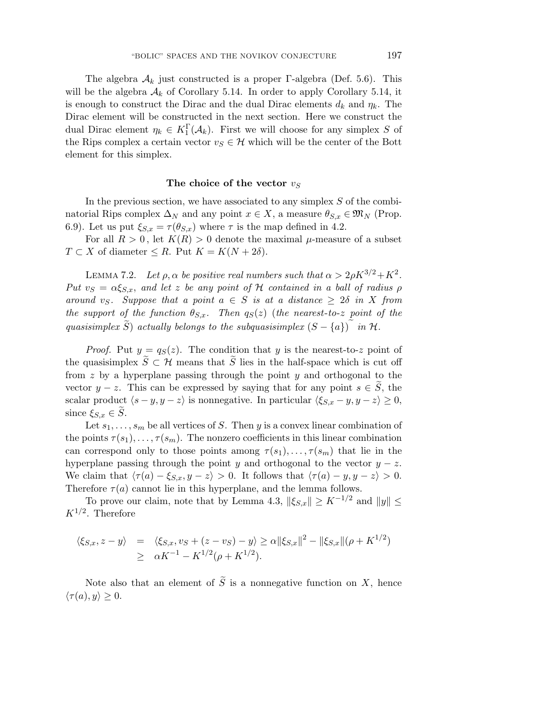The algebra  $A_k$  just constructed is a proper Γ-algebra (Def. 5.6). This will be the algebra  $A_k$  of Corollary 5.14. In order to apply Corollary 5.14, it is enough to construct the Dirac and the dual Dirac elements  $d_k$  and  $\eta_k$ . The Dirac element will be constructed in the next section. Here we construct the dual Dirac element  $\eta_k \in K_1^{\Gamma}(\mathcal{A}_k)$ . First we will choose for any simplex S of the Rips complex a certain vector  $v_S \in \mathcal{H}$  which will be the center of the Bott element for this simplex.

#### The choice of the vector  $v_S$

In the previous section, we have associated to any simplex  $S$  of the combinatorial Rips complex  $\Delta_N$  and any point  $x \in X$ , a measure  $\theta_{S,x} \in \mathfrak{M}_N$  (Prop. 6.9). Let us put  $\xi_{S,x} = \tau(\theta_{S,x})$  where  $\tau$  is the map defined in 4.2.

For all  $R > 0$ , let  $K(R) > 0$  denote the maximal  $\mu$ -measure of a subset  $T \subset X$  of diameter  $\leq R$ . Put  $K = K(N + 2\delta)$ .

LEMMA 7.2. Let  $\rho$ ,  $\alpha$  be positive real numbers such that  $\alpha > 2\rho K^{3/2} + K^2$ . Put  $v_S = \alpha \xi_{S,x}$ , and let z be any point of H contained in a ball of radius  $\rho$ around vs. Suppose that a point  $a \in S$  is at a distance  $\geq 2\delta$  in X from the support of the function  $\theta_{S,x}$ . Then  $q_S(z)$  (the nearest-to-z point of the quasisimplex S) actually belongs to the subquasisimplex  $(S - \{a\})$  in  $\mathcal{H}$ .

*Proof.* Put  $y = q_S(z)$ . The condition that y is the nearest-to-z point of the quasisimplex  $S \subset \mathcal{H}$  means that S lies in the half-space which is cut off from z by a hyperplane passing through the point  $y$  and orthogonal to the vector  $y - z$ . This can be expressed by saying that for any point  $s \in S$ , the scalar product  $\langle s - y, y - z \rangle$  is nonnegative. In particular  $\langle \xi_{S,x} - y, y - z \rangle \geq 0$ , since  $\xi_{S,x} \in S$ .

Let  $s_1, \ldots, s_m$  be all vertices of S. Then y is a convex linear combination of the points  $\tau(s_1),\ldots,\tau(s_m)$ . The nonzero coefficients in this linear combination can correspond only to those points among  $\tau(s_1),\ldots,\tau(s_m)$  that lie in the hyperplane passing through the point y and orthogonal to the vector  $y - z$ . We claim that  $\langle \tau(a) - \xi_{S,x}, y - z \rangle > 0$ . It follows that  $\langle \tau(a) - y, y - z \rangle > 0$ . Therefore  $\tau(a)$  cannot lie in this hyperplane, and the lemma follows.

To prove our claim, note that by Lemma 4.3,  $\|\xi_{S,x}\| \geq K^{-1/2}$  and  $\|y\| \leq$  $K^{1/2}$ . Therefore

$$
\langle \xi_{S,x}, z - y \rangle = \langle \xi_{S,x}, v_S + (z - v_S) - y \rangle \ge \alpha ||\xi_{S,x}||^2 - ||\xi_{S,x}||(\rho + K^{1/2})
$$
  
 
$$
\ge \alpha K^{-1} - K^{1/2}(\rho + K^{1/2}).
$$

Note also that an element of  $S$  is a nonnegative function on  $X$ , hence  $\langle \tau(a), y \rangle \geq 0.$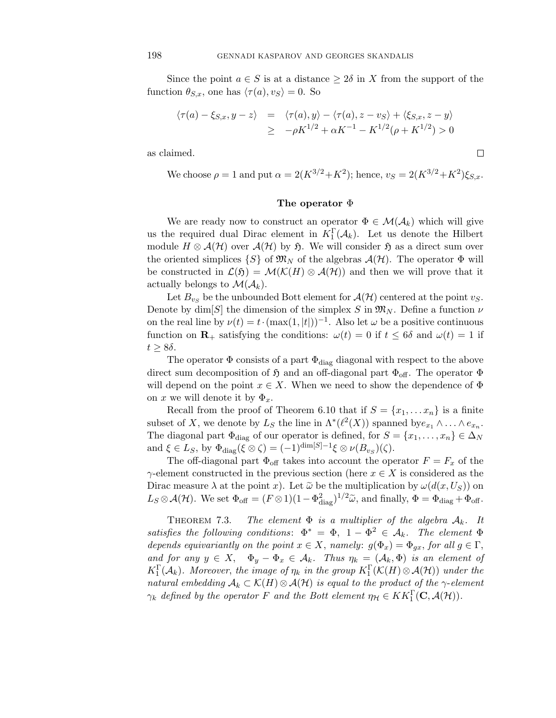Since the point  $a \in S$  is at a distance  $\geq 2\delta$  in X from the support of the function  $\theta_{S,x}$ , one has  $\langle \tau(a), v_S \rangle = 0$ . So

$$
\begin{array}{rcl}\n\langle \tau(a)-\xi_{S,x}, y-z\rangle &=& \langle \tau(a), y\rangle - \langle \tau(a), z-v_S\rangle + \langle \xi_{S,x}, z-y\rangle \\
&=& -\rho K^{1/2} + \alpha K^{-1} - K^{1/2}(\rho + K^{1/2}) > 0\n\end{array}
$$

as claimed.

We choose  $\rho = 1$  and put  $\alpha = 2(K^{3/2} + K^2)$ ; hence,  $v_S = 2(K^{3/2} + K^2) \xi_{S,x}$ .

 $\Box$ 

#### **The operator** Φ

We are ready now to construct an operator  $\Phi \in \mathcal{M}(\mathcal{A}_k)$  which will give us the required dual Dirac element in  $K_1^{\Gamma}(\mathcal{A}_k)$ . Let us denote the Hilbert module  $H \otimes \mathcal{A}(\mathcal{H})$  over  $\mathcal{A}(\mathcal{H})$  by  $\mathfrak{H}$ . We will consider  $\mathfrak{H}$  as a direct sum over the oriented simplices  $\{S\}$  of  $\mathfrak{M}_N$  of the algebras  $\mathcal{A}(\mathcal{H})$ . The operator  $\Phi$  will be constructed in  $\mathcal{L}(f) = \mathcal{M}(\mathcal{K}(H) \otimes \mathcal{A}(\mathcal{H}))$  and then we will prove that it actually belongs to  $\mathcal{M}(\mathcal{A}_k)$ .

Let  $B_{v<sub>S</sub>}$  be the unbounded Bott element for  $\mathcal{A}(\mathcal{H})$  centered at the point  $v<sub>S</sub>$ . Denote by dim[S] the dimension of the simplex S in  $\mathfrak{M}_N$ . Define a function  $\nu$ on the real line by  $\nu(t) = t \cdot (\max(1, |t|))^{-1}$ . Also let  $\omega$  be a positive continuous function on **R**<sub>+</sub> satisfying the conditions:  $\omega(t) = 0$  if  $t \le 6\delta$  and  $\omega(t) = 1$  if  $t \geq 8\delta$ .

The operator  $\Phi$  consists of a part  $\Phi_{\text{diag}}$  diagonal with respect to the above direct sum decomposition of  $\mathfrak{H}$  and an off-diagonal part  $\Phi_{\text{off}}$ . The operator  $\Phi$ will depend on the point  $x \in X$ . When we need to show the dependence of  $\Phi$ on x we will denote it by  $\Phi_x$ .

Recall from the proof of Theorem 6.10 that if  $S = \{x_1, \ldots x_n\}$  is a finite subset of X, we denote by L<sub>S</sub> the line in  $\Lambda^*(\ell^2(X))$  spanned by  $e_{x_1} \wedge \ldots \wedge e_{x_n}$ . The diagonal part  $\Phi_{\text{diag}}$  of our operator is defined, for  $S = \{x_1, \ldots, x_n\} \in \Delta_N$ and  $\xi \in L_S$ , by  $\Phi_{\text{diag}}(\xi \otimes \zeta) = (-1)^{\dim[S]-1} \xi \otimes \nu(B_{v_S})(\zeta)$ .

The off-diagonal part  $\Phi_{\text{off}}$  takes into account the operator  $F = F_x$  of the  $\gamma$ -element constructed in the previous section (here  $x \in X$  is considered as the Dirac measure  $\lambda$  at the point x). Let  $\tilde{\omega}$  be the multiplication by  $\omega(d(x, U_S))$  on  $L_S \otimes \mathcal{A}(\mathcal{H})$ . We set  $\Phi_{\text{off}} = (F \otimes 1)(1 - \Phi_{\text{diag}}^2)^{1/2} \tilde{\omega}$ , and finally,  $\Phi = \Phi_{\text{diag}} + \Phi_{\text{off}}$ .

THEOREM 7.3. The element  $\Phi$  is a multiplier of the algebra  $A_k$ . It satisfies the following conditions:  $\Phi^* = \Phi$ ,  $1 - \Phi^2 \in \mathcal{A}_k$ . The element  $\Phi$ depends equivariantly on the point  $x \in X$ , namely:  $g(\Phi_x) = \Phi_{qx}$ , for all  $g \in \Gamma$ , and for any  $y \in X$ ,  $\Phi_y - \Phi_x \in \mathcal{A}_k$ . Thus  $\eta_k = (\mathcal{A}_k, \Phi)$  is an element of  $K_1^{\Gamma}(\mathcal{A}_k)$ . Moreover, the image of  $\eta_k$  in the group  $K_1^{\Gamma}(\mathcal{K}(H)\otimes \mathcal{A}(\mathcal{H}))$  under the natural embedding  $A_k \subset \mathcal{K}(H) \otimes \mathcal{A}(\mathcal{H})$  is equal to the product of the  $\gamma$ -element  $\gamma_k$  defined by the operator F and the Bott element  $\eta_{\mathcal{H}} \in KK_1^{\Gamma}(\mathbf{C}, \mathcal{A}(\mathcal{H}))$ .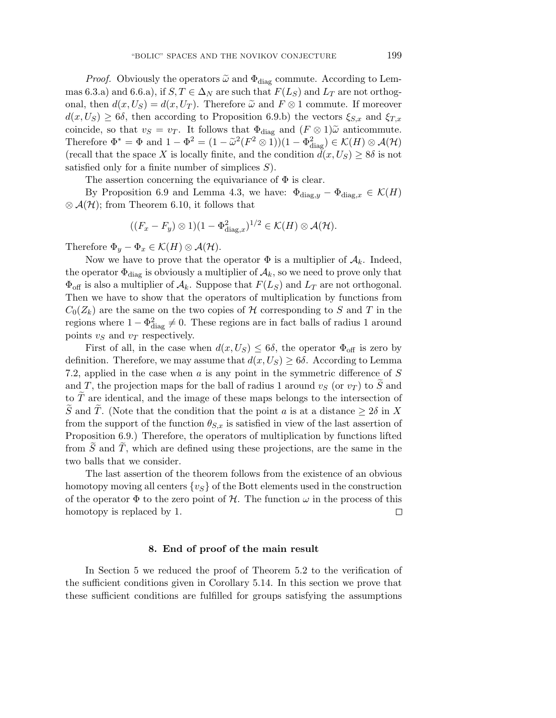*Proof.* Obviously the operators  $\tilde{\omega}$  and  $\Phi_{\text{diag}}$  commute. According to Lemmas 6.3.a) and 6.6.a), if  $S, T \in \Delta_N$  are such that  $F(L_S)$  and  $L_T$  are not orthogonal, then  $d(x, U_S) = d(x, U_T)$ . Therefore  $\tilde{\omega}$  and  $F \otimes 1$  commute. If moreover  $d(x, U_S) \ge 6\delta$ , then according to Proposition 6.9.b) the vectors  $\xi_{S,x}$  and  $\xi_{T,x}$ coincide, so that  $v_S = v_T$ . It follows that  $\Phi_{\text{diag}}$  and  $(F \otimes 1) \tilde{\omega}$  anticommute. Therefore  $\Phi^* = \Phi$  and  $1 - \Phi^2 = (1 - \tilde{\omega}^2 (F^2 \otimes 1))(1 - \Phi_{\text{diag}}^2) \in \mathcal{K}(H) \otimes \mathcal{A}(\mathcal{H})$ (recall that the space X is locally finite, and the condition  $d(x, U_s) \geq 8\delta$  is not satisfied only for a finite number of simplices  $S$ ).

The assertion concerning the equivariance of  $\Phi$  is clear.

By Proposition 6.9 and Lemma 4.3, we have:  $\Phi_{\text{diag},y} - \Phi_{\text{diag},x} \in \mathcal{K}(H)$  $\otimes$   $\mathcal{A}(\mathcal{H})$ ; from Theorem 6.10, it follows that

$$
((F_x-F_y)\otimes 1)(1-\Phi^2_{\text{diag},x})^{1/2}\in \mathcal{K}(H)\otimes \mathcal{A}(\mathcal{H}).
$$

Therefore  $\Phi_y - \Phi_x \in \mathcal{K}(H) \otimes \mathcal{A}(\mathcal{H})$ .

Now we have to prove that the operator  $\Phi$  is a multiplier of  $\mathcal{A}_k$ . Indeed, the operator  $\Phi_{\text{diag}}$  is obviously a multiplier of  $\mathcal{A}_k$ , so we need to prove only that  $\Phi_{\text{off}}$  is also a multiplier of  $\mathcal{A}_k$ . Suppose that  $F(L_S)$  and  $L_T$  are not orthogonal. Then we have to show that the operators of multiplication by functions from  $C_0(Z_k)$  are the same on the two copies of H corresponding to S and T in the regions where  $1 - \Phi_{\text{diag}}^2 \neq 0$ . These regions are in fact balls of radius 1 around points  $v_S$  and  $v_T$  respectively.

First of all, in the case when  $d(x, U_s) \leq 6\delta$ , the operator  $\Phi_{\text{off}}$  is zero by definition. Therefore, we may assume that  $d(x, U<sub>S</sub>) > 6\delta$ . According to Lemma 7.2, applied in the case when a is any point in the symmetric difference of S and T, the projection maps for the ball of radius 1 around  $v_S$  (or  $v_T$ ) to S and to T are identical, and the image of these maps belongs to the intersection of S and T. (Note that the condition that the point a is at a distance  $\geq 2\delta$  in X from the support of the function  $\theta_{S,x}$  is satisfied in view of the last assertion of Proposition 6.9.) Therefore, the operators of multiplication by functions lifted from S and T, which are defined using these projections, are the same in the two balls that we consider.

The last assertion of the theorem follows from the existence of an obvious homotopy moving all centers  $\{v_{\mathcal{S}}\}$  of the Bott elements used in the construction of the operator  $\Phi$  to the zero point of H. The function  $\omega$  in the process of this homotopy is replaced by 1. □

## **8. End of proof of the main result**

In Section 5 we reduced the proof of Theorem 5.2 to the verification of the sufficient conditions given in Corollary 5.14. In this section we prove that these sufficient conditions are fulfilled for groups satisfying the assumptions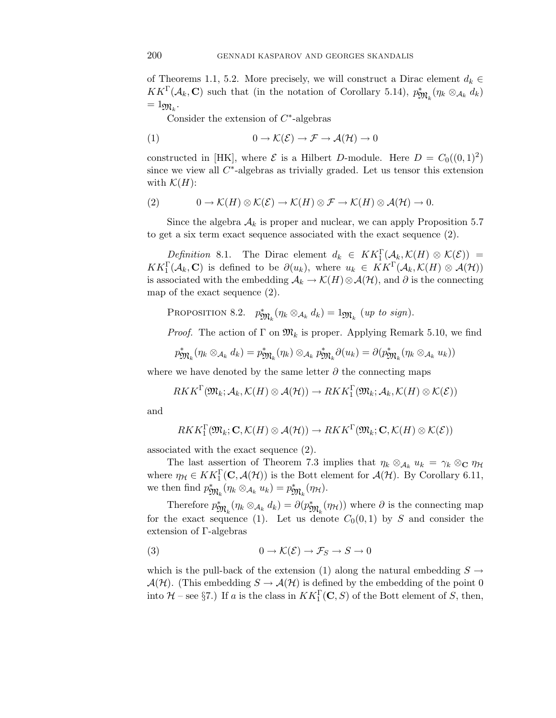of Theorems 1.1, 5.2. More precisely, we will construct a Dirac element  $d_k \in$  $KK^{\Gamma}(\mathcal{A}_k, \mathbf{C})$  such that (in the notation of Corollary 5.14),  $p_{\mathfrak{M}_k}^*(\eta_k \otimes_{\mathcal{A}_k} d_k)$  $= 1_{\mathfrak{M}_k}$ .

Consider the extension of  $C^*$ -algebras

(1) 
$$
0 \to \mathcal{K}(\mathcal{E}) \to \mathcal{F} \to \mathcal{A}(\mathcal{H}) \to 0
$$

constructed in [HK], where  $\mathcal E$  is a Hilbert D-module. Here  $D = C_0((0,1)^2)$ since we view all  $C^*$ -algebras as trivially graded. Let us tensor this extension with  $\mathcal{K}(H)$ :

(2) 
$$
0 \to \mathcal{K}(H) \otimes \mathcal{K}(\mathcal{E}) \to \mathcal{K}(H) \otimes \mathcal{F} \to \mathcal{K}(H) \otimes \mathcal{A}(\mathcal{H}) \to 0.
$$

Since the algebra  $A_k$  is proper and nuclear, we can apply Proposition 5.7 to get a six term exact sequence associated with the exact sequence (2).

Definition 8.1. The Dirac element  $d_k \in KK_1^{\Gamma}(\mathcal{A}_k, \mathcal{K}(H) \otimes \mathcal{K}(\mathcal{E})) =$  $KK_1^{\Gamma}(\mathcal{A}_k, \mathbf{C})$  is defined to be  $\partial(u_k)$ , where  $u_k \in KK^{\Gamma}(\mathcal{A}_k, \mathcal{K}(H) \otimes \mathcal{A}(\mathcal{H}))$ is associated with the embedding  $\mathcal{A}_k \to \mathcal{K}(H) \otimes \mathcal{A}(\mathcal{H})$ , and  $\partial$  is the connecting map of the exact sequence (2).

PROPOSITION 8.2. 
$$
p_{\mathfrak{M}_k}^*(\eta_k \otimes_{\mathcal{A}_k} d_k) = 1_{\mathfrak{M}_k}
$$
 (up to sign)

*Proof.* The action of  $\Gamma$  on  $\mathfrak{M}_k$  is proper. Applying Remark 5.10, we find

$$
p_{\mathfrak{M}_k}^*(\eta_k \otimes_{\mathcal{A}_k} d_k) = p_{\mathfrak{M}_k}^*(\eta_k) \otimes_{\mathcal{A}_k} p_{\mathfrak{M}_k}^* \partial(u_k) = \partial(p_{\mathfrak{M}_k}^*(\eta_k \otimes_{\mathcal{A}_k} u_k))
$$

where we have denoted by the same letter  $\partial$  the connecting maps

$$
RKK^{\Gamma}(\mathfrak{M}_k; \mathcal{A}_k, \mathcal{K}(H) \otimes \mathcal{A}(\mathcal{H})) \to RKK_1^{\Gamma}(\mathfrak{M}_k; \mathcal{A}_k, \mathcal{K}(H) \otimes \mathcal{K}(\mathcal{E}))
$$

and

$$
RKK_1^{\Gamma}(\mathfrak{M}_k; \mathbf{C}, \mathcal{K}(H) \otimes \mathcal{A}(\mathcal{H})) \to RKK^{\Gamma}(\mathfrak{M}_k; \mathbf{C}, \mathcal{K}(H) \otimes \mathcal{K}(\mathcal{E}))
$$

associated with the exact sequence (2).

The last assertion of Theorem 7.3 implies that  $\eta_k \otimes_{\mathcal{A}_k} u_k = \gamma_k \otimes_{\mathbb{C}} \eta_{\mathcal{H}}$ where  $\eta_{\mathcal{H}} \in KK_1^{\Gamma}(\mathbf{C}, \mathcal{A}(\mathcal{H}))$  is the Bott element for  $\mathcal{A}(\mathcal{H})$ . By Corollary 6.11, we then find  $p_{\mathfrak{M}_k}^*(\eta_k \otimes_{\mathcal{A}_k} u_k) = p_{\mathfrak{M}_k}^*(\eta_{\mathcal{H}}).$ 

Therefore  $p_{\mathfrak{M}_k}^*(\eta_k \otimes_{\mathcal{A}_k} d_k) = \partial(p_{\mathfrak{M}_k}^*(\eta_{\mathcal{H}}))$  where  $\partial$  is the connecting map for the exact sequence (1). Let us denote  $C_0(0,1)$  by S and consider the extension of Γ-algebras

(3) 
$$
0 \to \mathcal{K}(\mathcal{E}) \to \mathcal{F}_S \to S \to 0
$$

which is the pull-back of the extension (1) along the natural embedding  $S \rightarrow$  $\mathcal{A}(\mathcal{H})$ . (This embedding  $S \to \mathcal{A}(\mathcal{H})$  is defined by the embedding of the point 0 into  $\mathcal{H}$  – see §7.) If a is the class in  $KK_1^{\Gamma}(\mathbf{C}, S)$  of the Bott element of S, then,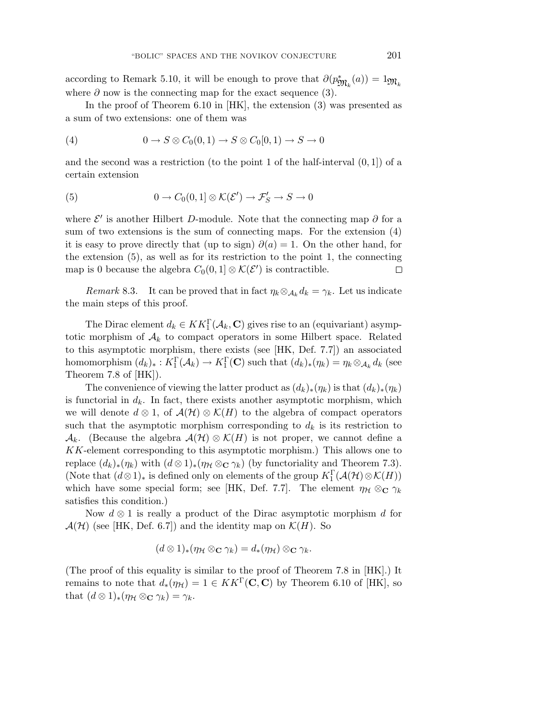according to Remark 5.10, it will be enough to prove that  $\partial(p_{\mathfrak{M}_k}^*(a))=1_{\mathfrak{M}_k}$ where  $\partial$  now is the connecting map for the exact sequence (3).

In the proof of Theorem 6.10 in [HK], the extension (3) was presented as a sum of two extensions: one of them was

(4) 
$$
0 \to S \otimes C_0(0,1) \to S \otimes C_0[0,1) \to S \to 0
$$

and the second was a restriction (to the point 1 of the half-interval  $(0, 1)$ ) of a certain extension

(5) 
$$
0 \to C_0(0,1] \otimes \mathcal{K}(\mathcal{E}') \to \mathcal{F}'_S \to S \to 0
$$

where  $\mathcal{E}'$  is another Hilbert D-module. Note that the connecting map  $\partial$  for a sum of two extensions is the sum of connecting maps. For the extension (4) it is easy to prove directly that (up to sign)  $\partial(a)=1$ . On the other hand, for the extension (5), as well as for its restriction to the point 1, the connecting map is 0 because the algebra  $C_0(0,1] \otimes \mathcal{K}(\mathcal{E}')$  is contractible.  $\Box$ 

Remark 8.3. It can be proved that in fact  $\eta_k \otimes_{\mathcal{A}_k} d_k = \gamma_k$ . Let us indicate the main steps of this proof.

The Dirac element  $d_k \in KK_1^{\Gamma}(\mathcal{A}_k, \mathbf{C})$  gives rise to an (equivariant) asymptotic morphism of  $A_k$  to compact operators in some Hilbert space. Related to this asymptotic morphism, there exists (see [HK, Def. 7.7]) an associated homomorphism  $(d_k)_*: K_1^{\Gamma}(\mathcal{A}_k) \to K_1^{\Gamma}(\mathbf{C})$  such that  $(d_k)_*(\eta_k) = \eta_k \otimes_{\mathcal{A}_k} d_k$  (see Theorem 7.8 of [HK]).

The convenience of viewing the latter product as  $(d_k)_*(\eta_k)$  is that  $(d_k)_*(\eta_k)$ is functorial in  $d_k$ . In fact, there exists another asymptotic morphism, which we will denote  $d \otimes 1$ , of  $\mathcal{A}(\mathcal{H}) \otimes \mathcal{K}(H)$  to the algebra of compact operators such that the asymptotic morphism corresponding to  $d_k$  is its restriction to  $\mathcal{A}_k$ . (Because the algebra  $\mathcal{A}(\mathcal{H}) \otimes \mathcal{K}(H)$  is not proper, we cannot define a KK-element corresponding to this asymptotic morphism.) This allows one to replace  $(d_k)_*(\eta_k)$  with  $(d \otimes 1)_*(\eta \otimes \mathbf{C} \gamma_k)$  (by functoriality and Theorem 7.3). (Note that  $(d \otimes 1)_*$  is defined only on elements of the group  $K_1^{\Gamma}(\mathcal{A}(\mathcal{H}) \otimes \mathcal{K}(H))$ which have some special form; see [HK, Def. 7.7]. The element  $\eta_H \otimes_{\mathbb{C}} \gamma_k$ satisfies this condition.)

Now  $d \otimes 1$  is really a product of the Dirac asymptotic morphism d for  $\mathcal{A}(\mathcal{H})$  (see [HK, Def. 6.7]) and the identity map on  $\mathcal{K}(H)$ . So

$$
(d\otimes 1)_*(\eta_{\mathcal{H}}\otimes_{\mathbf{C}}\gamma_{k})=d_*(\eta_{\mathcal{H}})\otimes_{\mathbf{C}}\gamma_{k}.
$$

(The proof of this equality is similar to the proof of Theorem 7.8 in [HK].) It remains to note that  $d_*(\eta_{\mathcal{H}})=1 \in KK^{\Gamma}(\mathbf{C}, \mathbf{C})$  by Theorem 6.10 of [HK], so that  $(d \otimes 1)_*(\eta_{\mathcal{H}} \otimes_{\mathbf{C}} \gamma_k) = \gamma_k$ .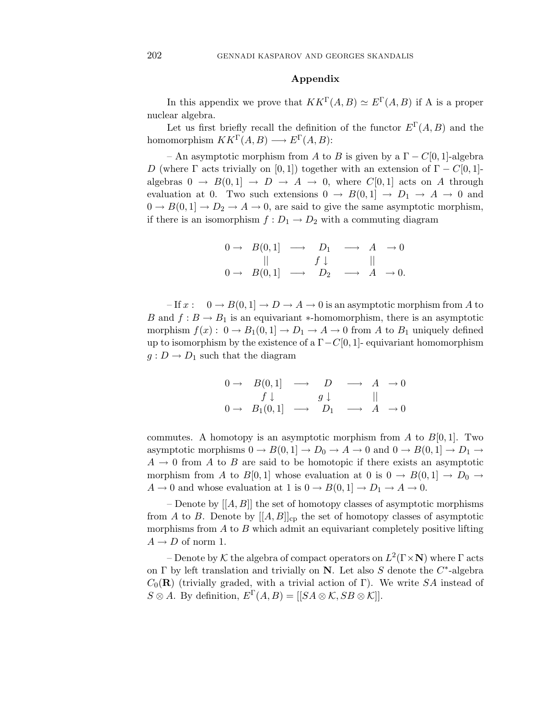# **Appendix**

In this appendix we prove that  $KK^{\Gamma}(A, B) \simeq E^{\Gamma}(A, B)$  if A is a proper nuclear algebra.

Let us first briefly recall the definition of the functor  $E^{\Gamma}(A, B)$  and the homomorphism  $KK^{\Gamma}(A, B) \longrightarrow E^{\Gamma}(A, B)$ :

– An asymptotic morphism from A to B is given by a  $\Gamma - C[0, 1]$ -algebra D (where  $\Gamma$  acts trivially on [0, 1]) together with an extension of  $\Gamma - C[0, 1]$ algebras  $0 \to B(0,1] \to D \to A \to 0$ , where  $C[0,1]$  acts on A through evaluation at 0. Two such extensions  $0 \to B(0,1] \to D_1 \to A \to 0$  and  $0 \to B(0, 1] \to D_2 \to A \to 0$ , are said to give the same asymptotic morphism, if there is an isomorphism  $f: D_1 \to D_2$  with a commuting diagram

$$
\begin{array}{ccccccc}\n0 \rightarrow & B(0,1) & \longrightarrow & D_1 & \longrightarrow & A & \rightarrow 0 \\
 & || & & f \downarrow & & || \\
0 \rightarrow & B(0,1) & \longrightarrow & D_2 & \longrightarrow & A & \rightarrow 0.\n\end{array}
$$

 $-If x: 0 \rightarrow B(0,1] \rightarrow D \rightarrow A \rightarrow 0$  is an asymptotic morphism from A to B and  $f : B \to B_1$  is an equivariant \*-homomorphism, there is an asymptotic morphism  $f(x): 0 \to B_1(0,1] \to D_1 \to A \to 0$  from A to  $B_1$  uniquely defined up to isomorphism by the existence of a  $\Gamma - C[0, 1]$ - equivariant homomorphism  $g: D \to D_1$  such that the diagram

$$
\begin{array}{ccccccc}\n0 \rightarrow & B(0,1) & \longrightarrow & D & \longrightarrow & A & \rightarrow 0 \\
 & f \downarrow & & & g \downarrow & & || \\
0 \rightarrow & B_1(0,1) & \longrightarrow & D_1 & \longrightarrow & A & \rightarrow 0\n\end{array}
$$

commutes. A homotopy is an asymptotic morphism from A to  $B[0,1]$ . Two asymptotic morphisms  $0 \to B(0, 1] \to D_0 \to A \to 0$  and  $0 \to B(0, 1] \to D_1 \to$  $A \rightarrow 0$  from A to B are said to be homotopic if there exists an asymptotic morphism from A to B[0, 1] whose evaluation at 0 is  $0 \to B(0, 1] \to D_0 \to$  $A \to 0$  and whose evaluation at 1 is  $0 \to B(0,1] \to D_1 \to A \to 0$ .

– Denote by  $[[A, B]]$  the set of homotopy classes of asymptotic morphisms from A to B. Denote by  $[[A, B]]_{cp}$  the set of homotopy classes of asymptotic morphisms from  $A$  to  $B$  which admit an equivariant completely positive lifting  $A \rightarrow D$  of norm 1.

– Denote by K the algebra of compact operators on  $L^2(\Gamma \times N)$  where  $\Gamma$  acts on  $\Gamma$  by left translation and trivially on **N**. Let also S denote the  $C^*$ -algebra  $C_0(\mathbf{R})$  (trivially graded, with a trivial action of Γ). We write SA instead of  $S \otimes A$ . By definition,  $E^{\Gamma}(A, B) = |[SA \otimes \mathcal{K}, SB \otimes \mathcal{K}]|$ .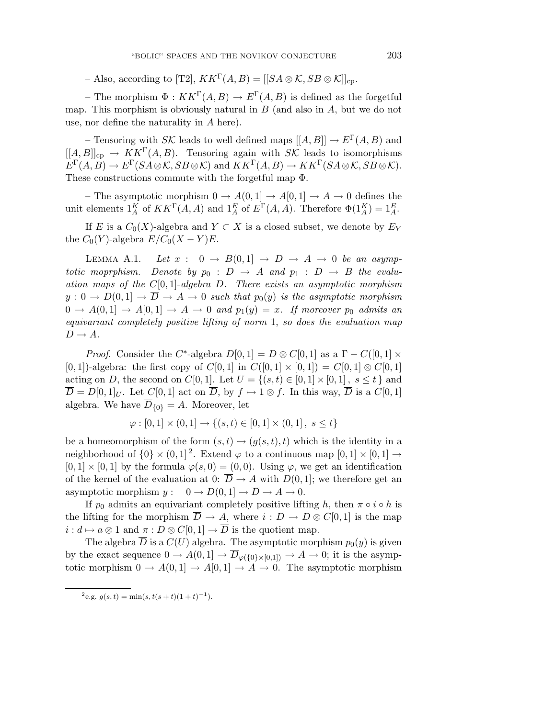– Also, according to [T2],  $KK^{\Gamma}(A, B) = [[SA \otimes \mathcal{K}, SB \otimes \mathcal{K}]]_{cp}$ .

– The morphism  $\Phi: K K^{\Gamma}(A, B) \to E^{\Gamma}(A, B)$  is defined as the forgetful map. This morphism is obviously natural in  $B$  (and also in  $A$ , but we do not use, nor define the naturality in A here).

– Tensoring with  $S\mathcal{K}$  leads to well defined maps  $[[A, B]] \to E^{\Gamma}(A, B)$  and  $[[A, B]]_{cp} \to KK^{\Gamma}(A, B)$ . Tensoring again with  $S\mathcal{K}$  leads to isomorphisms  $E^{\Gamma}(A, B) \to E^{\Gamma}(S A \otimes \mathcal{K}, S B \otimes \mathcal{K})$  and  $KK^{\Gamma}(A, B) \to KK^{\Gamma}(S A \otimes \mathcal{K}, S B \otimes \mathcal{K}).$ These constructions commute with the forgetful map Φ.

– The asymptotic morphism  $0 \to A(0,1] \to A[0,1] \to A \to 0$  defines the unit elements  $1_A^K$  of  $KK^{\Gamma}(A, A)$  and  $1_A^E$  of  $E^{\Gamma}(A, A)$ . Therefore  $\Phi(1_A^K) = 1_A^E$ .

If E is a  $C_0(X)$ -algebra and  $Y \subset X$  is a closed subset, we denote by  $E_Y$ the  $C_0(Y)$ -algebra  $E/C_0(X-Y)E$ .

LEMMA A.1. Let  $x: 0 \rightarrow B(0,1] \rightarrow D \rightarrow A \rightarrow 0$  be an asymptotic moprphism. Denote by  $p_0 : D \to A$  and  $p_1 : D \to B$  the evaluation maps of the  $C[0, 1]$ -algebra D. There exists an asymptotic morphism  $y: 0 \to D(0,1] \to \overline{D} \to A \to 0$  such that  $p_0(y)$  is the asymptotic morphism  $0 \rightarrow A(0,1] \rightarrow A[0,1] \rightarrow A \rightarrow 0$  and  $p_1(y) = x$ . If moreover  $p_0$  admits an equivariant completely positive lifting of norm 1, so does the evaluation map  $\overline{D} \to A$ .

*Proof.* Consider the C<sup>\*</sup>-algebra  $D[0, 1] = D \otimes C[0, 1]$  as a  $\Gamma - C([0, 1] \times$ [0, 1])-algebra: the first copy of  $C[0, 1]$  in  $C([0, 1] \times [0, 1]) = C[0, 1] \otimes C[0, 1]$ acting on D, the second on  $C[0, 1]$ . Let  $U = \{(s, t) \in [0, 1] \times [0, 1], s \leq t\}$  and  $\overline{D} = D[0,1]_U$ . Let  $C[0,1]$  act on  $\overline{D}$ , by  $f \mapsto 1 \otimes f$ . In this way,  $\overline{D}$  is a  $C[0,1]$ algebra. We have  $\overline{D}_{\{0\}} = A$ . Moreover, let

$$
\varphi : [0,1] \times (0,1] \to \{(s,t) \in [0,1] \times (0,1], \ s \le t\}
$$

be a homeomorphism of the form  $(s,t) \mapsto (g(s,t),t)$  which is the identity in a neighborhood of  $\{0\} \times (0,1]^2$ . Extend  $\varphi$  to a continuous map  $[0,1] \times [0,1] \rightarrow$  $[0, 1] \times [0, 1]$  by the formula  $\varphi(s, 0) = (0, 0)$ . Using  $\varphi$ , we get an identification of the kernel of the evaluation at 0:  $\overline{D} \rightarrow A$  with  $D(0, 1]$ ; we therefore get an asymptotic morphism  $y: 0 \to D(0, 1] \to \overline{D} \to A \to 0$ .

If  $p_0$  admits an equivariant completely positive lifting h, then  $\pi \circ i \circ h$  is the lifting for the morphism  $\overline{D} \to A$ , where  $i : D \to D \otimes C[0,1]$  is the map  $i: d \mapsto a \otimes 1$  and  $\pi: D \otimes C[0,1] \to \overline{D}$  is the quotient map.

The algebra  $\overline{D}$  is a  $C(U)$  algebra. The asymptotic morphism  $p_0(y)$  is given by the exact sequence  $0 \to A(0,1] \to \overline{D}_{\varphi({0\}\times{0,1}]}) \to A \to 0$ ; it is the asymptotic morphism  $0 \to A(0,1] \to A[0,1] \to A \to 0$ . The asymptotic morphism

 $^{2}$ e.g.  $g(s,t) = min(s,t(s + t)(1 + t)^{-1}).$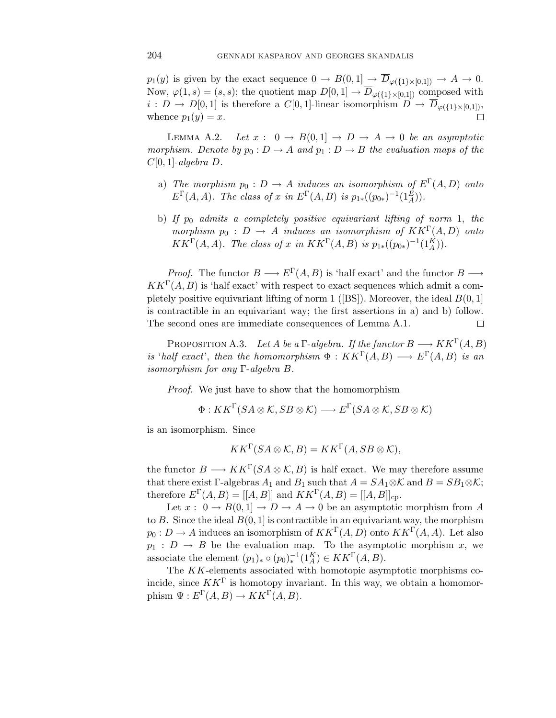$p_1(y)$  is given by the exact sequence  $0 \to B(0,1] \to \overline{D}_{\varphi({11}\times{10,1})} \to A \to 0.$ Now,  $\varphi(1, s)=(s, s);$  the quotient map  $D[0, 1] \to \overline{D}_{\varphi(\{1\}\times[0, 1])}$  composed with  $i: D \to D[0,1]$  is therefore a  $C[0,1]$ -linear isomorphism  $D \to \overline{D}_{\varphi({1} \times [0,1])}$ , whence  $p_1(y) = x$ .  $\Box$ 

LEMMA A.2. Let  $x: 0 \to B(0,1] \to D \to A \to 0$  be an asymptotic morphism. Denote by  $p_0: D \to A$  and  $p_1: D \to B$  the evaluation maps of the  $C[0, 1]$ -algebra  $D$ .

- a) The morphism  $p_0 : D \to A$  induces an isomorphism of  $E^{\Gamma}(A, D)$  onto  $E^{\Gamma}(A, A)$ . The class of x in  $E^{\Gamma}(A, B)$  is  $p_{1*}((p_{0*})^{-1}(1_A^E))$ .
- b) If  $p_0$  admits a completely positive equivariant lifting of norm 1, the morphism  $p_0 : D \to A$  induces an isomorphism of  $KK^{\Gamma}(A, D)$  onto  $KK^{\Gamma}(A, A)$ . The class of x in  $KK^{\Gamma}(A, B)$  is  $p_{1*}((p_{0*})^{-1}(1_{A}^{K}))$ .

*Proof.* The functor  $B \longrightarrow E^{\Gamma}(A, B)$  is 'half exact' and the functor  $B \longrightarrow$  $KK^{\Gamma}(A, B)$  is 'half exact' with respect to exact sequences which admit a completely positive equivariant lifting of norm 1 ([BS]). Moreover, the ideal  $B(0, 1]$ is contractible in an equivariant way; the first assertions in a) and b) follow. The second ones are immediate consequences of Lemma A.1.  $\Box$ 

PROPOSITION A.3. Let A be a  $\Gamma$ -algebra. If the functor  $B \longrightarrow KK^{\Gamma}(A, B)$ is 'half exact', then the homomorphism  $\Phi: KK^{\Gamma}(A, B) \longrightarrow E^{\Gamma}(A, B)$  is an isomorphism for any Γ-algebra B.

Proof. We just have to show that the homomorphism

 $\Phi: K K^{\Gamma}(S A \otimes \mathcal{K}, S B \otimes \mathcal{K}) \longrightarrow E^{\Gamma}(S A \otimes \mathcal{K}, S B \otimes \mathcal{K})$ 

is an isomorphism. Since

$$
KK^{\Gamma}(SA \otimes \mathcal{K}, B) = KK^{\Gamma}(A, SB \otimes \mathcal{K}),
$$

the functor  $B \longrightarrow KK^{\Gamma}(SA \otimes \mathcal{K}, B)$  is half exact. We may therefore assume that there exist Γ-algebras  $A_1$  and  $B_1$  such that  $A = SA_1 \otimes \mathcal{K}$  and  $B = SB_1 \otimes \mathcal{K}$ ; therefore  $E^{\Gamma}(A, B) = [[A, B]]$  and  $KK^{\Gamma}(A, B) = [[A, B]]_{\text{cp}}$ .

Let  $x: 0 \to B(0,1] \to D \to A \to 0$  be an asymptotic morphism from A to B. Since the ideal  $B(0, 1]$  is contractible in an equivariant way, the morphism  $p_0: D \to A$  induces an isomorphism of  $KK^{\Gamma}(A, D)$  onto  $KK^{\Gamma}(A, A)$ . Let also  $p_1 : D \to B$  be the evaluation map. To the asymptotic morphism x, we associate the element  $(p_1)_* \circ (p_0)_*^{-1}(1_A^K) \in KK^{\Gamma}(A, B)$ .

The KK-elements associated with homotopic asymptotic morphisms coincide, since  $KK^{\Gamma}$  is homotopy invariant. In this way, we obtain a homomorphism  $\Psi : E^{\Gamma}(A, B) \to KK^{\Gamma}(A, B).$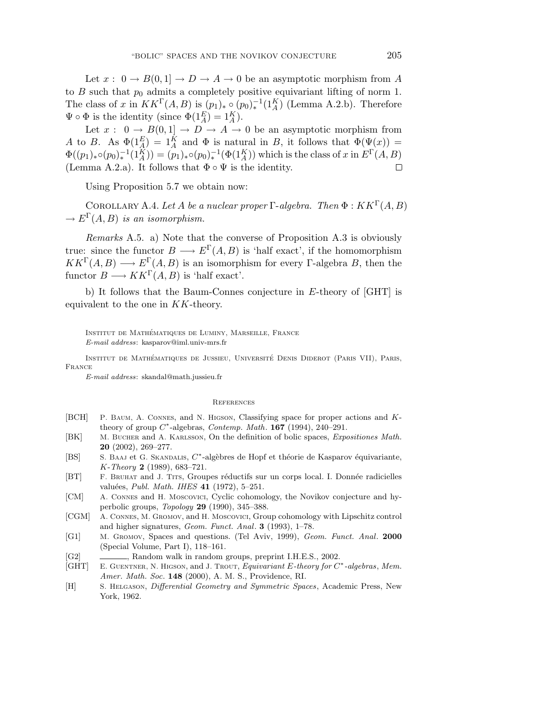Let  $x: 0 \to B(0,1] \to D \to A \to 0$  be an asymptotic morphism from A to B such that  $p_0$  admits a completely positive equivariant lifting of norm 1. The class of x in  $KK^{\Gamma}(A, B)$  is  $(p_1)_* \circ (p_0)_*^{-1}(1_A^K)$  (Lemma A.2.b). Therefore  $\Psi \circ \Phi$  is the identity (since  $\Phi(1_A^E) = 1_A^K$ ).

Let  $x: 0 \to B(0,1] \to D \to A \to 0$  be an asymptotic morphism from A to B. As  $\Phi(1_A^E) = 1_A^K$  and  $\Phi$  is natural in B, it follows that  $\Phi(\Psi(x)) =$  $\Phi((p_1)_*\circ (p_0)_*^{-1}(1_A^K)) = (p_1)_*\circ (p_0)_*^{-1}(\Phi(1_A^K))$  which is the class of x in  $E^{\Gamma}(A, B)$ (Lemma A.2.a). It follows that  $\Phi \circ \Psi$  is the identity.  $\Box$ 

Using Proposition 5.7 we obtain now:

COROLLARY A.4. Let A be a nuclear proper  $\Gamma$ -algebra. Then  $\Phi : K K^{\Gamma}(A, B)$  $\rightarrow E^{\Gamma}(A, B)$  is an isomorphism.

Remarks A.5. a) Note that the converse of Proposition A.3 is obviously true: since the functor  $B \longrightarrow E^{\Gamma}(A, B)$  is 'half exact', if the homomorphism  $KK^{\Gamma}(A, B) \longrightarrow E^{\Gamma}(A, B)$  is an isomorphism for every Γ-algebra B, then the functor  $B \longrightarrow KK^{\Gamma}(A, B)$  is 'half exact'.

b) It follows that the Baum-Connes conjecture in E-theory of [GHT] is equivalent to the one in  $KK$ -theory.

Institut de Mathematiques de Luminy, Marseille, France ´ E-mail address: kasparov@iml.univ-mrs.fr

INSTITUT DE MATHÉMATIQUES DE JUSSIEU, UNIVERSITÉ DENIS DIDEROT (PARIS VII), PARIS, France

E-mail address: skandal@math.jussieu.fr

#### **REFERENCES**

- [BCH] P. Baum, A. Connes, and N. Higson, Classifying space for proper actions and Ktheory of group C∗-algebras, *Contemp. Math*. **167** (1994), 240–291.
- [BK] M. Bucher and A. Karlsson, On the definition of bolic spaces, *Expositiones Math.* **20** (2002), 269–277.
- [BS] S. BAAJ et G. SKANDALIS,  $C^*$ -algèbres de Hopf et théorie de Kasparov équivariante, K-*Theory* **2** (1989), 683–721.
- [BT] F. BRUHAT and J. TITS, Groupes réductifs sur un corps local. I. Donnée radicielles valu´ees, *Publ. Math. IHES* **41** (1972), 5–251.
- [CM] A. Connes and H. Moscovici, Cyclic cohomology, the Novikov conjecture and hyperbolic groups, *Topology* **29** (1990), 345–388.
- [CGM] A. Connes, M. Gromov, and H. Moscovici, Group cohomology with Lipschitz control and higher signatures, *Geom. Funct. Anal*. **3** (1993), 1–78.
- [G1] M. Gromov, Spaces and questions. (Tel Aviv, 1999), *Geom. Funct. Anal*. **2000** (Special Volume, Part I), 118–161.
- [G2] , Random walk in random groups, preprint I.H.E.S., 2002.
- [GHT] E. Guentner, N. Higson, and J. Trout, *Equivariant* E*-theory for* C∗*-algebras*, *Mem. Amer. Math. Soc*. **148** (2000), A. M. S., Providence, RI.
- [H] S. Helgason, *Differential Geometry and Symmetric Spaces*, Academic Press, New York, 1962.